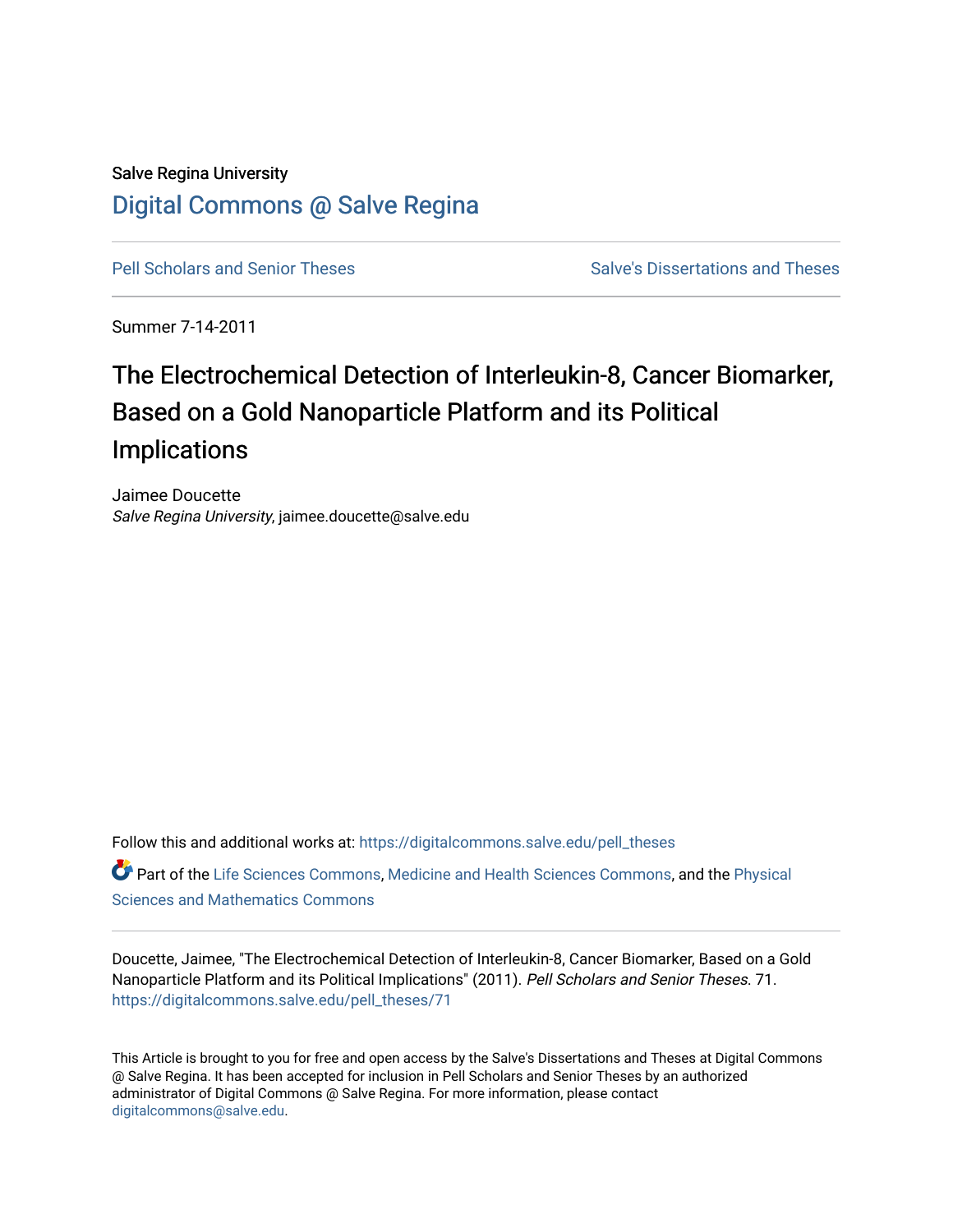### Salve Regina University [Digital Commons @ Salve Regina](https://digitalcommons.salve.edu/)

[Pell Scholars and Senior Theses](https://digitalcommons.salve.edu/pell_theses) Salve's Dissertations and Theses

Summer 7-14-2011

## The Electrochemical Detection of Interleukin-8, Cancer Biomarker, Based on a Gold Nanoparticle Platform and its Political Implications

Jaimee Doucette Salve Regina University, jaimee.doucette@salve.edu

Follow this and additional works at: [https://digitalcommons.salve.edu/pell\\_theses](https://digitalcommons.salve.edu/pell_theses?utm_source=digitalcommons.salve.edu%2Fpell_theses%2F71&utm_medium=PDF&utm_campaign=PDFCoverPages)

Part of the [Life Sciences Commons,](http://network.bepress.com/hgg/discipline/1016?utm_source=digitalcommons.salve.edu%2Fpell_theses%2F71&utm_medium=PDF&utm_campaign=PDFCoverPages) [Medicine and Health Sciences Commons,](http://network.bepress.com/hgg/discipline/648?utm_source=digitalcommons.salve.edu%2Fpell_theses%2F71&utm_medium=PDF&utm_campaign=PDFCoverPages) and the [Physical](http://network.bepress.com/hgg/discipline/114?utm_source=digitalcommons.salve.edu%2Fpell_theses%2F71&utm_medium=PDF&utm_campaign=PDFCoverPages)  [Sciences and Mathematics Commons](http://network.bepress.com/hgg/discipline/114?utm_source=digitalcommons.salve.edu%2Fpell_theses%2F71&utm_medium=PDF&utm_campaign=PDFCoverPages) 

Doucette, Jaimee, "The Electrochemical Detection of Interleukin-8, Cancer Biomarker, Based on a Gold Nanoparticle Platform and its Political Implications" (2011). Pell Scholars and Senior Theses. 71. [https://digitalcommons.salve.edu/pell\\_theses/71](https://digitalcommons.salve.edu/pell_theses/71?utm_source=digitalcommons.salve.edu%2Fpell_theses%2F71&utm_medium=PDF&utm_campaign=PDFCoverPages) 

This Article is brought to you for free and open access by the Salve's Dissertations and Theses at Digital Commons @ Salve Regina. It has been accepted for inclusion in Pell Scholars and Senior Theses by an authorized administrator of Digital Commons @ Salve Regina. For more information, please contact [digitalcommons@salve.edu.](mailto:digitalcommons@salve.edu)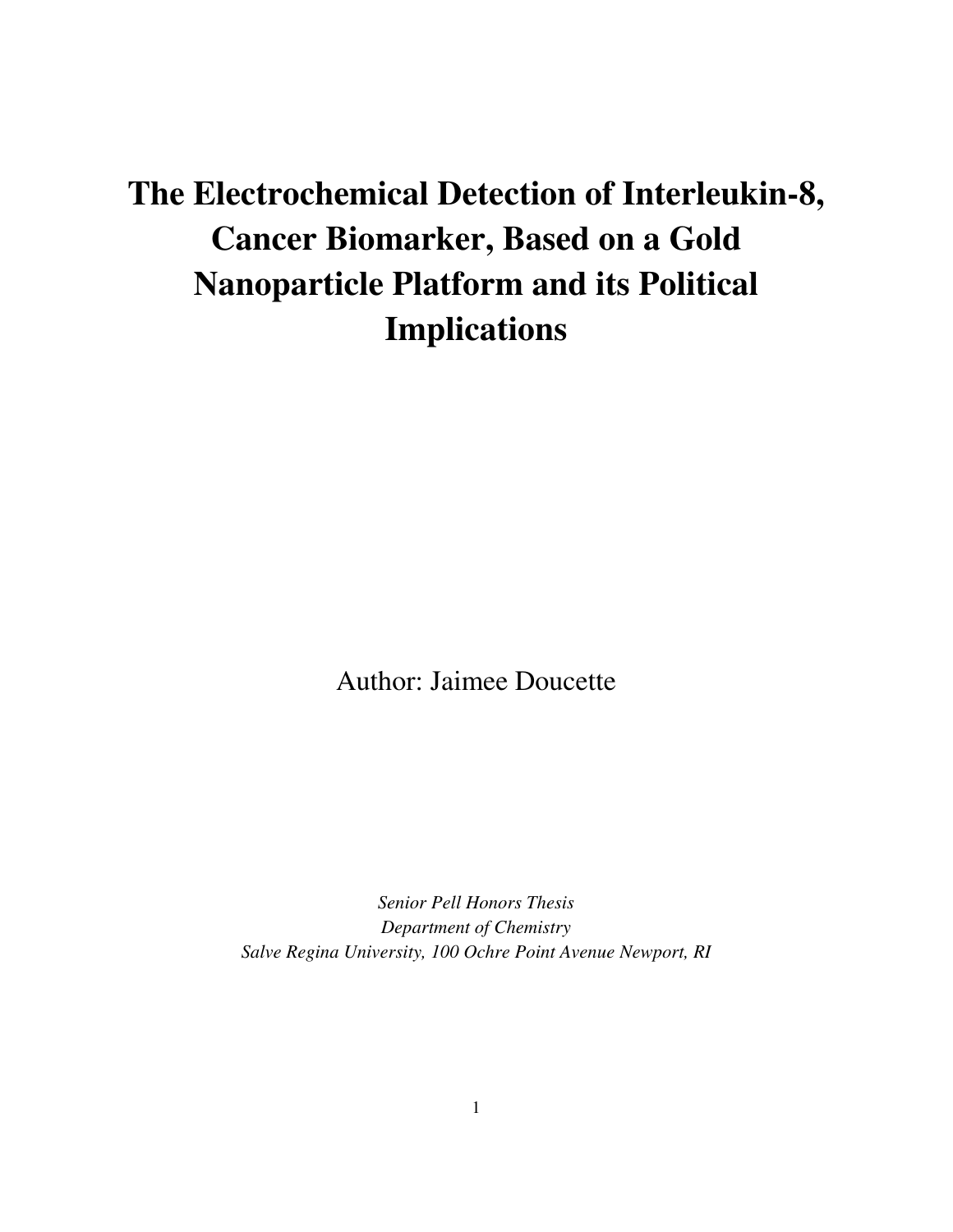# **The Electrochemical Detection of Interleukin-8, Cancer Biomarker, Based on a Gold Nanoparticle Platform and its Political Implications**

Author: Jaimee Doucette

*Senior Pell Honors Thesis Department of Chemistry Salve Regina University, 100 Ochre Point Avenue Newport, RI*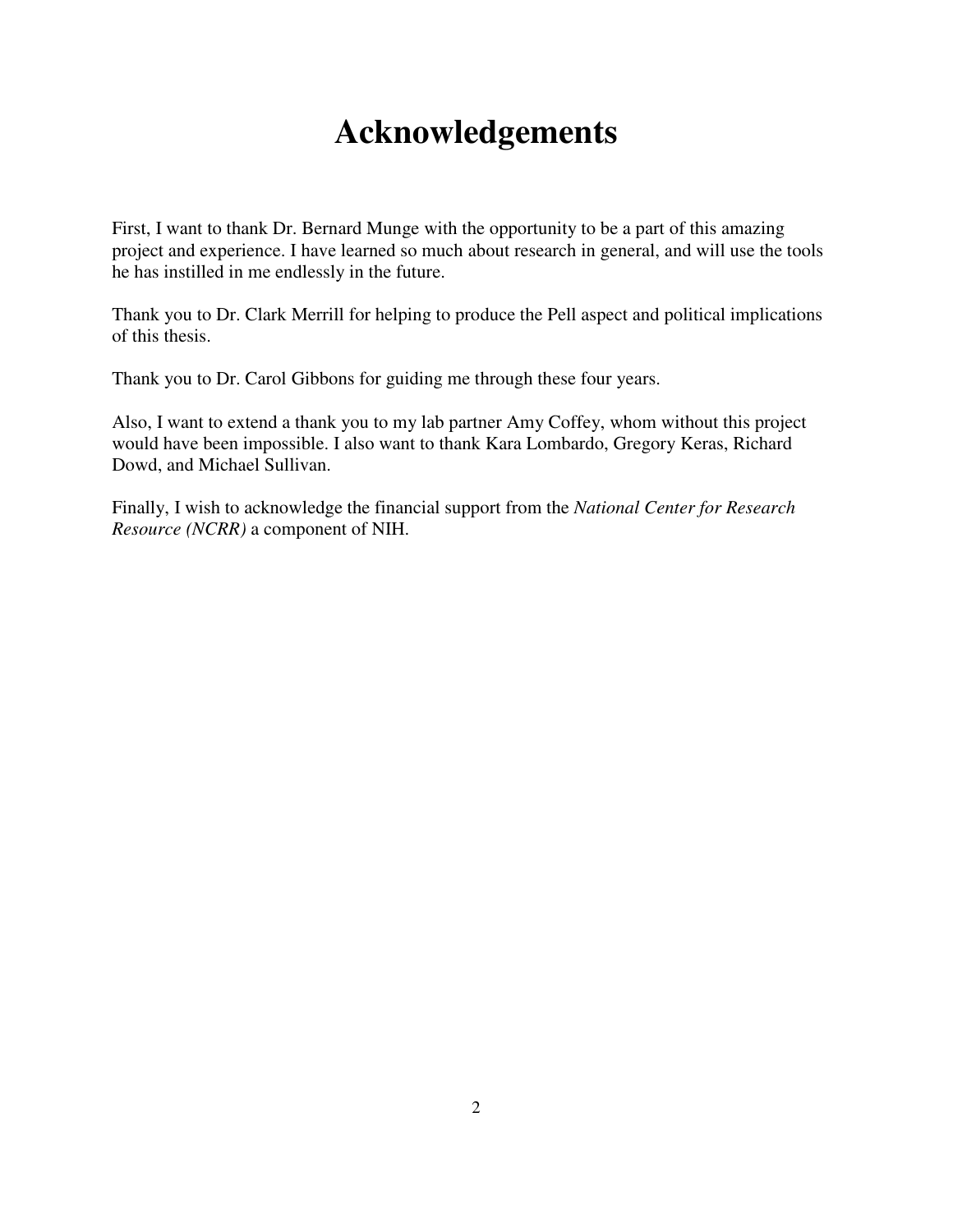## **Acknowledgements**

First, I want to thank Dr. Bernard Munge with the opportunity to be a part of this amazing project and experience. I have learned so much about research in general, and will use the tools he has instilled in me endlessly in the future.

Thank you to Dr. Clark Merrill for helping to produce the Pell aspect and political implications of this thesis.

Thank you to Dr. Carol Gibbons for guiding me through these four years.

Also, I want to extend a thank you to my lab partner Amy Coffey, whom without this project would have been impossible. I also want to thank Kara Lombardo, Gregory Keras, Richard Dowd, and Michael Sullivan.

Finally, I wish to acknowledge the financial support from the *National Center for Research Resource (NCRR)* a component of NIH.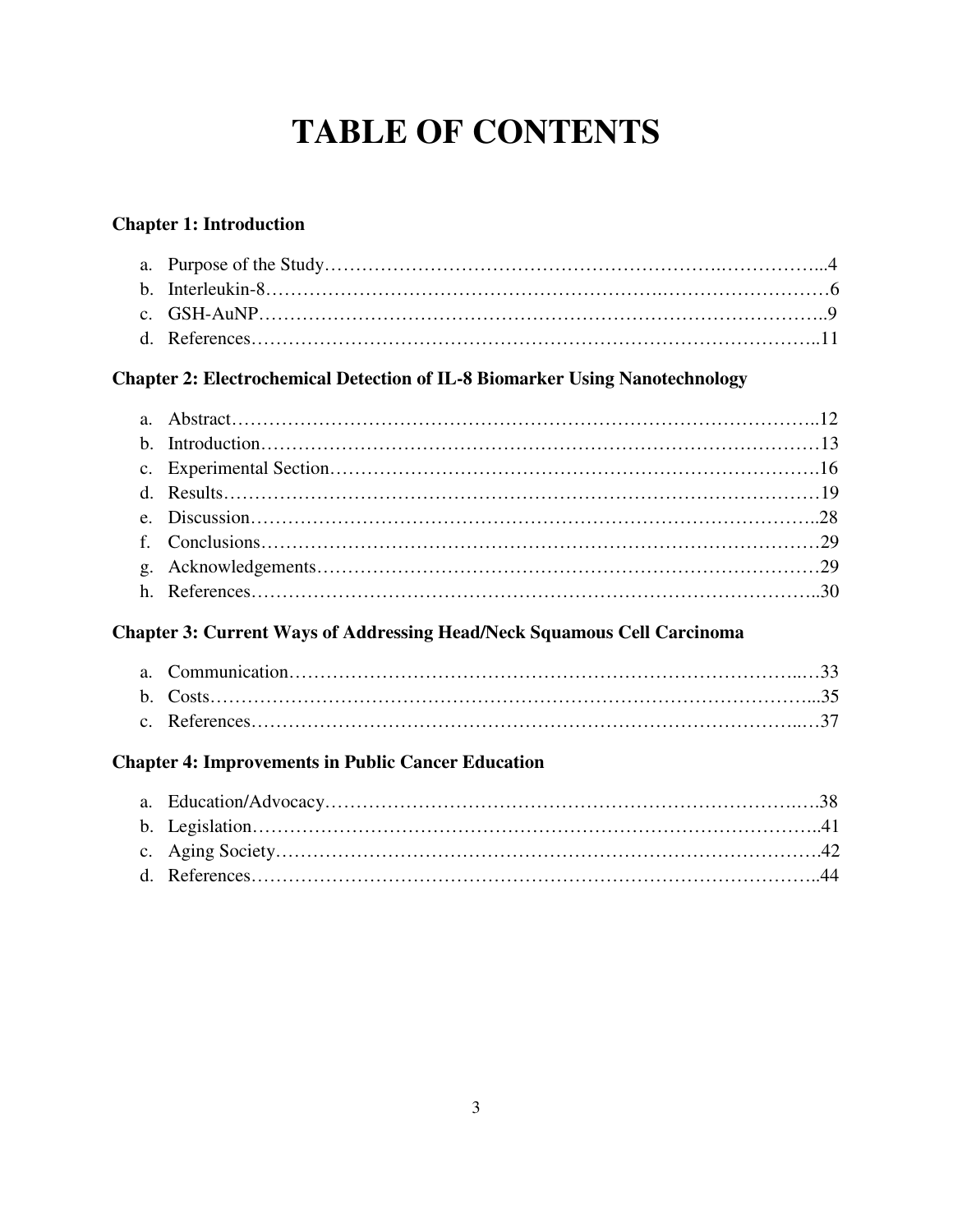# **TABLE OF CONTENTS**

#### **Chapter 1: Introduction**

#### **Chapter 2: Electrochemical Detection of IL-8 Biomarker Using Nanotechnology**

#### **Chapter 3: Current Ways of Addressing Head/Neck Squamous Cell Carcinoma**

#### **Chapter 4: Improvements in Public Cancer Education**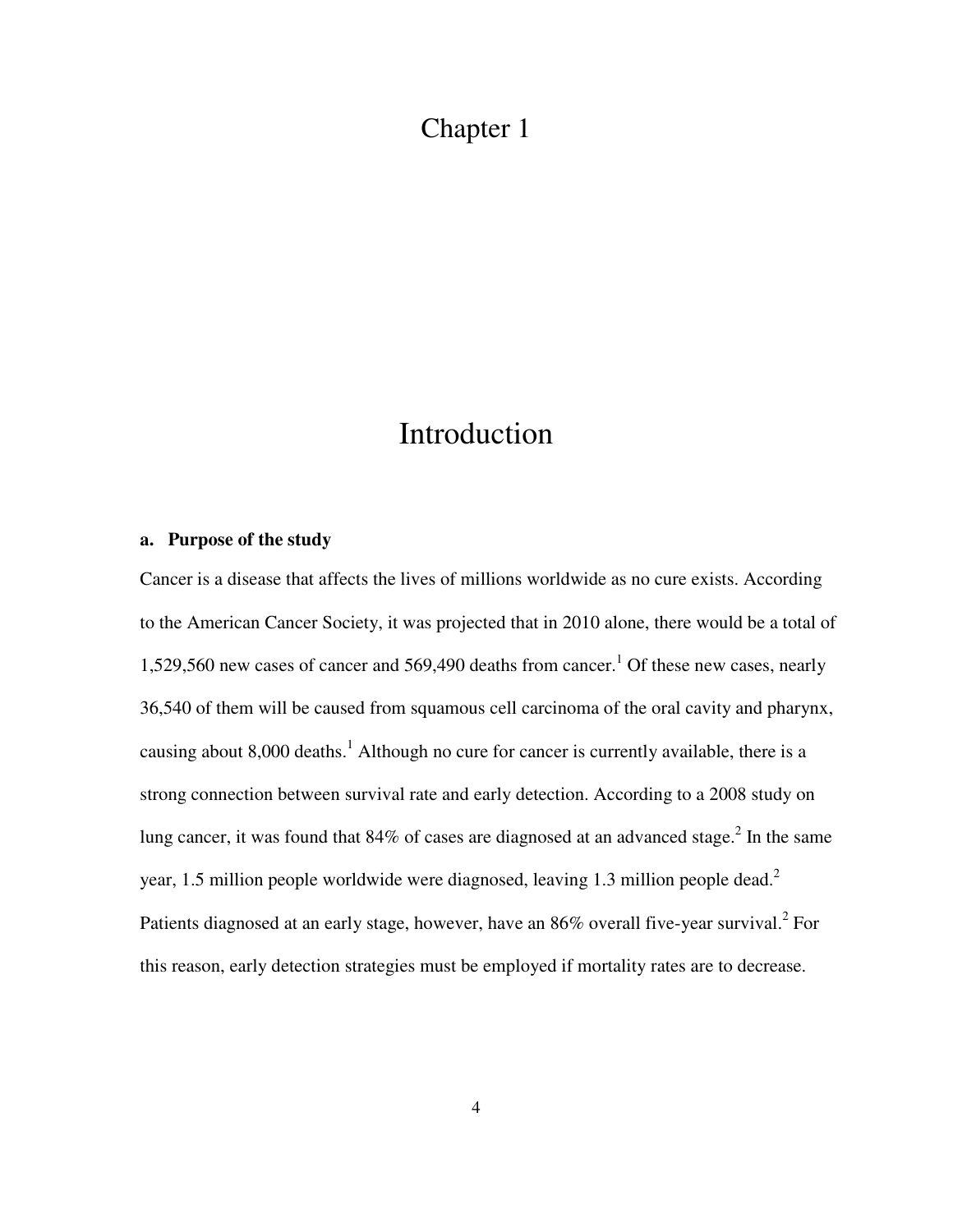### Chapter 1

## Introduction

#### **a. Purpose of the study**

Cancer is a disease that affects the lives of millions worldwide as no cure exists. According to the American Cancer Society, it was projected that in 2010 alone, there would be a total of 1,529,560 new cases of cancer and 569,490 deaths from cancer.<sup>1</sup> Of these new cases, nearly 36,540 of them will be caused from squamous cell carcinoma of the oral cavity and pharynx, causing about 8,000 deaths.<sup>1</sup> Although no cure for cancer is currently available, there is a strong connection between survival rate and early detection. According to a 2008 study on lung cancer, it was found that 84% of cases are diagnosed at an advanced stage.<sup>2</sup> In the same year, 1.5 million people worldwide were diagnosed, leaving 1.3 million people dead.<sup>2</sup> Patients diagnosed at an early stage, however, have an 86% overall five-year survival.<sup>2</sup> For this reason, early detection strategies must be employed if mortality rates are to decrease.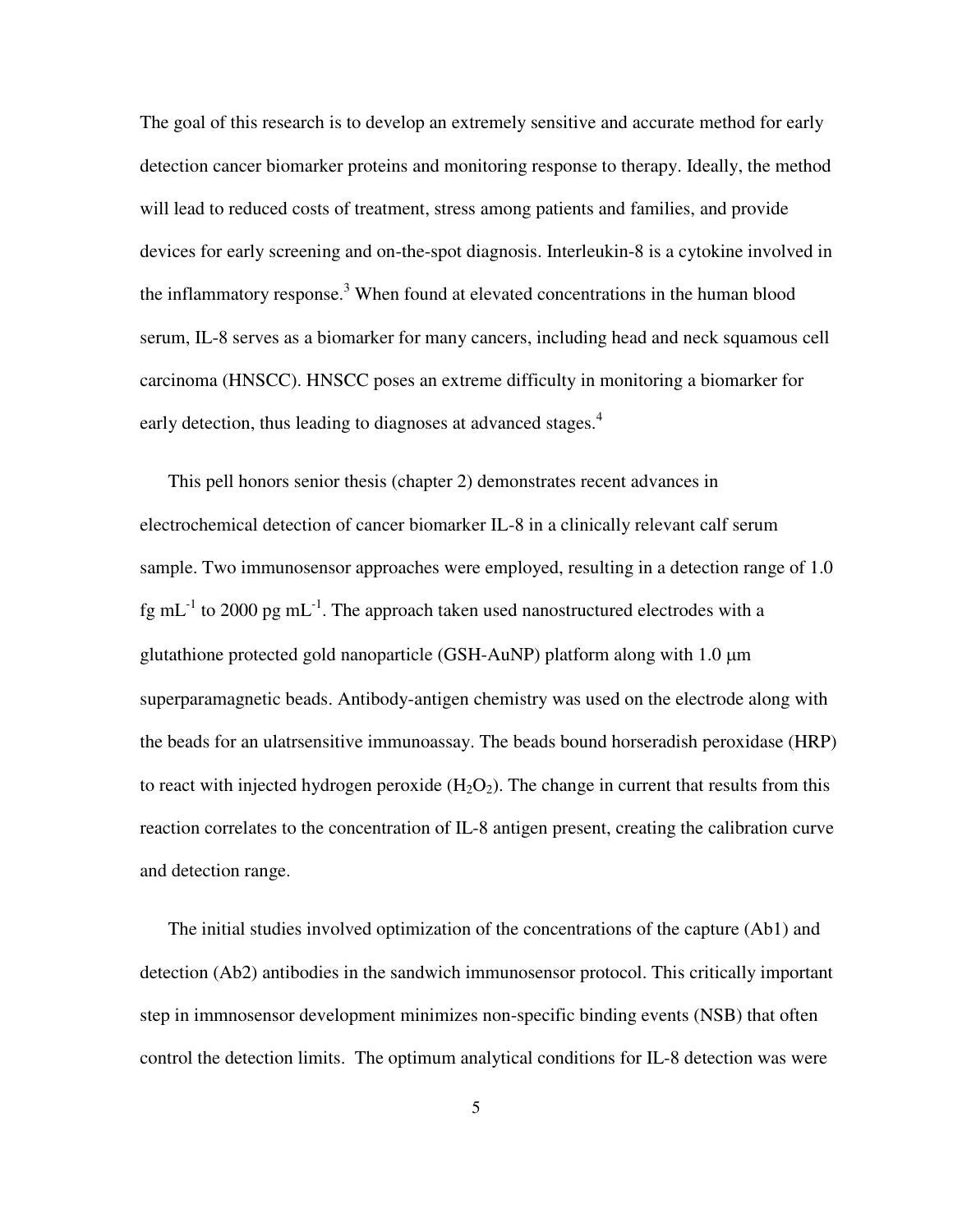The goal of this research is to develop an extremely sensitive and accurate method for early detection cancer biomarker proteins and monitoring response to therapy. Ideally, the method will lead to reduced costs of treatment, stress among patients and families, and provide devices for early screening and on-the-spot diagnosis. Interleukin-8 is a cytokine involved in the inflammatory response.<sup>3</sup> When found at elevated concentrations in the human blood serum, IL-8 serves as a biomarker for many cancers, including head and neck squamous cell carcinoma (HNSCC). HNSCC poses an extreme difficulty in monitoring a biomarker for early detection, thus leading to diagnoses at advanced stages.<sup>4</sup>

This pell honors senior thesis (chapter 2) demonstrates recent advances in electrochemical detection of cancer biomarker IL-8 in a clinically relevant calf serum sample. Two immunosensor approaches were employed, resulting in a detection range of 1.0 fg mL<sup>-1</sup> to 2000 pg mL<sup>-1</sup>. The approach taken used nanostructured electrodes with a glutathione protected gold nanoparticle (GSH-AuNP) platform along with 1.0 µm superparamagnetic beads. Antibody-antigen chemistry was used on the electrode along with the beads for an ulatrsensitive immunoassay. The beads bound horseradish peroxidase (HRP) to react with injected hydrogen peroxide  $(H_2O_2)$ . The change in current that results from this reaction correlates to the concentration of IL-8 antigen present, creating the calibration curve and detection range.

The initial studies involved optimization of the concentrations of the capture (Ab1) and detection (Ab2) antibodies in the sandwich immunosensor protocol. This critically important step in immnosensor development minimizes non-specific binding events (NSB) that often control the detection limits. The optimum analytical conditions for IL-8 detection was were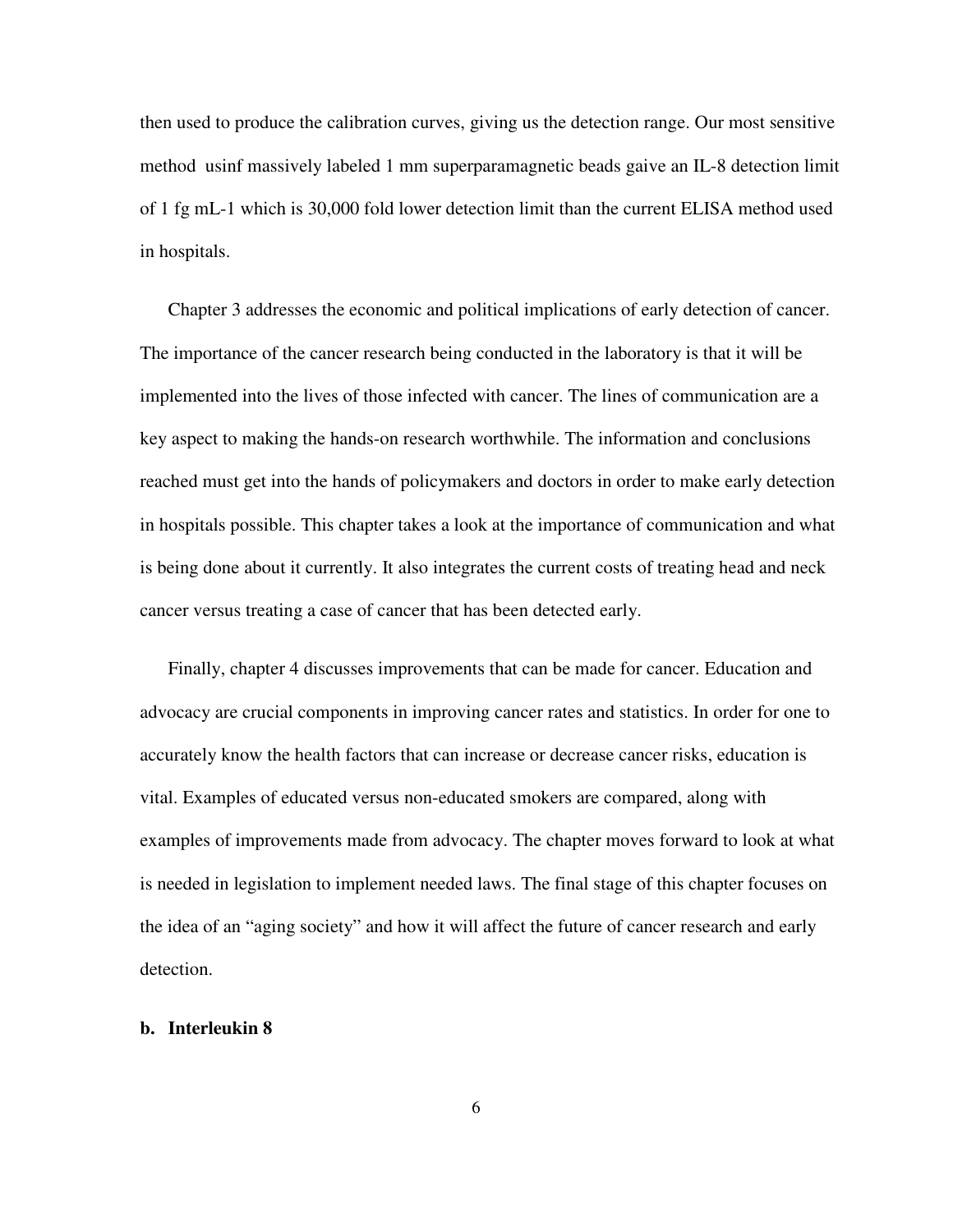then used to produce the calibration curves, giving us the detection range. Our most sensitive method usinf massively labeled 1 mm superparamagnetic beads gaive an IL-8 detection limit of 1 fg mL-1 which is 30,000 fold lower detection limit than the current ELISA method used in hospitals.

Chapter 3 addresses the economic and political implications of early detection of cancer. The importance of the cancer research being conducted in the laboratory is that it will be implemented into the lives of those infected with cancer. The lines of communication are a key aspect to making the hands-on research worthwhile. The information and conclusions reached must get into the hands of policymakers and doctors in order to make early detection in hospitals possible. This chapter takes a look at the importance of communication and what is being done about it currently. It also integrates the current costs of treating head and neck cancer versus treating a case of cancer that has been detected early.

Finally, chapter 4 discusses improvements that can be made for cancer. Education and advocacy are crucial components in improving cancer rates and statistics. In order for one to accurately know the health factors that can increase or decrease cancer risks, education is vital. Examples of educated versus non-educated smokers are compared, along with examples of improvements made from advocacy. The chapter moves forward to look at what is needed in legislation to implement needed laws. The final stage of this chapter focuses on the idea of an "aging society" and how it will affect the future of cancer research and early detection.

#### **b. Interleukin 8**

6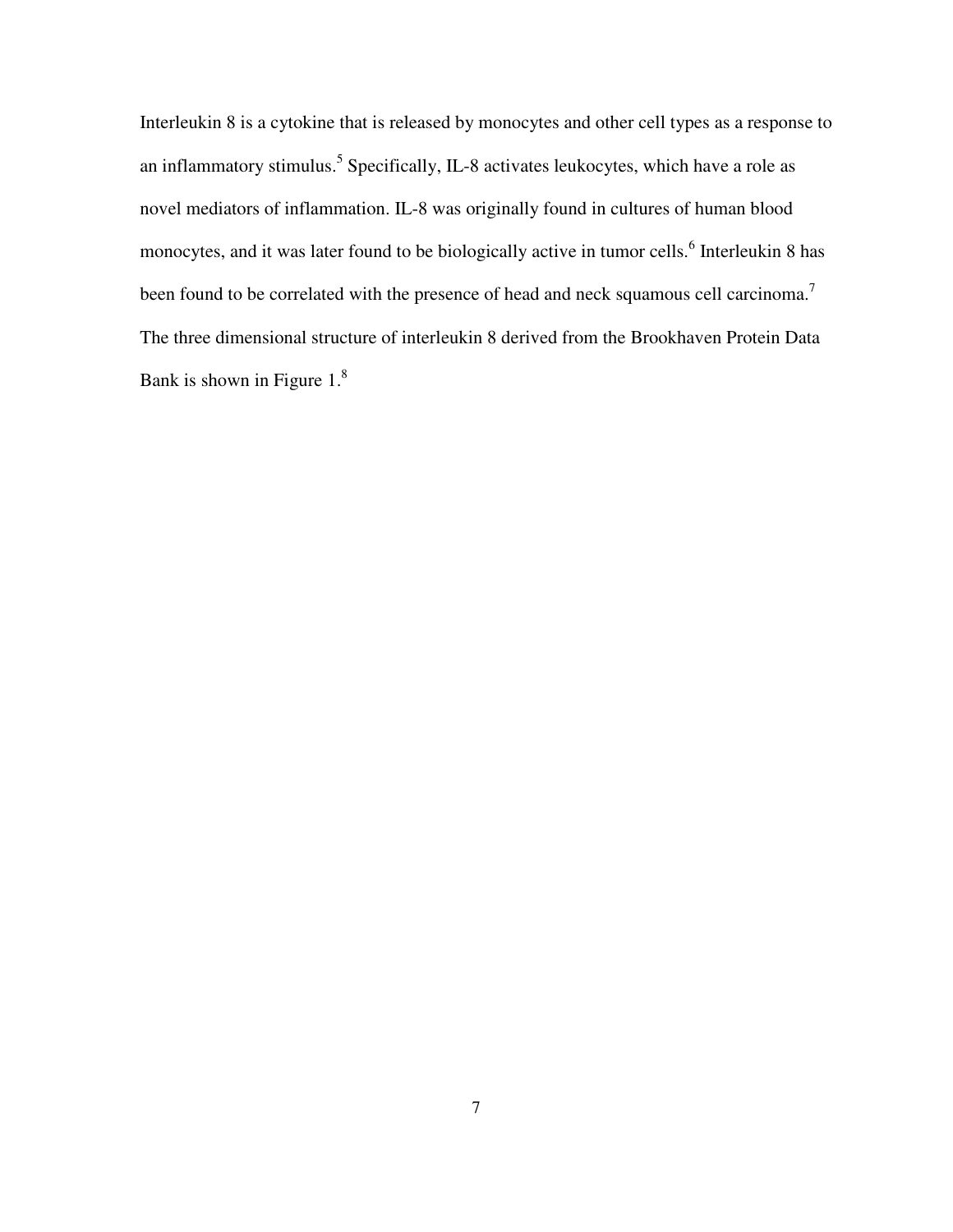Interleukin 8 is a cytokine that is released by monocytes and other cell types as a response to an inflammatory stimulus.<sup>5</sup> Specifically, IL-8 activates leukocytes, which have a role as novel mediators of inflammation. IL-8 was originally found in cultures of human blood monocytes, and it was later found to be biologically active in tumor cells.<sup>6</sup> Interleukin 8 has been found to be correlated with the presence of head and neck squamous cell carcinoma.<sup>7</sup> The three dimensional structure of interleukin 8 derived from the Brookhaven Protein Data Bank is shown in Figure 1.<sup>8</sup>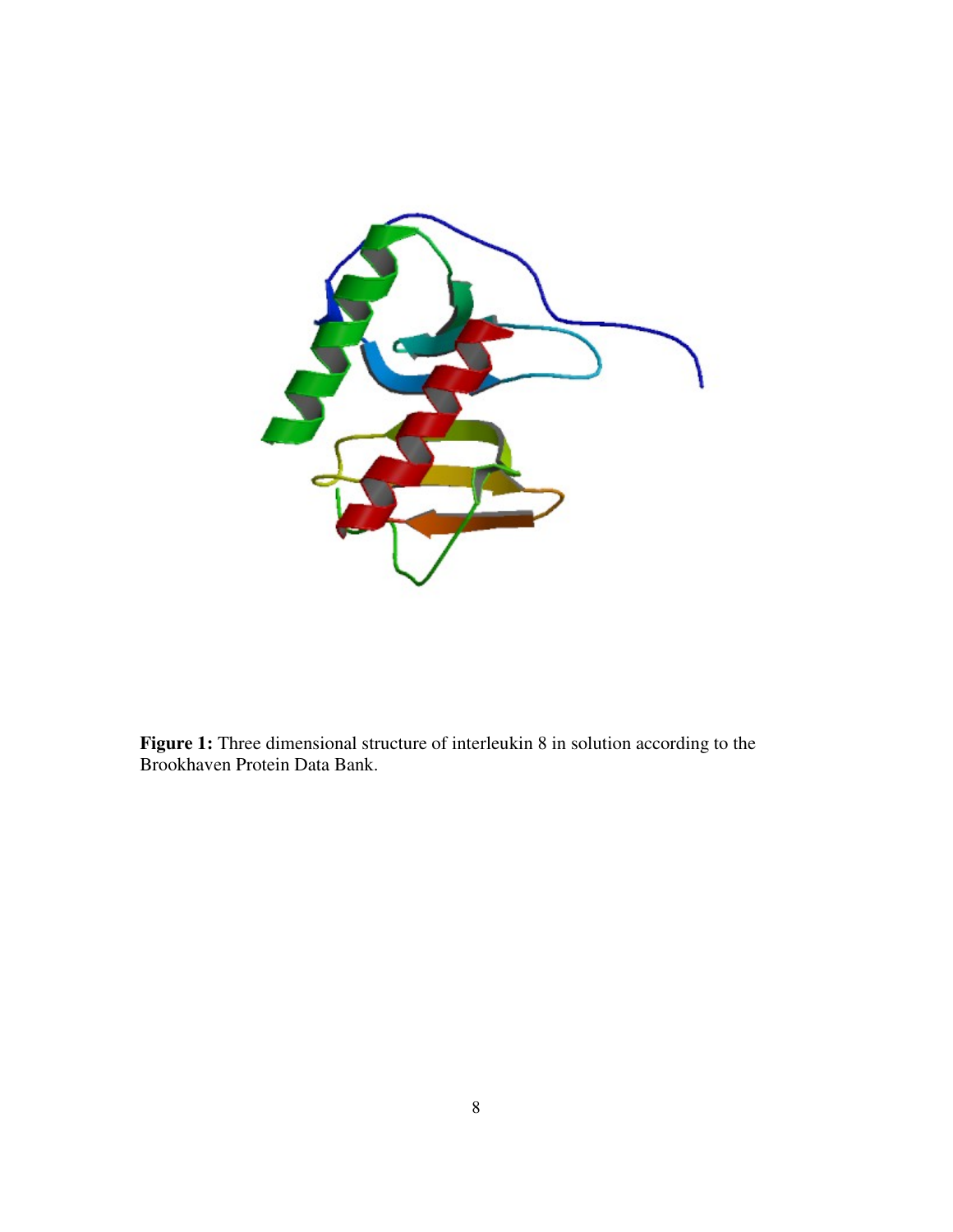

**Figure 1:** Three dimensional structure of interleukin 8 in solution according to the Brookhaven Protein Data Bank.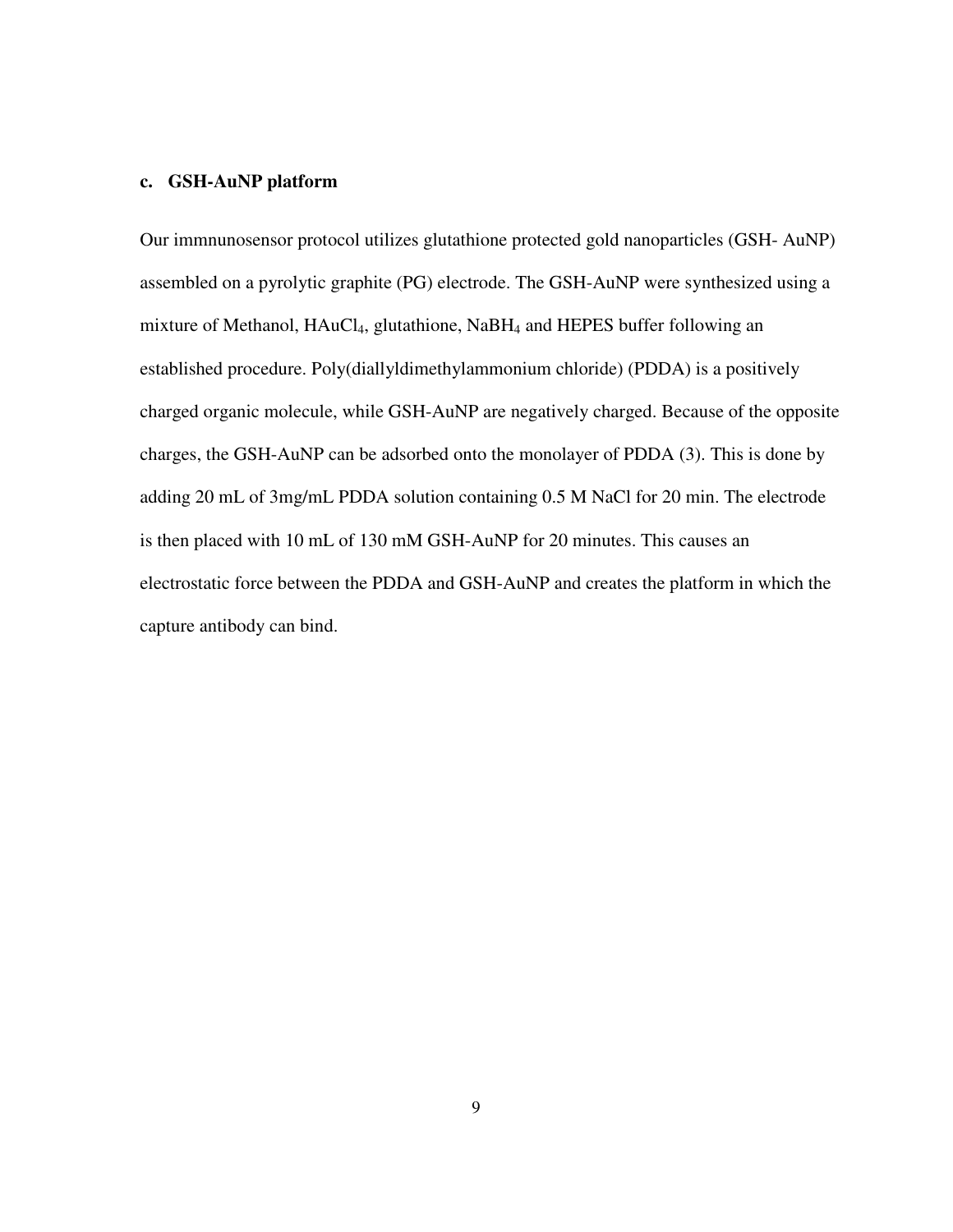#### **c. GSH-AuNP platform**

Our immnunosensor protocol utilizes glutathione protected gold nanoparticles (GSH- AuNP) assembled on a pyrolytic graphite (PG) electrode. The GSH-AuNP were synthesized using a mixture of Methanol, HAuCl<sub>4</sub>, glutathione, NaBH<sub>4</sub> and HEPES buffer following an established procedure. Poly(diallyldimethylammonium chloride) (PDDA) is a positively charged organic molecule, while GSH-AuNP are negatively charged. Because of the opposite charges, the GSH-AuNP can be adsorbed onto the monolayer of PDDA (3). This is done by adding 20 mL of 3mg/mL PDDA solution containing 0.5 M NaCl for 20 min. The electrode is then placed with 10 mL of 130 mM GSH-AuNP for 20 minutes. This causes an electrostatic force between the PDDA and GSH-AuNP and creates the platform in which the capture antibody can bind.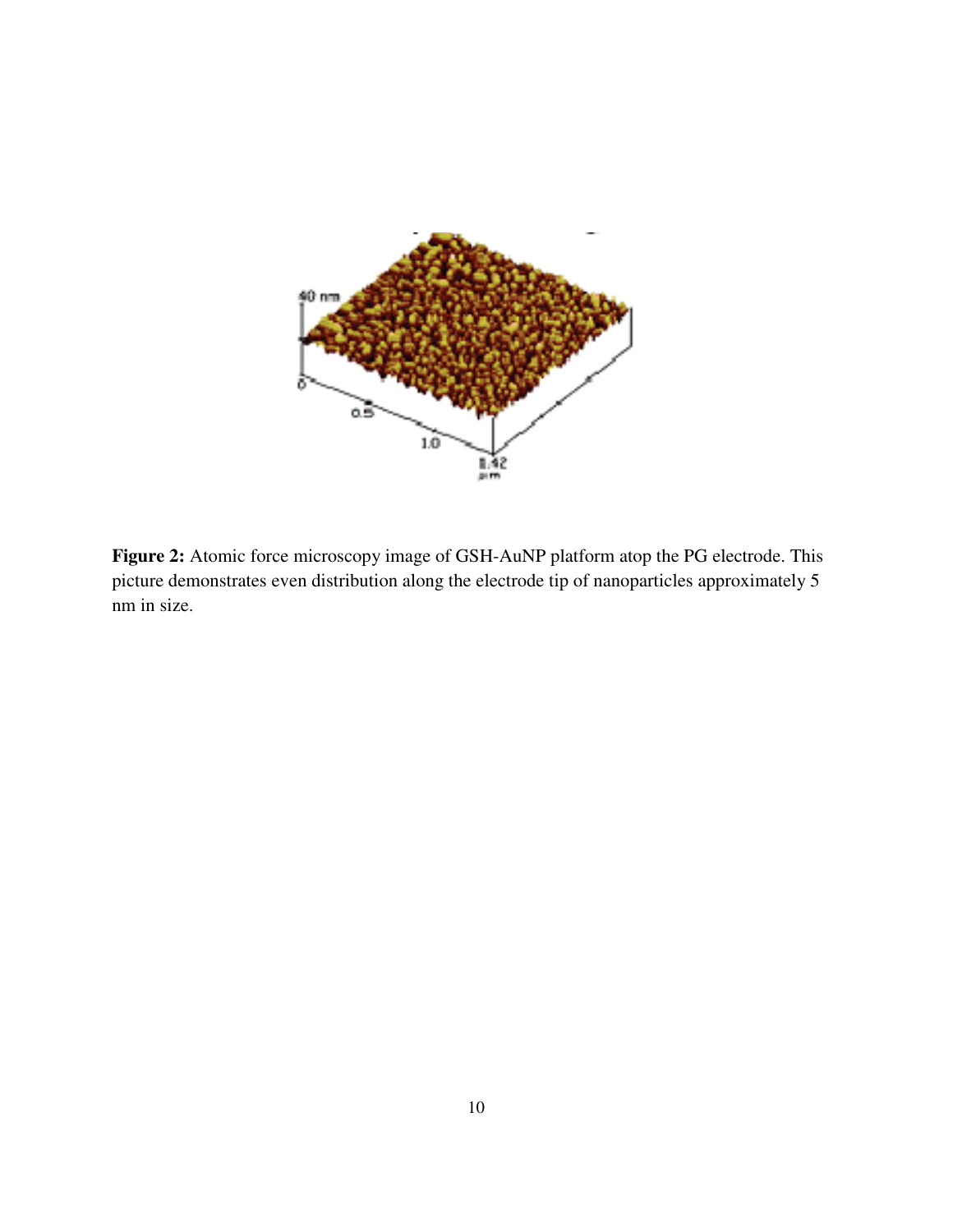

**Figure 2:** Atomic force microscopy image of GSH-AuNP platform atop the PG electrode. This picture demonstrates even distribution along the electrode tip of nanoparticles approximately 5 nm in size.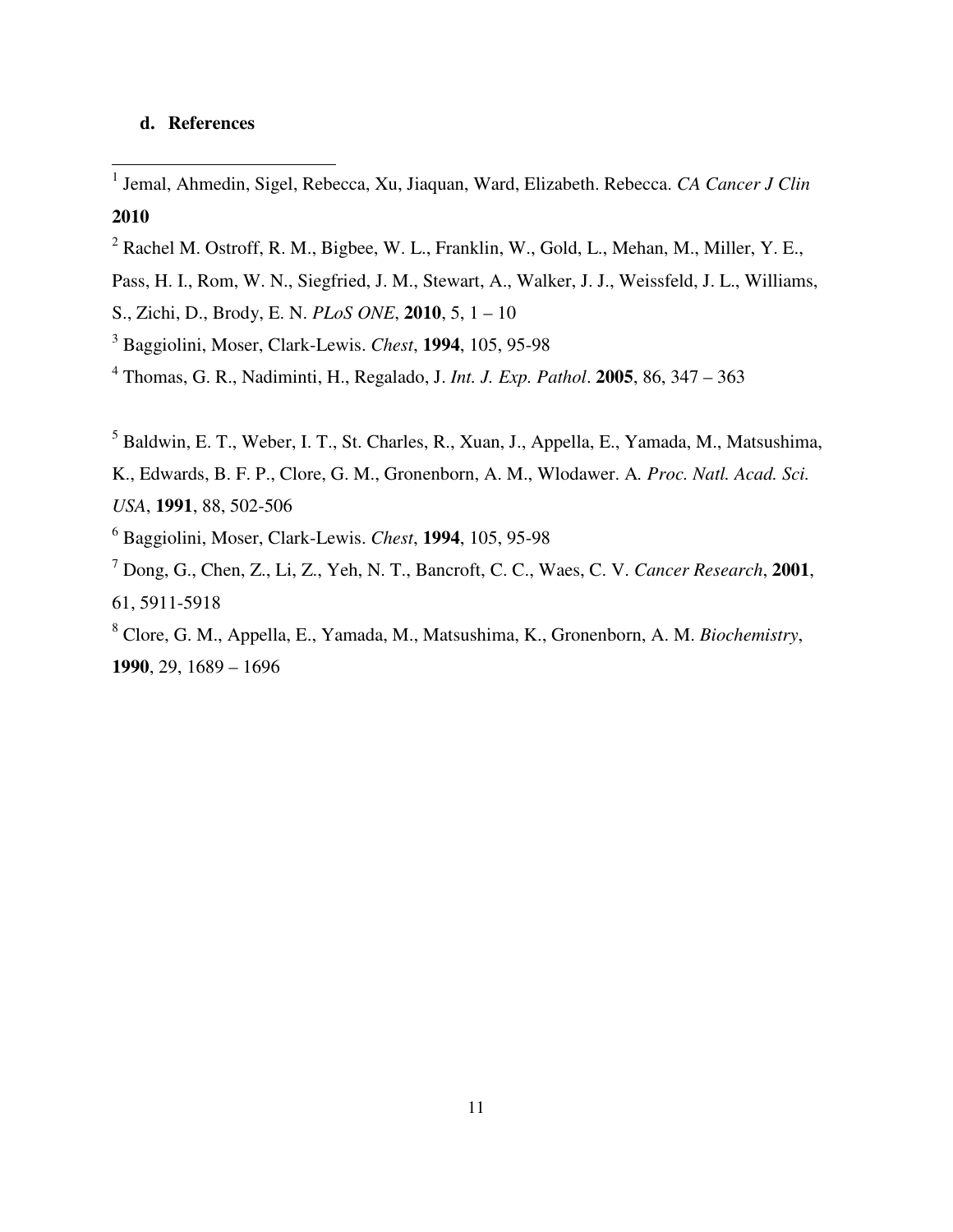#### **d. References**

 $\overline{a}$ 

1 Jemal, Ahmedin, Sigel, Rebecca, Xu, Jiaquan, Ward, Elizabeth. Rebecca. *CA Cancer J Clin* **2010** 

- $2^2$  Rachel M. Ostroff, R. M., Bigbee, W. L., Franklin, W., Gold, L., Mehan, M., Miller, Y. E.,
- Pass, H. I., Rom, W. N., Siegfried, J. M., Stewart, A., Walker, J. J., Weissfeld, J. L., Williams,
- S., Zichi, D., Brody, E. N. *PLoS ONE*, **2010**, 5, 1 10
- 3 Baggiolini, Moser, Clark-Lewis. *Chest*, **1994**, 105, 95-98
- 4 Thomas, G. R., Nadiminti, H., Regalado, J. *Int. J. Exp. Pathol*. **2005**, 86, 347 363
- <sup>5</sup> Baldwin, E. T., Weber, I. T., St. Charles, R., Xuan, J., Appella, E., Yamada, M., Matsushima, K., Edwards, B. F. P., Clore, G. M., Gronenborn, A. M., Wlodawer. A*. Proc. Natl. Acad. Sci. USA*, **1991**, 88, 502-506
- 6 Baggiolini, Moser, Clark-Lewis. *Chest*, **1994**, 105, 95-98
- 7 Dong, G., Chen, Z., Li, Z., Yeh, N. T., Bancroft, C. C., Waes, C. V. *Cancer Research*, **2001**, 61, 5911-5918
- 8 Clore, G. M., Appella, E., Yamada, M., Matsushima, K., Gronenborn, A. M. *Biochemistry*, **1990**, 29, 1689 – 1696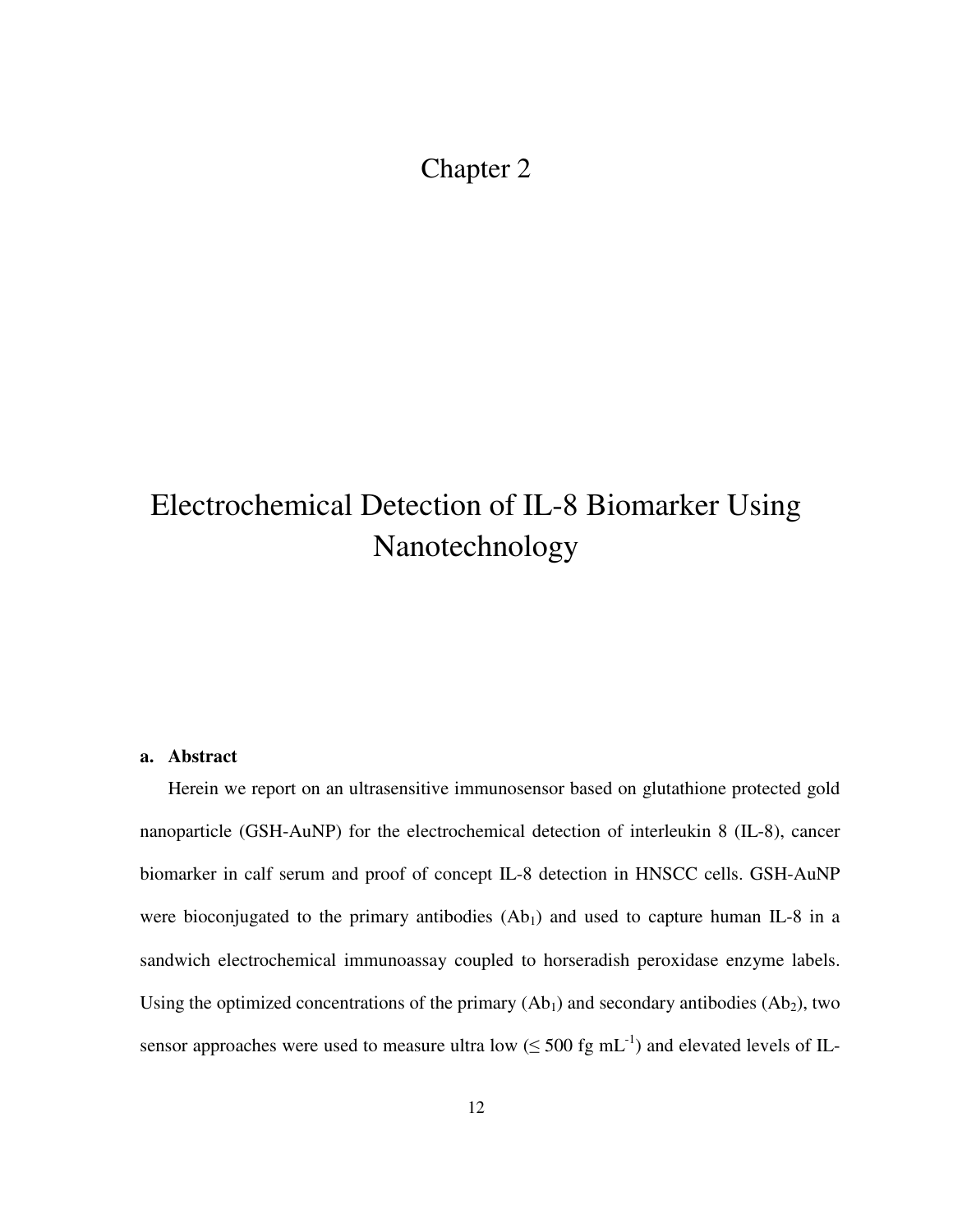### Chapter 2

## Electrochemical Detection of IL-8 Biomarker Using Nanotechnology

#### **a. Abstract**

Herein we report on an ultrasensitive immunosensor based on glutathione protected gold nanoparticle (GSH-AuNP) for the electrochemical detection of interleukin 8 (IL-8), cancer biomarker in calf serum and proof of concept IL-8 detection in HNSCC cells. GSH-AuNP were bioconjugated to the primary antibodies  $(Ab<sub>1</sub>)$  and used to capture human IL-8 in a sandwich electrochemical immunoassay coupled to horseradish peroxidase enzyme labels. Using the optimized concentrations of the primary  $(Ab<sub>1</sub>)$  and secondary antibodies  $(Ab<sub>2</sub>)$ , two sensor approaches were used to measure ultra low ( $\leq 500$  fg mL<sup>-1</sup>) and elevated levels of IL-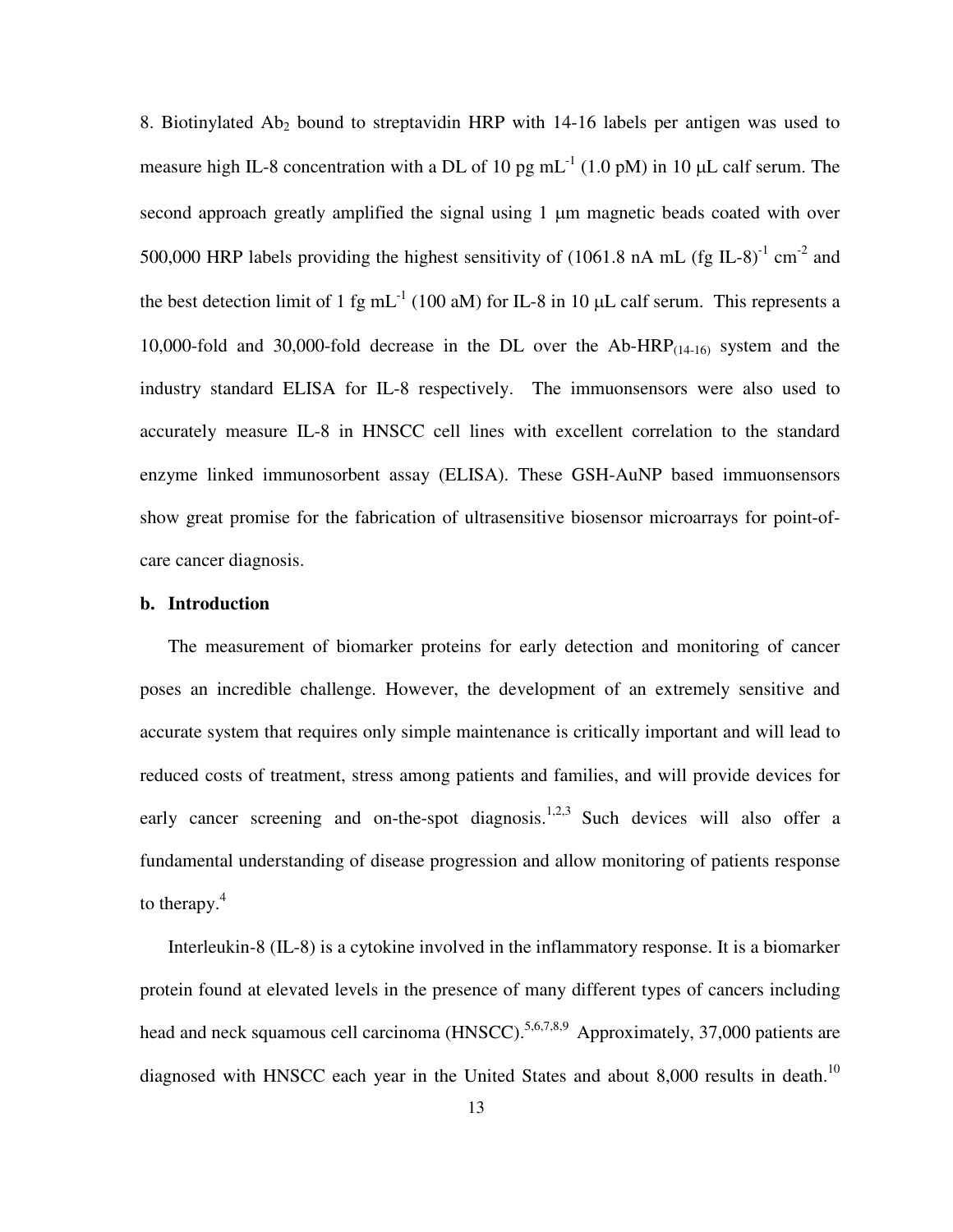8. Biotinylated  $Ab<sub>2</sub>$  bound to streptavidin HRP with 14-16 labels per antigen was used to measure high IL-8 concentration with a DL of 10 pg mL<sup>-1</sup> (1.0 pM) in 10  $\mu$ L calf serum. The second approach greatly amplified the signal using 1  $\mu$ m magnetic beads coated with over 500,000 HRP labels providing the highest sensitivity of  $(1061.8 \text{ nA} \text{ mL (fg IL-8)}^{-1} \text{ cm}^{-2}$  and the best detection limit of 1 fg mL<sup>-1</sup> (100 aM) for IL-8 in 10  $\mu$ L calf serum. This represents a 10,000-fold and 30,000-fold decrease in the DL over the Ab- $HRP_{(14-16)}$  system and the industry standard ELISA for IL-8 respectively. The immuonsensors were also used to accurately measure IL-8 in HNSCC cell lines with excellent correlation to the standard enzyme linked immunosorbent assay (ELISA). These GSH-AuNP based immuonsensors show great promise for the fabrication of ultrasensitive biosensor microarrays for point-ofcare cancer diagnosis.

#### **b. Introduction**

The measurement of biomarker proteins for early detection and monitoring of cancer poses an incredible challenge. However, the development of an extremely sensitive and accurate system that requires only simple maintenance is critically important and will lead to reduced costs of treatment, stress among patients and families, and will provide devices for early cancer screening and on-the-spot diagnosis.<sup>1,2,3</sup> Such devices will also offer a fundamental understanding of disease progression and allow monitoring of patients response to therapy.<sup>4</sup>

Interleukin-8 (IL-8) is a cytokine involved in the inflammatory response. It is a biomarker protein found at elevated levels in the presence of many different types of cancers including head and neck squamous cell carcinoma (HNSCC).<sup>5,6,7,8,9</sup> Approximately, 37,000 patients are diagnosed with HNSCC each year in the United States and about 8,000 results in death.<sup>10</sup>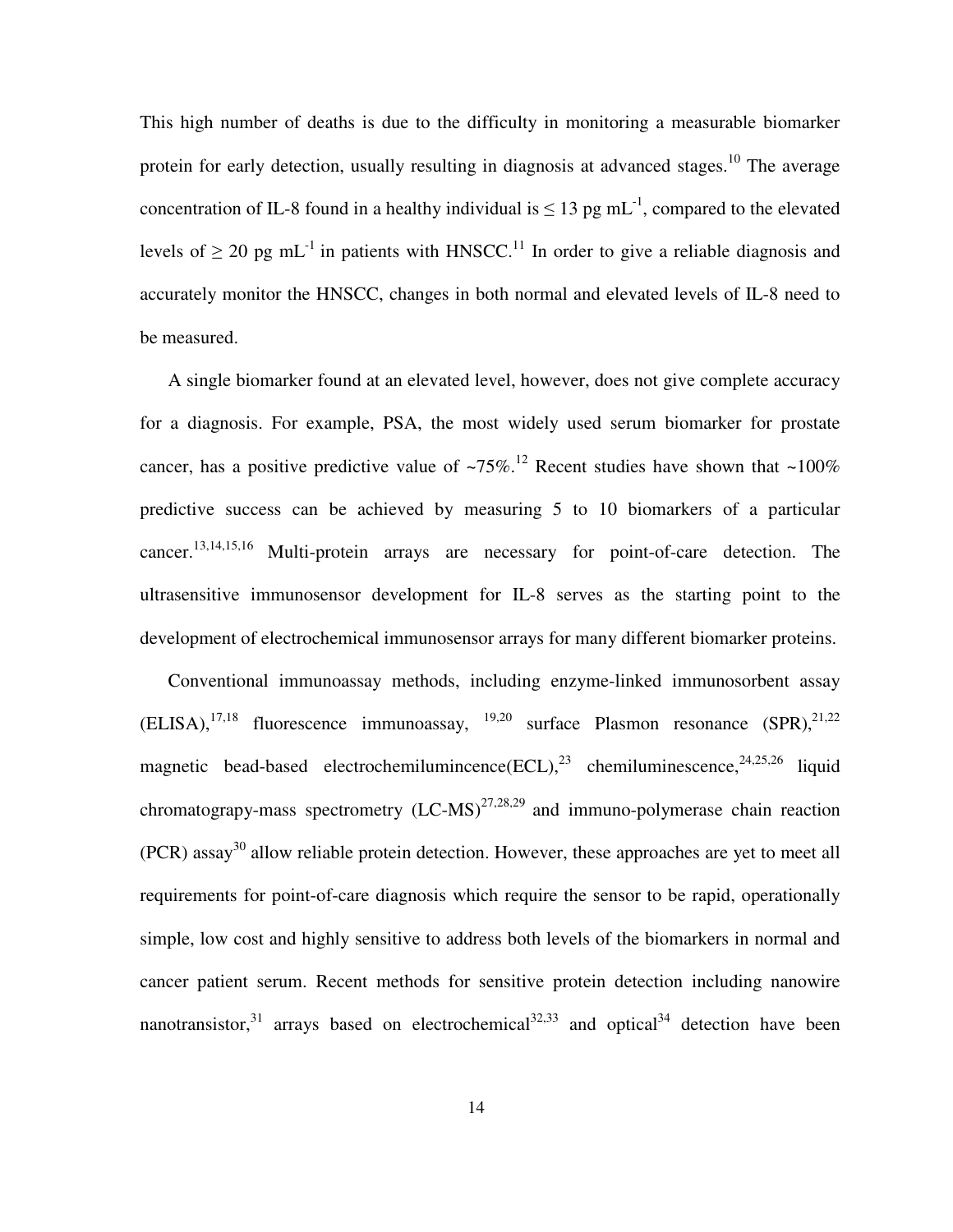This high number of deaths is due to the difficulty in monitoring a measurable biomarker protein for early detection, usually resulting in diagnosis at advanced stages.<sup>10</sup> The average concentration of IL-8 found in a healthy individual is  $\leq 13$  pg mL<sup>-1</sup>, compared to the elevated levels of  $\geq 20$  pg mL<sup>-1</sup> in patients with HNSCC.<sup>11</sup> In order to give a reliable diagnosis and accurately monitor the HNSCC, changes in both normal and elevated levels of IL-8 need to be measured.

A single biomarker found at an elevated level, however, does not give complete accuracy for a diagnosis. For example, PSA, the most widely used serum biomarker for prostate cancer, has a positive predictive value of  $\sim 75\%$ .<sup>12</sup> Recent studies have shown that  $\sim 100\%$ predictive success can be achieved by measuring 5 to 10 biomarkers of a particular cancer.13,14,15,16 Multi-protein arrays are necessary for point-of-care detection. The ultrasensitive immunosensor development for IL-8 serves as the starting point to the development of electrochemical immunosensor arrays for many different biomarker proteins.

Conventional immunoassay methods, including enzyme-linked immunosorbent assay  $(ELISA)$ ,<sup>17,18</sup> fluorescence immunoassay, <sup>19,20</sup> surface Plasmon resonance  $(SPR)$ ,<sup>21,22</sup> magnetic bead-based electrochemilumincence(ECL),<sup>23</sup> chemiluminescence,<sup>24,25,26</sup> liquid chromatograpy-mass spectrometry  $(LC\text{-MS})^{27,28,29}$  and immuno-polymerase chain reaction  $(PCR)$  assay<sup>30</sup> allow reliable protein detection. However, these approaches are yet to meet all requirements for point-of-care diagnosis which require the sensor to be rapid, operationally simple, low cost and highly sensitive to address both levels of the biomarkers in normal and cancer patient serum. Recent methods for sensitive protein detection including nanowire nanotransistor,<sup>31</sup> arrays based on electrochemical<sup>32,33</sup> and optical<sup>34</sup> detection have been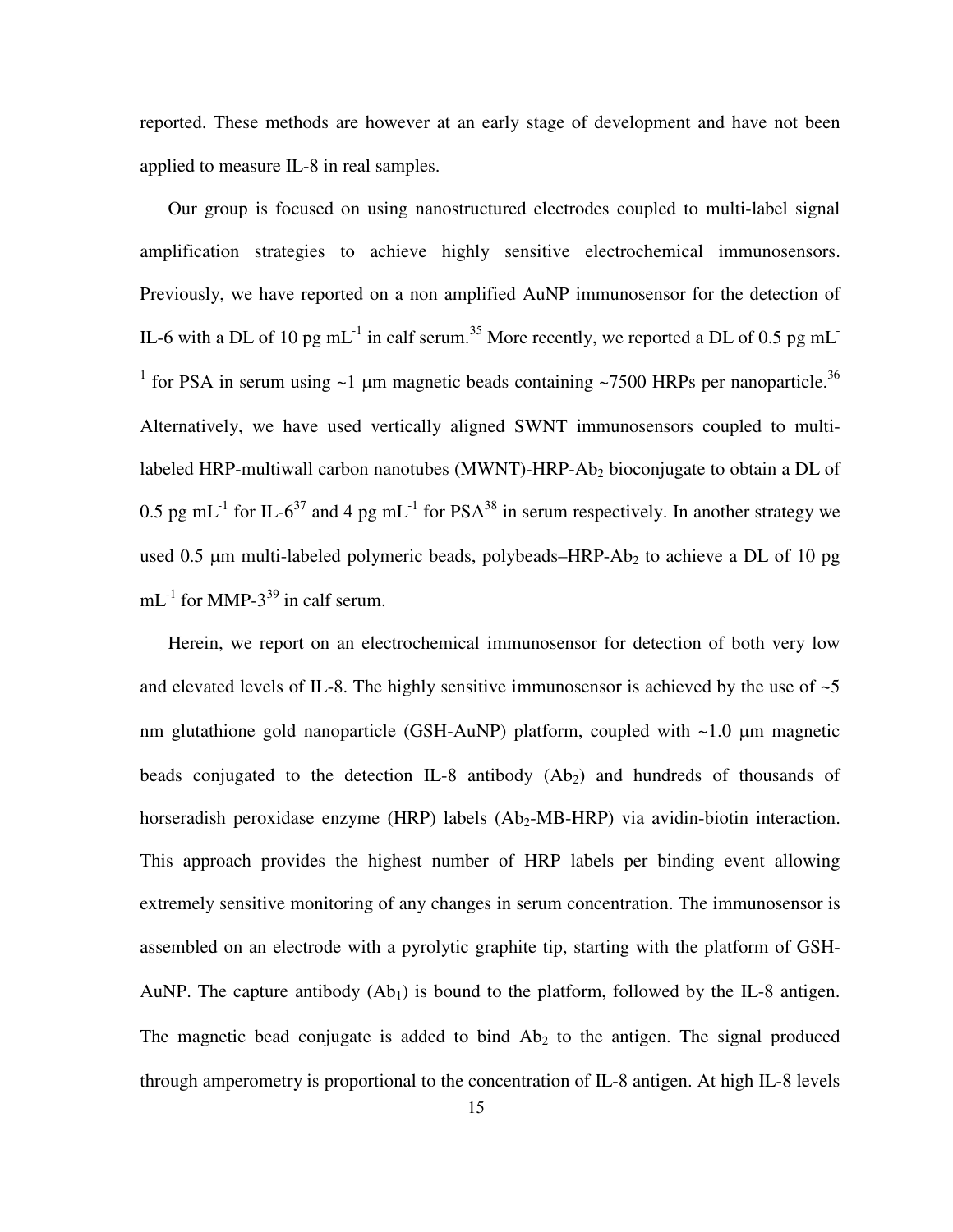reported. These methods are however at an early stage of development and have not been applied to measure IL-8 in real samples.

Our group is focused on using nanostructured electrodes coupled to multi-label signal amplification strategies to achieve highly sensitive electrochemical immunosensors. Previously, we have reported on a non amplified AuNP immunosensor for the detection of IL-6 with a DL of 10 pg mL<sup>-1</sup> in calf serum.<sup>35</sup> More recently, we reported a DL of 0.5 pg mL<sup>-1</sup> <sup>1</sup> for PSA in serum using  $\sim$ 1 µm magnetic beads containing  $\sim$ 7500 HRPs per nanoparticle.<sup>36</sup> Alternatively, we have used vertically aligned SWNT immunosensors coupled to multilabeled HRP-multiwall carbon nanotubes (MWNT)-HRP-Ab<sub>2</sub> bioconjugate to obtain a DL of 0.5 pg mL<sup>-1</sup> for IL-6<sup>37</sup> and 4 pg mL<sup>-1</sup> for PSA<sup>38</sup> in serum respectively. In another strategy we used 0.5  $\mu$ m multi-labeled polymeric beads, polybeads–HRP-Ab<sub>2</sub> to achieve a DL of 10 pg  $mL^{-1}$  for MMP-3<sup>39</sup> in calf serum.

Herein, we report on an electrochemical immunosensor for detection of both very low and elevated levels of IL-8. The highly sensitive immunosensor is achieved by the use of  $\sim$  5 nm glutathione gold nanoparticle (GSH-AuNP) platform, coupled with ~1.0 µm magnetic beads conjugated to the detection IL-8 antibody  $(Ab<sub>2</sub>)$  and hundreds of thousands of horseradish peroxidase enzyme (HRP) labels  $(Ab<sub>2</sub>-MB-HRP)$  via avidin-biotin interaction. This approach provides the highest number of HRP labels per binding event allowing extremely sensitive monitoring of any changes in serum concentration. The immunosensor is assembled on an electrode with a pyrolytic graphite tip, starting with the platform of GSH-AuNP. The capture antibody  $(Ab_1)$  is bound to the platform, followed by the IL-8 antigen. The magnetic bead conjugate is added to bind  $Ab<sub>2</sub>$  to the antigen. The signal produced through amperometry is proportional to the concentration of IL-8 antigen. At high IL-8 levels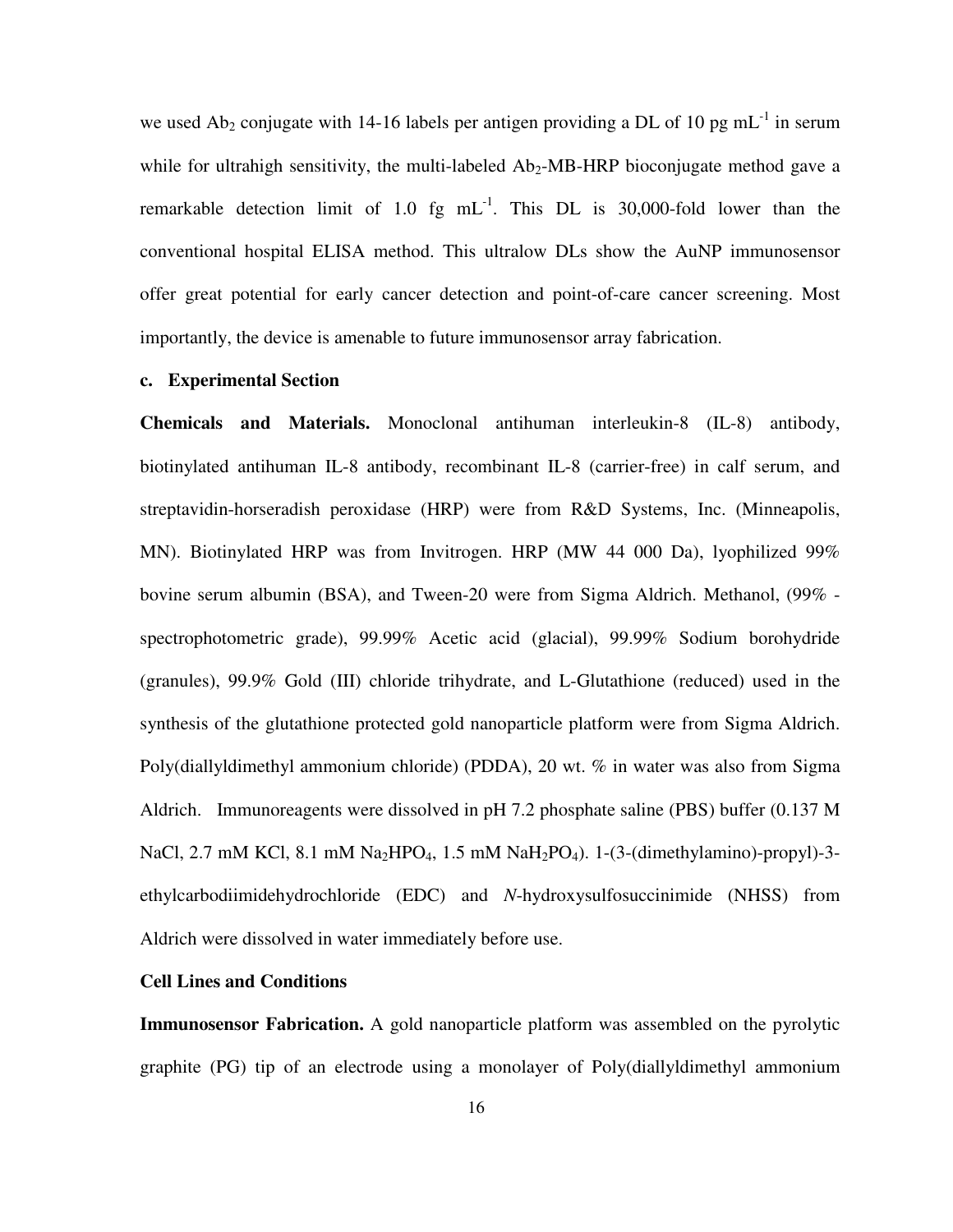we used Ab<sub>2</sub> conjugate with 14-16 labels per antigen providing a DL of 10 pg mL<sup>-1</sup> in serum while for ultrahigh sensitivity, the multi-labeled  $Ab<sub>2</sub>-MB-HRP$  bioconjugate method gave a remarkable detection limit of 1.0 fg  $mL^{-1}$ . This DL is 30,000-fold lower than the conventional hospital ELISA method. This ultralow DLs show the AuNP immunosensor offer great potential for early cancer detection and point-of-care cancer screening. Most importantly, the device is amenable to future immunosensor array fabrication.

#### **c. Experimental Section**

**Chemicals and Materials.** Monoclonal antihuman interleukin-8 (IL-8) antibody, biotinylated antihuman IL-8 antibody, recombinant IL-8 (carrier-free) in calf serum, and streptavidin-horseradish peroxidase (HRP) were from R&D Systems, Inc. (Minneapolis, MN). Biotinylated HRP was from Invitrogen. HRP (MW 44 000 Da), lyophilized 99% bovine serum albumin (BSA), and Tween-20 were from Sigma Aldrich. Methanol, (99% spectrophotometric grade), 99.99% Acetic acid (glacial), 99.99% Sodium borohydride (granules), 99.9% Gold (III) chloride trihydrate, and L-Glutathione (reduced) used in the synthesis of the glutathione protected gold nanoparticle platform were from Sigma Aldrich. Poly(diallyldimethyl ammonium chloride) (PDDA), 20 wt. % in water was also from Sigma Aldrich. Immunoreagents were dissolved in pH 7.2 phosphate saline (PBS) buffer (0.137 M NaCl, 2.7 mM KCl, 8.1 mM Na<sub>2</sub>HPO<sub>4</sub>, 1.5 mM NaH<sub>2</sub>PO<sub>4</sub>). 1-(3-(dimethylamino)-propyl)-3ethylcarbodiimidehydrochloride (EDC) and *N*-hydroxysulfosuccinimide (NHSS) from Aldrich were dissolved in water immediately before use.

#### **Cell Lines and Conditions**

**Immunosensor Fabrication.** A gold nanoparticle platform was assembled on the pyrolytic graphite (PG) tip of an electrode using a monolayer of Poly(diallyldimethyl ammonium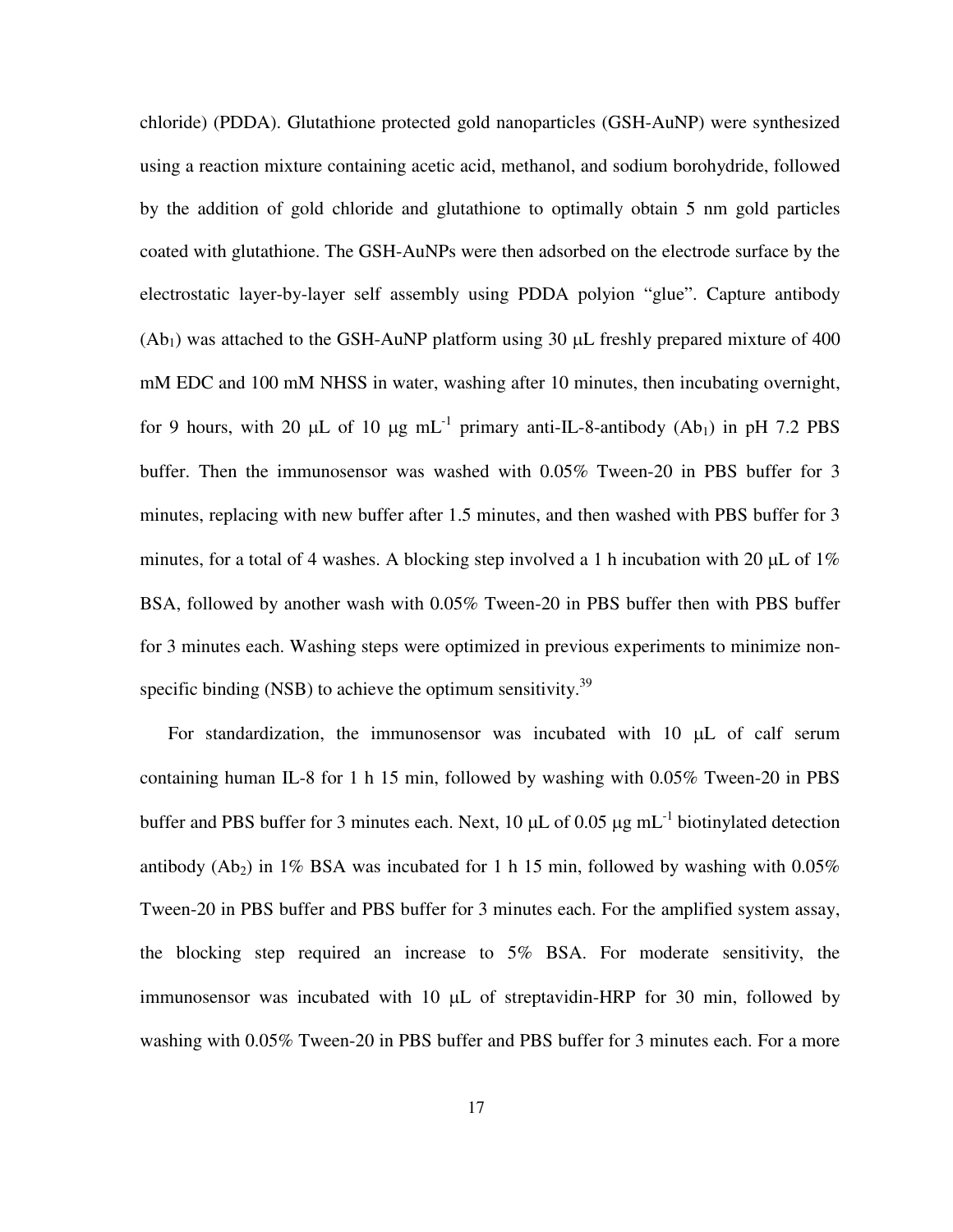chloride) (PDDA). Glutathione protected gold nanoparticles (GSH-AuNP) were synthesized using a reaction mixture containing acetic acid, methanol, and sodium borohydride, followed by the addition of gold chloride and glutathione to optimally obtain 5 nm gold particles coated with glutathione. The GSH-AuNPs were then adsorbed on the electrode surface by the electrostatic layer-by-layer self assembly using PDDA polyion "glue". Capture antibody  $(Ab<sub>1</sub>)$  was attached to the GSH-AuNP platform using 30  $\mu$ L freshly prepared mixture of 400 mM EDC and 100 mM NHSS in water, washing after 10 minutes, then incubating overnight, for 9 hours, with 20  $\mu$ L of 10  $\mu$ g mL<sup>-1</sup> primary anti-IL-8-antibody (Ab<sub>1</sub>) in pH 7.2 PBS buffer. Then the immunosensor was washed with 0.05% Tween-20 in PBS buffer for 3 minutes, replacing with new buffer after 1.5 minutes, and then washed with PBS buffer for 3 minutes, for a total of 4 washes. A blocking step involved a 1 h incubation with 20  $\mu$ L of 1% BSA, followed by another wash with 0.05% Tween-20 in PBS buffer then with PBS buffer for 3 minutes each. Washing steps were optimized in previous experiments to minimize nonspecific binding (NSB) to achieve the optimum sensitivity.<sup>39</sup>

For standardization, the immunosensor was incubated with  $10 \mu L$  of calf serum containing human IL-8 for 1 h 15 min, followed by washing with 0.05% Tween-20 in PBS buffer and PBS buffer for 3 minutes each. Next, 10  $\mu$ L of 0.05  $\mu$ g mL<sup>-1</sup> biotinylated detection antibody (Ab<sub>2</sub>) in 1% BSA was incubated for 1 h 15 min, followed by washing with 0.05% Tween-20 in PBS buffer and PBS buffer for 3 minutes each. For the amplified system assay, the blocking step required an increase to 5% BSA. For moderate sensitivity, the immunosensor was incubated with 10 µL of streptavidin-HRP for 30 min, followed by washing with 0.05% Tween-20 in PBS buffer and PBS buffer for 3 minutes each. For a more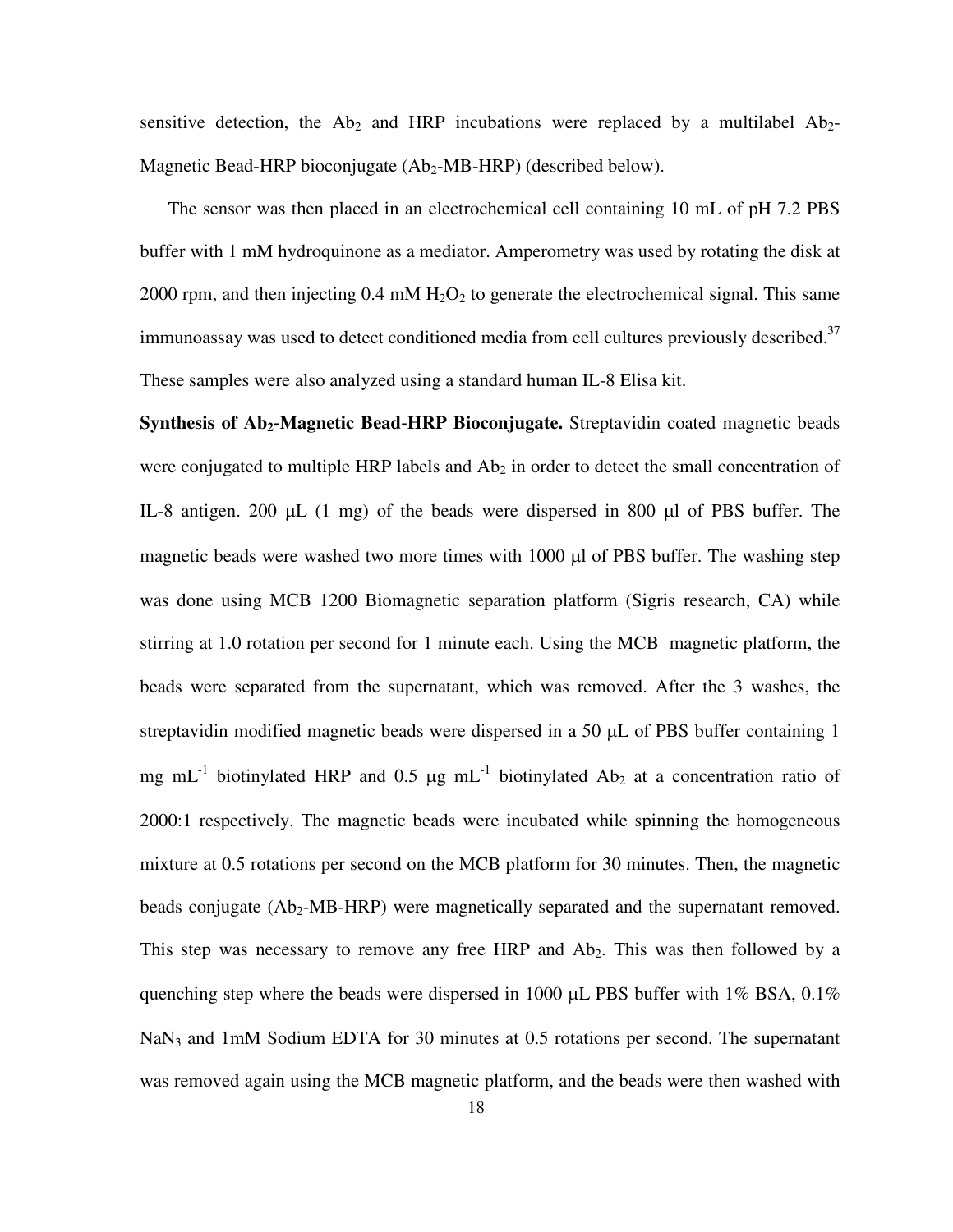sensitive detection, the  $Ab_2$  and HRP incubations were replaced by a multilabel  $Ab_2$ -Magnetic Bead-HRP bioconjugate  $(Ab<sub>2</sub>-MB-HRP)$  (described below).

The sensor was then placed in an electrochemical cell containing 10 mL of pH 7.2 PBS buffer with 1 mM hydroquinone as a mediator. Amperometry was used by rotating the disk at 2000 rpm, and then injecting  $0.4 \text{ mM } H_2O_2$  to generate the electrochemical signal. This same immunoassay was used to detect conditioned media from cell cultures previously described.<sup>37</sup> These samples were also analyzed using a standard human IL-8 Elisa kit.

**Synthesis of Ab2-Magnetic Bead-HRP Bioconjugate.** Streptavidin coated magnetic beads were conjugated to multiple HRP labels and  $Ab<sub>2</sub>$  in order to detect the small concentration of IL-8 antigen. 200 µL (1 mg) of the beads were dispersed in 800 µl of PBS buffer. The magnetic beads were washed two more times with 1000 µl of PBS buffer. The washing step was done using MCB 1200 Biomagnetic separation platform (Sigris research, CA) while stirring at 1.0 rotation per second for 1 minute each. Using the MCB magnetic platform, the beads were separated from the supernatant, which was removed. After the 3 washes, the streptavidin modified magnetic beads were dispersed in a 50 µL of PBS buffer containing 1 mg mL<sup>-1</sup> biotinylated HRP and 0.5  $\mu$ g mL<sup>-1</sup> biotinylated Ab<sub>2</sub> at a concentration ratio of 2000:1 respectively. The magnetic beads were incubated while spinning the homogeneous mixture at 0.5 rotations per second on the MCB platform for 30 minutes. Then, the magnetic beads conjugate  $(Ab<sub>2</sub>-MB-HRP)$  were magnetically separated and the supernatant removed. This step was necessary to remove any free HRP and  $Ab<sub>2</sub>$ . This was then followed by a quenching step where the beads were dispersed in 1000  $\mu$ L PBS buffer with 1% BSA, 0.1% NaN<sub>3</sub> and 1mM Sodium EDTA for 30 minutes at 0.5 rotations per second. The supernatant was removed again using the MCB magnetic platform, and the beads were then washed with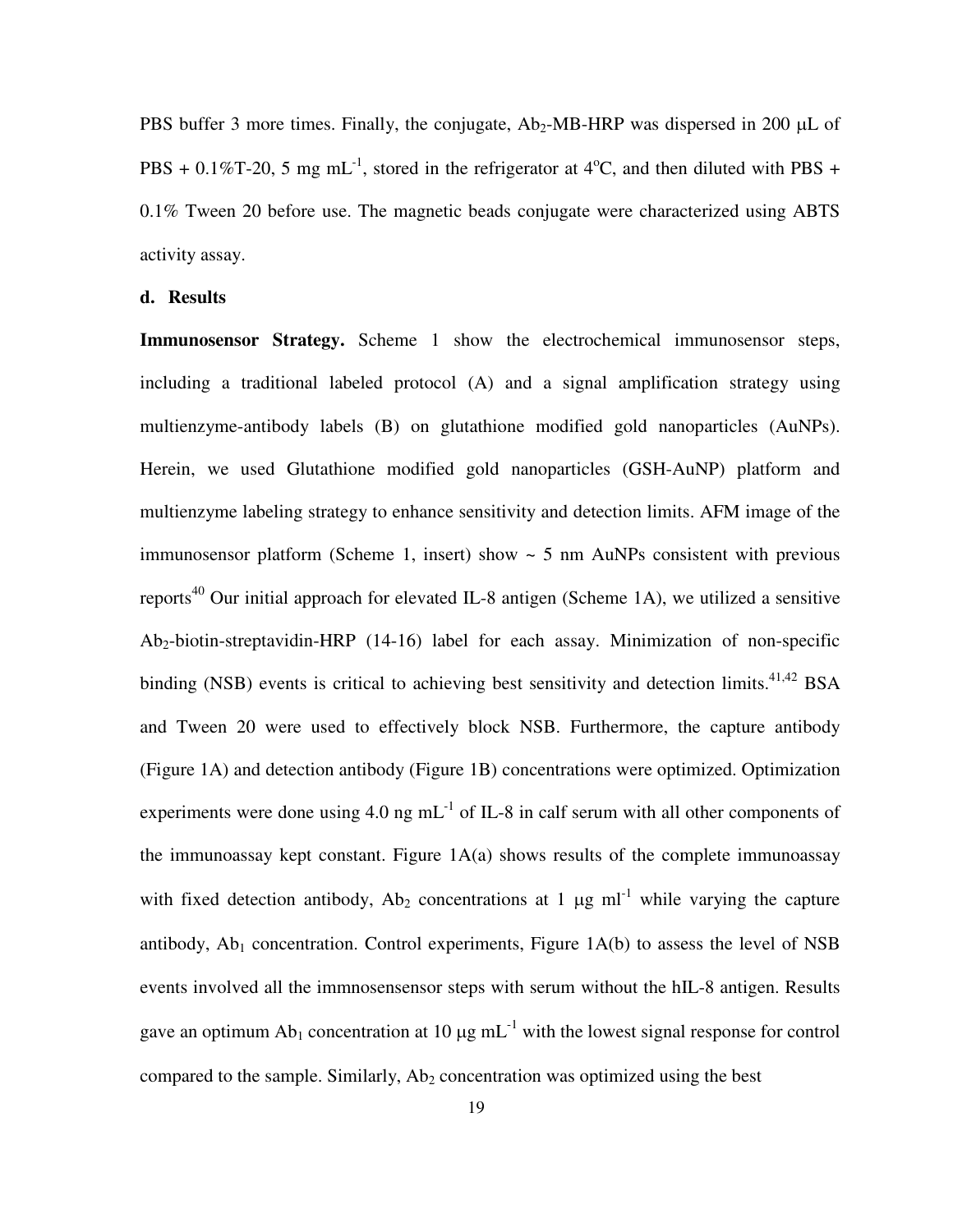PBS buffer 3 more times. Finally, the conjugate,  $Ab_2$ -MB-HRP was dispersed in 200 µL of PBS + 0.1%T-20, 5 mg mL<sup>-1</sup>, stored in the refrigerator at  $4^{\circ}$ C, and then diluted with PBS + 0.1% Tween 20 before use. The magnetic beads conjugate were characterized using ABTS activity assay.

#### **d. Results**

**Immunosensor Strategy.** Scheme 1 show the electrochemical immunosensor steps, including a traditional labeled protocol (A) and a signal amplification strategy using multienzyme-antibody labels (B) on glutathione modified gold nanoparticles (AuNPs). Herein, we used Glutathione modified gold nanoparticles (GSH-AuNP) platform and multienzyme labeling strategy to enhance sensitivity and detection limits. AFM image of the immunosensor platform (Scheme 1, insert) show  $\sim$  5 nm AuNPs consistent with previous reports<sup>40</sup> Our initial approach for elevated IL-8 antigen (Scheme 1A), we utilized a sensitive Ab2-biotin-streptavidin-HRP (14-16) label for each assay. Minimization of non-specific binding (NSB) events is critical to achieving best sensitivity and detection limits.<sup>41,42</sup> BSA and Tween 20 were used to effectively block NSB. Furthermore, the capture antibody (Figure 1A) and detection antibody (Figure 1B) concentrations were optimized. Optimization experiments were done using 4.0 ng  $mL^{-1}$  of IL-8 in calf serum with all other components of the immunoassay kept constant. Figure  $1A(a)$  shows results of the complete immunoassay with fixed detection antibody,  $Ab_2$  concentrations at 1  $\mu$ g ml<sup>-1</sup> while varying the capture antibody,  $Ab_1$  concentration. Control experiments, Figure 1A(b) to assess the level of NSB events involved all the immnosensensor steps with serum without the hIL-8 antigen. Results gave an optimum Ab<sub>1</sub> concentration at 10  $\mu$ g mL<sup>-1</sup> with the lowest signal response for control compared to the sample. Similarly,  $Ab<sub>2</sub>$  concentration was optimized using the best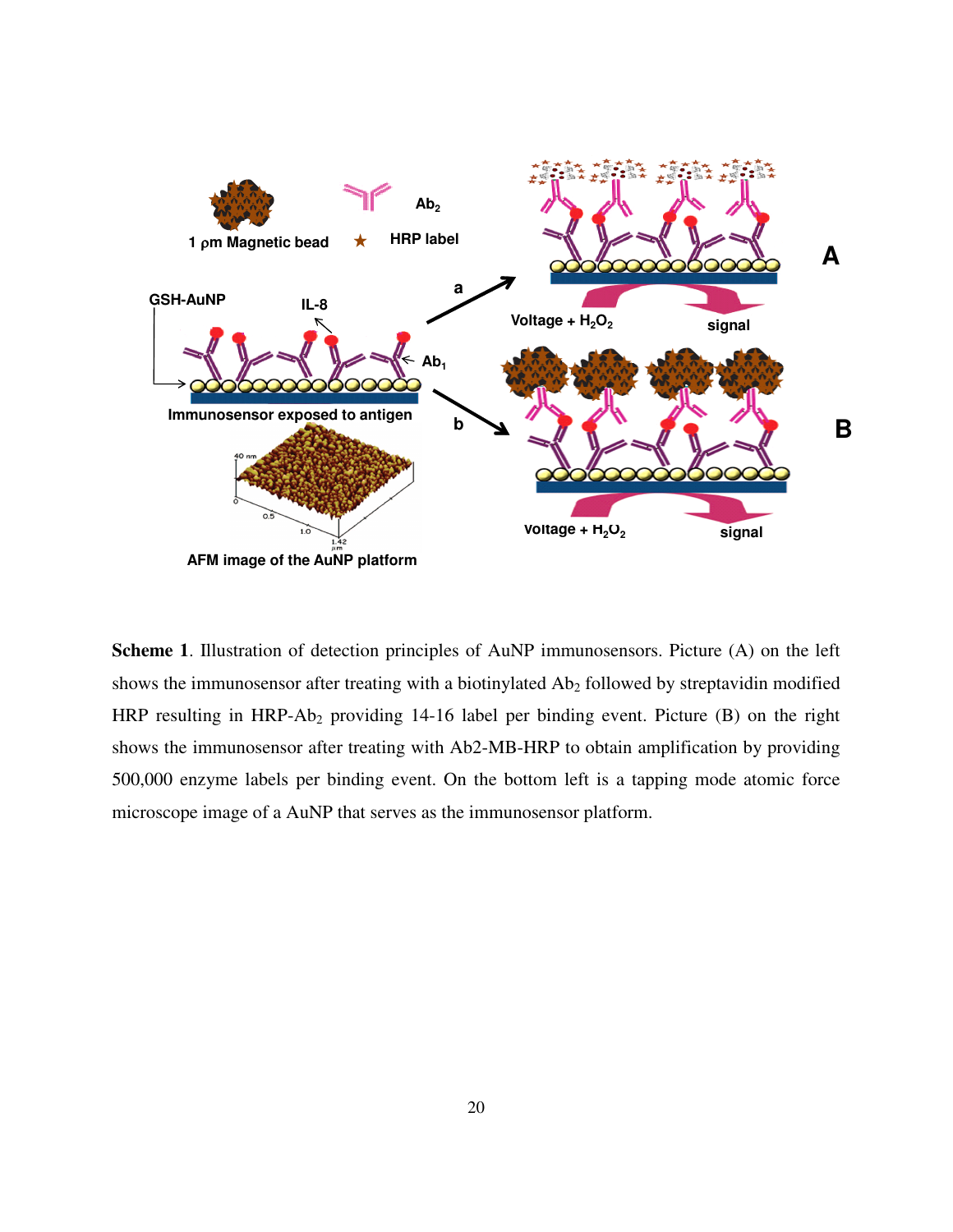

**Scheme 1**. Illustration of detection principles of AuNP immunosensors. Picture (A) on the left shows the immunosensor after treating with a biotinylated  $Ab<sub>2</sub>$  followed by streptavidin modified HRP resulting in HRP-Ab<sub>2</sub> providing 14-16 label per binding event. Picture (B) on the right shows the immunosensor after treating with Ab2-MB-HRP to obtain amplification by providing 500,000 enzyme labels per binding event. On the bottom left is a tapping mode atomic force microscope image of a AuNP that serves as the immunosensor platform.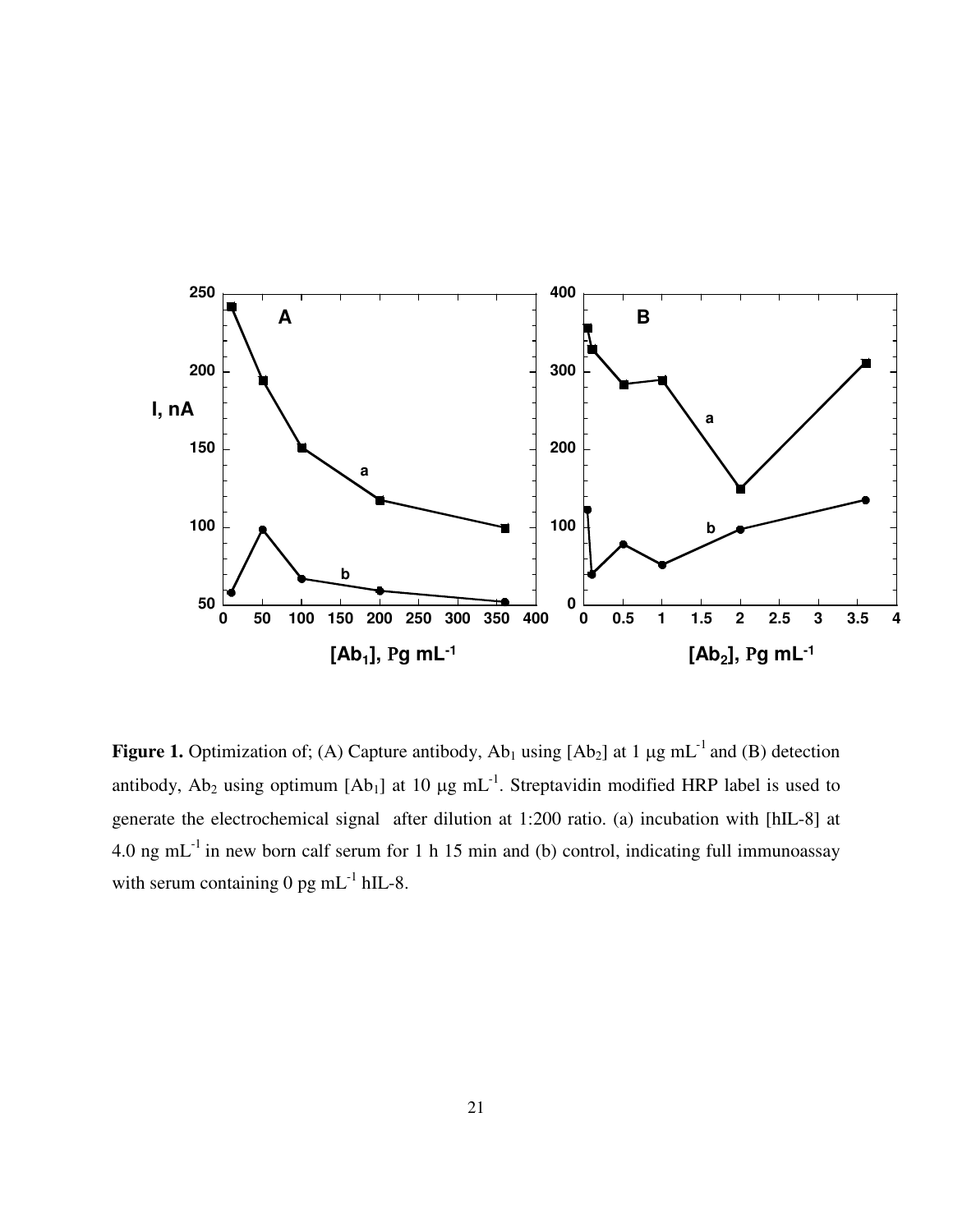

**Figure 1.** Optimization of; (A) Capture antibody, Ab<sub>1</sub> using [Ab<sub>2</sub>] at 1 µg mL<sup>-1</sup> and (B) detection antibody,  $Ab_2$  using optimum  $[Ab_1]$  at 10  $\mu$ g mL<sup>-1</sup>. Streptavidin modified HRP label is used to generate the electrochemical signal after dilution at 1:200 ratio. (a) incubation with [hIL-8] at 4.0 ng mL $^{-1}$  in new born calf serum for 1 h 15 min and (b) control, indicating full immunoassay with serum containing 0 pg  $mL^{-1}$  hIL-8.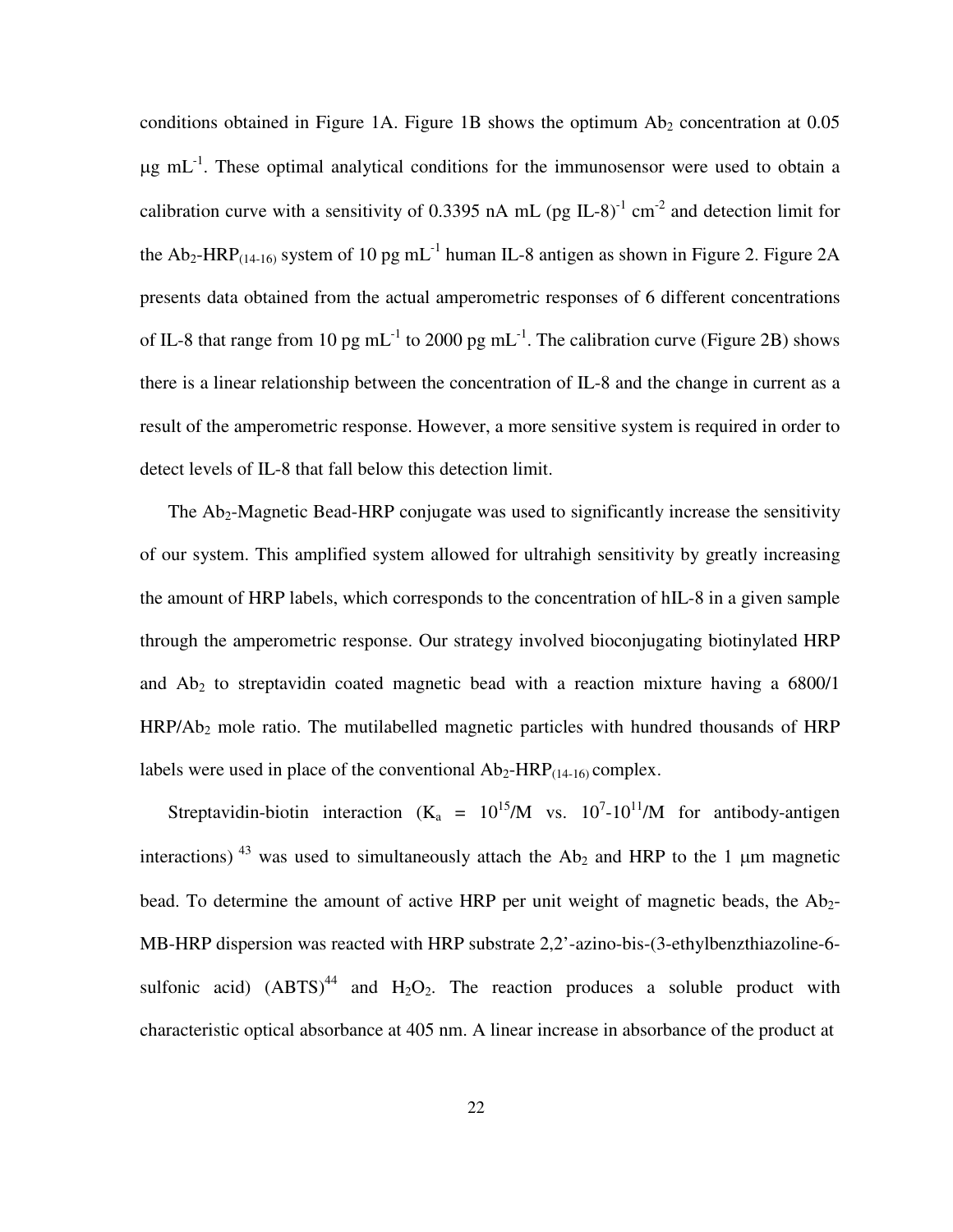conditions obtained in Figure 1A. Figure 1B shows the optimum  $Ab<sub>2</sub>$  concentration at 0.05  $\mu$ g mL<sup>-1</sup>. These optimal analytical conditions for the immunosensor were used to obtain a calibration curve with a sensitivity of 0.3395 nA mL (pg IL-8)<sup>-1</sup> cm<sup>-2</sup> and detection limit for the  $Ab_2-HRP_{(14-16)}$  system of 10 pg mL<sup>-1</sup> human IL-8 antigen as shown in Figure 2. Figure 2A presents data obtained from the actual amperometric responses of 6 different concentrations of IL-8 that range from 10 pg mL<sup>-1</sup> to 2000 pg mL<sup>-1</sup>. The calibration curve (Figure 2B) shows there is a linear relationship between the concentration of IL-8 and the change in current as a result of the amperometric response. However, a more sensitive system is required in order to detect levels of IL-8 that fall below this detection limit.

The  $Ab_2$ -Magnetic Bead-HRP conjugate was used to significantly increase the sensitivity of our system. This amplified system allowed for ultrahigh sensitivity by greatly increasing the amount of HRP labels, which corresponds to the concentration of hIL-8 in a given sample through the amperometric response. Our strategy involved bioconjugating biotinylated HRP and  $Ab<sub>2</sub>$  to streptavidin coated magnetic bead with a reaction mixture having a 6800/1 HRP/Ab2 mole ratio. The mutilabelled magnetic particles with hundred thousands of HRP labels were used in place of the conventional  $Ab_2-HRP_{(14-16)}$  complex.

Streptavidin-biotin interaction ( $K_a = 10^{15}/M$  vs.  $10^7 - 10^{11}/M$  for antibody-antigen interactions)<sup>43</sup> was used to simultaneously attach the  $Ab_2$  and HRP to the 1  $\mu$ m magnetic bead. To determine the amount of active HRP per unit weight of magnetic beads, the  $Ab_2$ -MB-HRP dispersion was reacted with HRP substrate 2,2'-azino-bis-(3-ethylbenzthiazoline-6 sulfonic acid)  $(ABTS)^{44}$  and  $H_2O_2$ . The reaction produces a soluble product with characteristic optical absorbance at 405 nm. A linear increase in absorbance of the product at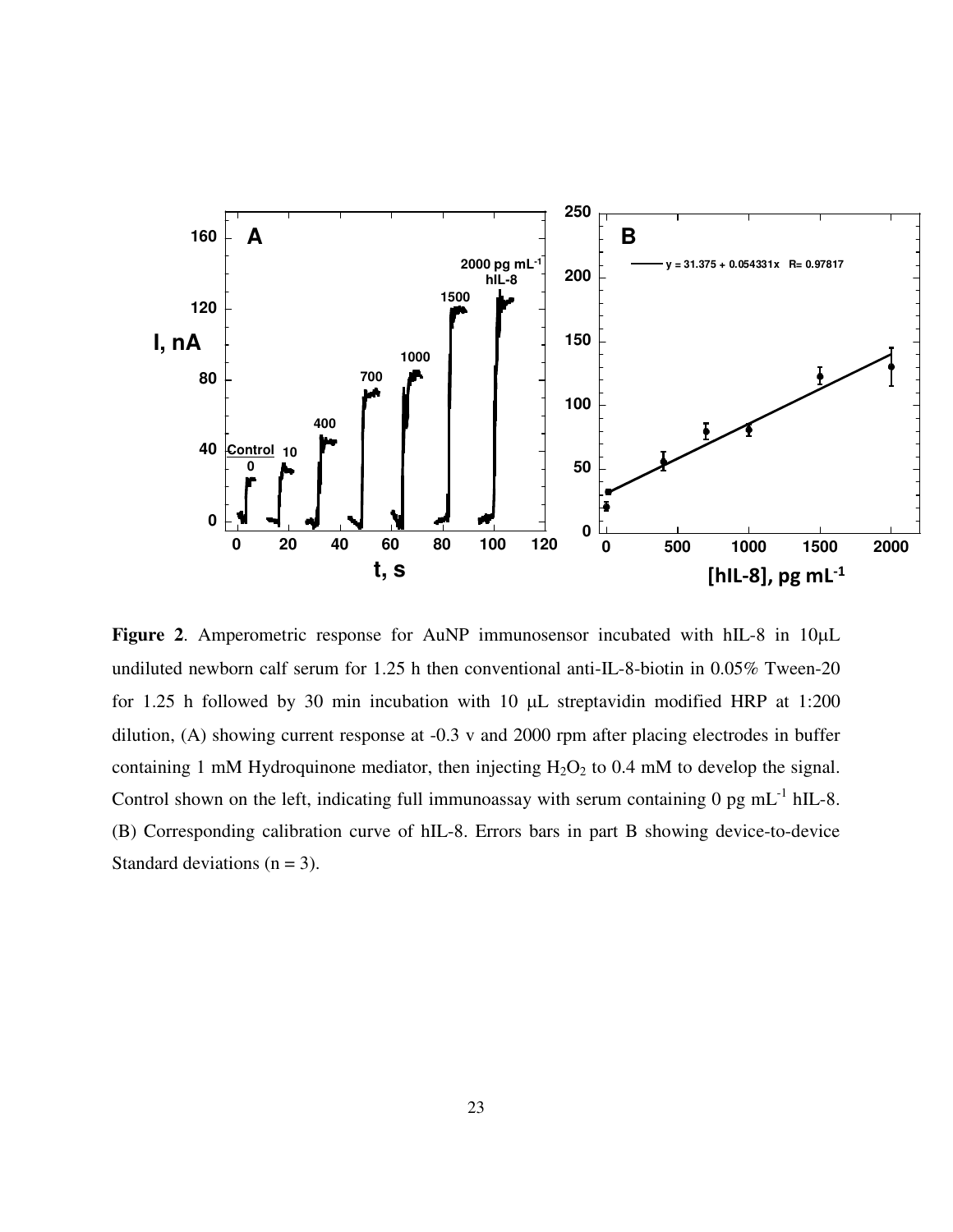

**Figure 2**. Amperometric response for AuNP immunosensor incubated with hIL-8 in 10µL undiluted newborn calf serum for 1.25 h then conventional anti-IL-8-biotin in 0.05% Tween-20 for 1.25 h followed by 30 min incubation with 10 µL streptavidin modified HRP at 1:200 dilution, (A) showing current response at -0.3 v and 2000 rpm after placing electrodes in buffer containing 1 mM Hydroquinone mediator, then injecting  $H_2O_2$  to 0.4 mM to develop the signal. Control shown on the left, indicating full immunoassay with serum containing  $0 \text{ pg mL}^{-1} \text{ hIL-8.}$ (B) Corresponding calibration curve of hIL-8. Errors bars in part B showing device-to-device Standard deviations  $(n = 3)$ .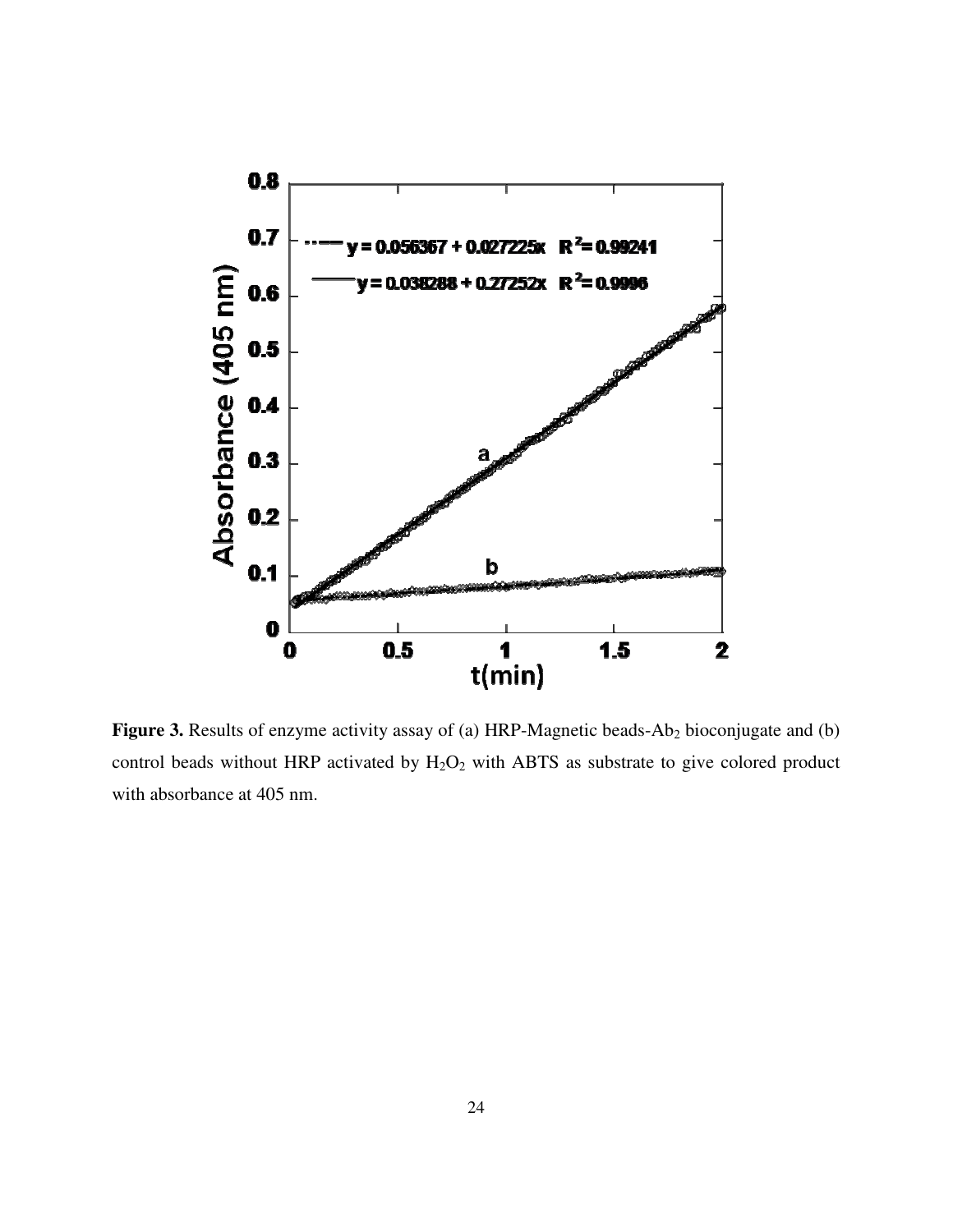

Figure 3. Results of enzyme activity assay of (a) HRP-Magnetic beads-Ab<sub>2</sub> bioconjugate and (b) control beads without HRP activated by  $H_2O_2$  with ABTS as substrate to give colored product with absorbance at 405 nm.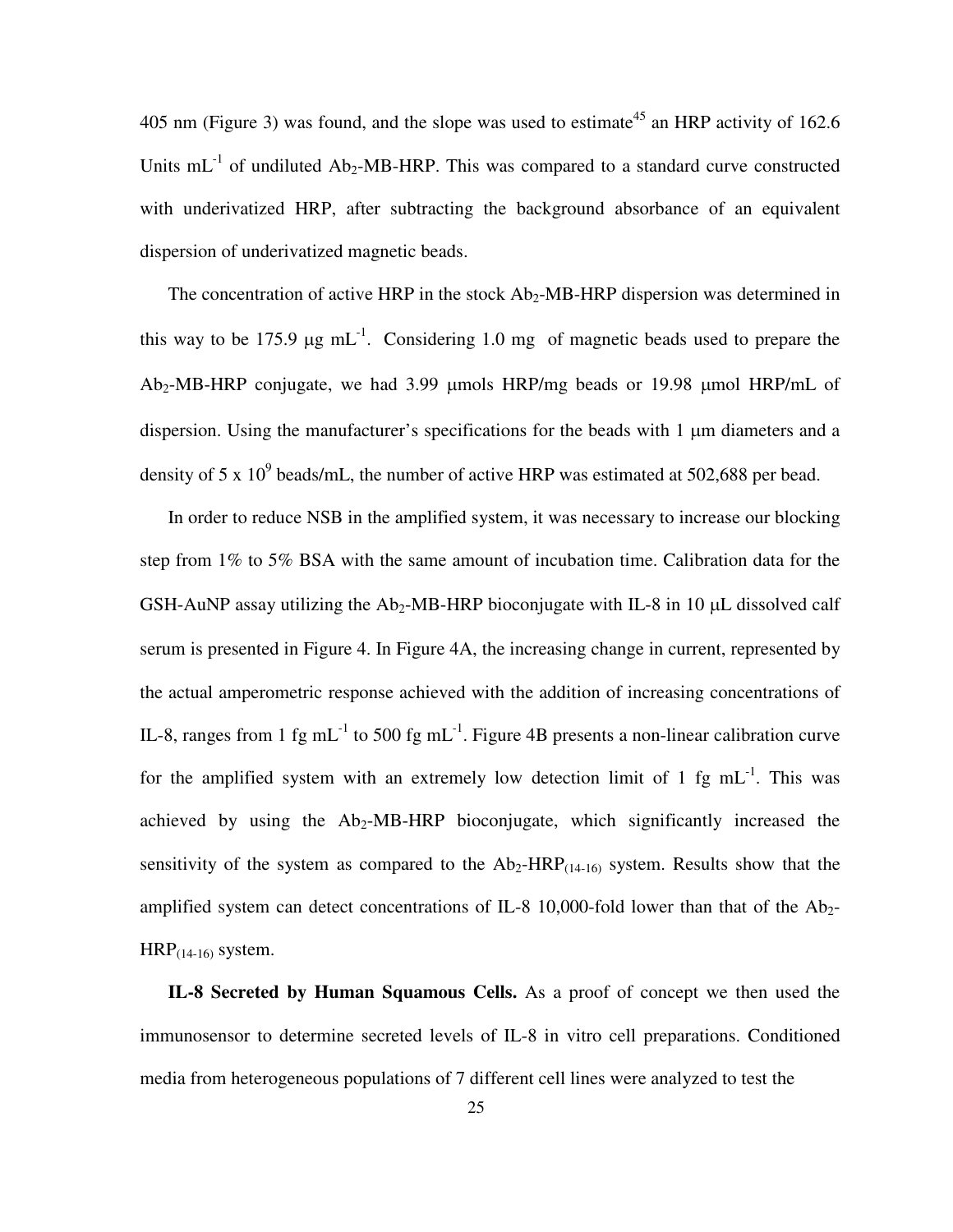405 nm (Figure 3) was found, and the slope was used to estimate<sup>45</sup> an HRP activity of 162.6 Units  $mL^{-1}$  of undiluted Ab<sub>2</sub>-MB-HRP. This was compared to a standard curve constructed with underivatized HRP, after subtracting the background absorbance of an equivalent dispersion of underivatized magnetic beads.

The concentration of active HRP in the stock  $Ab_2-MB-HRP$  dispersion was determined in this way to be 175.9  $\mu$ g mL<sup>-1</sup>. Considering 1.0 mg of magnetic beads used to prepare the Ab2-MB-HRP conjugate, we had 3.99 µmols HRP/mg beads or 19.98 µmol HRP/mL of dispersion. Using the manufacturer's specifications for the beads with 1 µm diameters and a density of 5 x 10<sup>9</sup> beads/mL, the number of active HRP was estimated at 502,688 per bead.

In order to reduce NSB in the amplified system, it was necessary to increase our blocking step from 1% to 5% BSA with the same amount of incubation time. Calibration data for the GSH-AuNP assay utilizing the  $Ab_2$ -MB-HRP bioconjugate with IL-8 in 10 µL dissolved calf serum is presented in Figure 4. In Figure 4A, the increasing change in current, represented by the actual amperometric response achieved with the addition of increasing concentrations of IL-8, ranges from 1 fg mL<sup>-1</sup> to 500 fg mL<sup>-1</sup>. Figure 4B presents a non-linear calibration curve for the amplified system with an extremely low detection limit of 1 fg  $mL^{-1}$ . This was achieved by using the  $Ab_2-MB-HRP$  bioconjugate, which significantly increased the sensitivity of the system as compared to the  $Ab_2-HRP_{(14-16)}$  system. Results show that the amplified system can detect concentrations of IL-8 10,000-fold lower than that of the  $Ab_2$ - $HRP_{(14-16)}$  system.

**IL-8 Secreted by Human Squamous Cells.** As a proof of concept we then used the immunosensor to determine secreted levels of IL-8 in vitro cell preparations. Conditioned media from heterogeneous populations of 7 different cell lines were analyzed to test the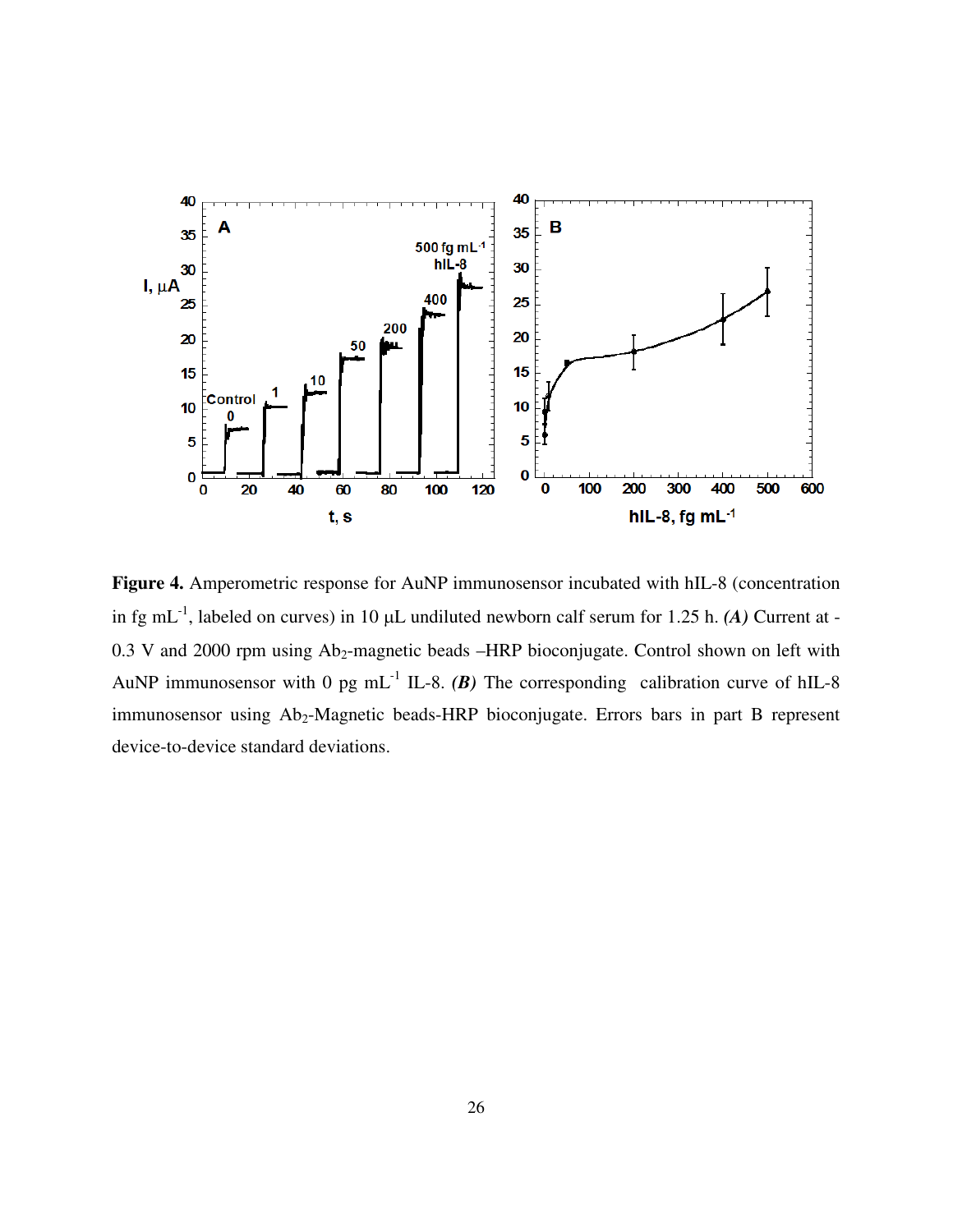

**Figure 4.** Amperometric response for AuNP immunosensor incubated with hIL-8 (concentration in fg mL<sup>-1</sup>, labeled on curves) in 10  $\mu$ L undiluted newborn calf serum for 1.25 h. *(A)* Current at -0.3 V and 2000 rpm using  $Ab_2$ -magnetic beads –HRP bioconjugate. Control shown on left with AuNP immunosensor with 0 pg mL<sup>-1</sup> IL-8. *(B)* The corresponding calibration curve of hIL-8 immunosensor using Ab<sub>2</sub>-Magnetic beads-HRP bioconjugate. Errors bars in part B represent device-to-device standard deviations.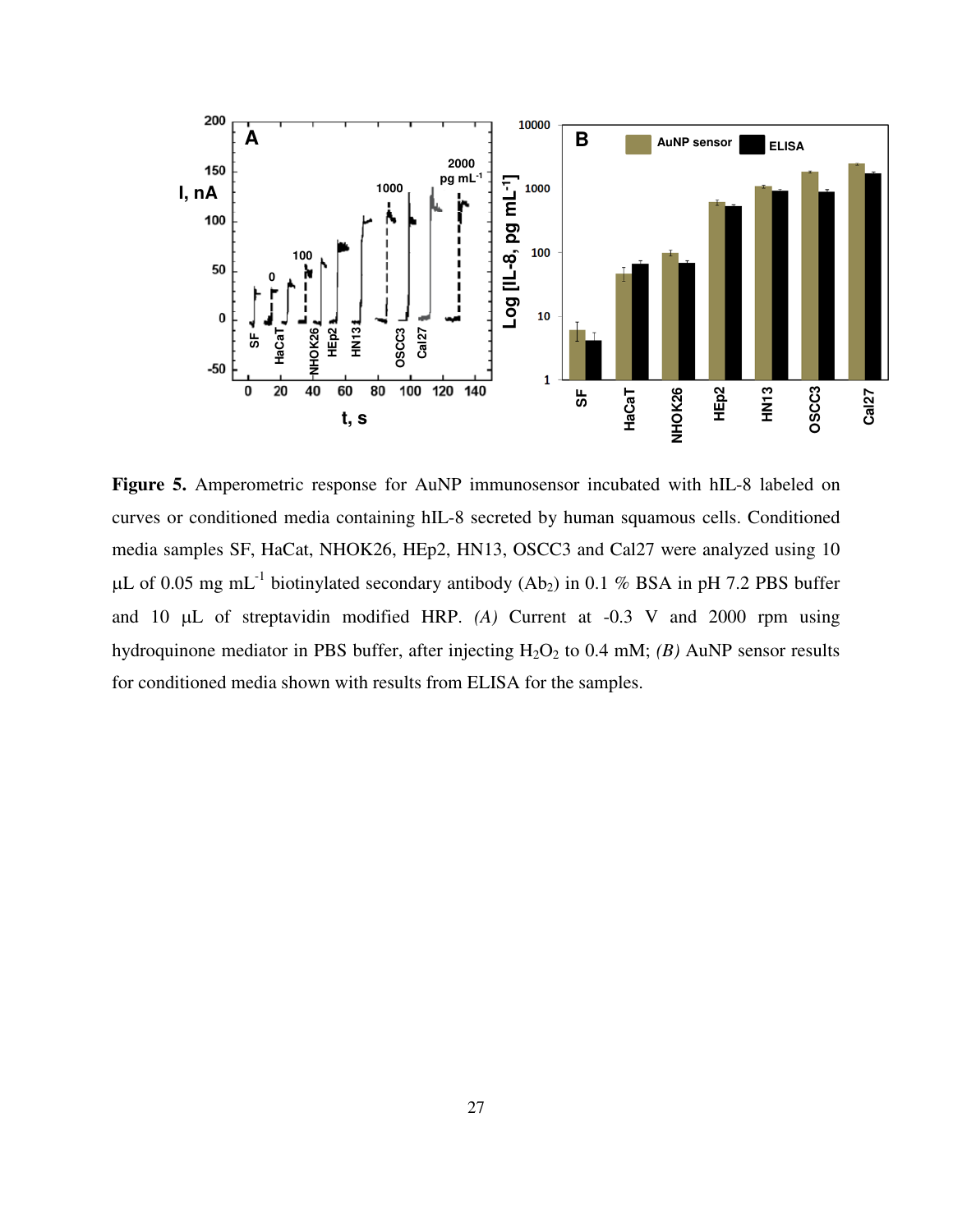

**Figure 5.** Amperometric response for AuNP immunosensor incubated with hIL-8 labeled on curves or conditioned media containing hIL-8 secreted by human squamous cells. Conditioned media samples SF, HaCat, NHOK26, HEp2, HN13, OSCC3 and Cal27 were analyzed using 10 µL of 0.05 mg mL<sup>-1</sup> biotinylated secondary antibody (Ab<sub>2</sub>) in 0.1 % BSA in pH 7.2 PBS buffer and 10 µL of streptavidin modified HRP. *(A)* Current at -0.3 V and 2000 rpm using hydroquinone mediator in PBS buffer, after injecting H<sub>2</sub>O<sub>2</sub> to 0.4 mM; *(B)* AuNP sensor results for conditioned media shown with results from ELISA for the samples.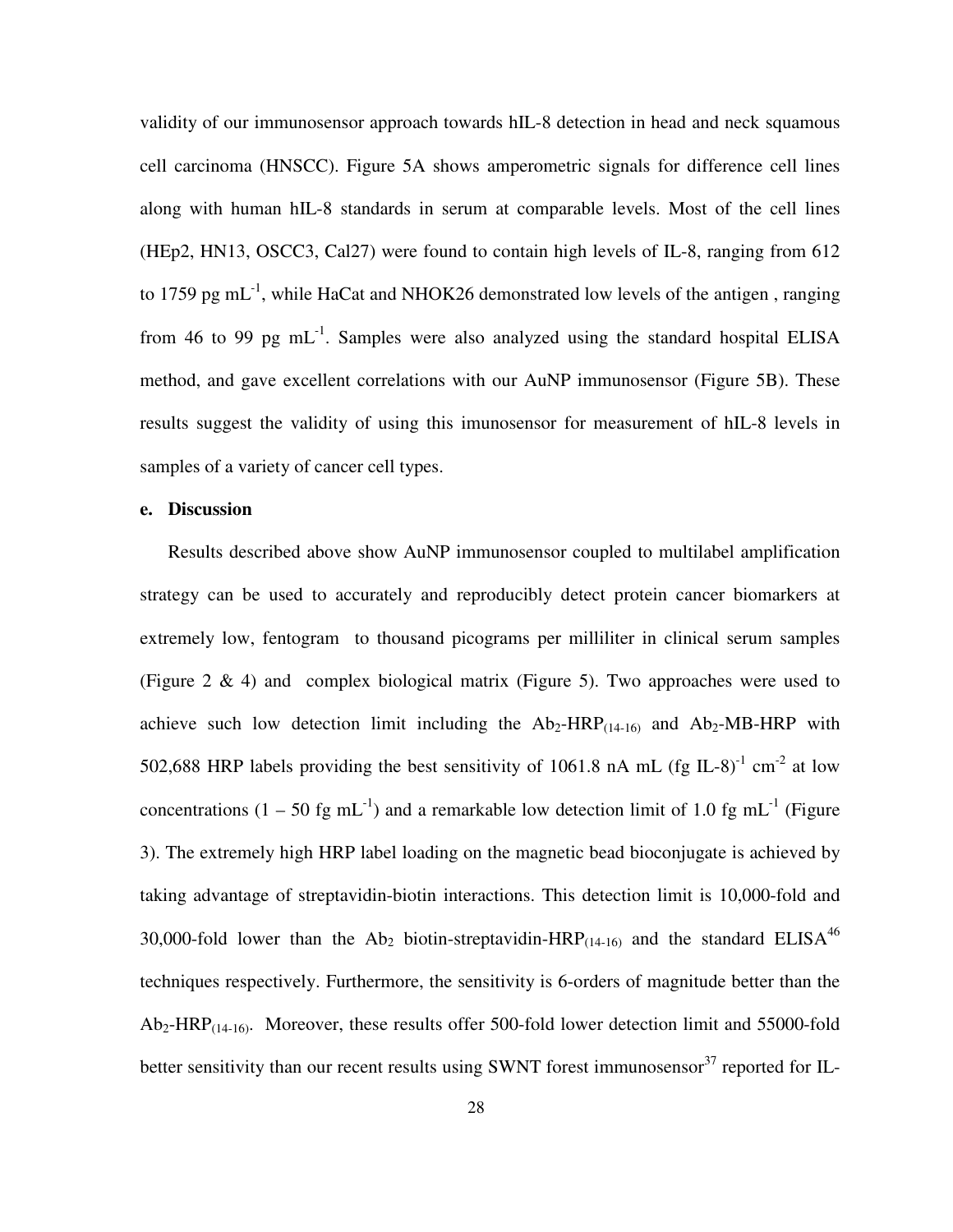validity of our immunosensor approach towards hIL-8 detection in head and neck squamous cell carcinoma (HNSCC). Figure 5A shows amperometric signals for difference cell lines along with human hIL-8 standards in serum at comparable levels. Most of the cell lines (HEp2, HN13, OSCC3, Cal27) were found to contain high levels of IL-8, ranging from 612 to 1759 pg  $mL^{-1}$ , while HaCat and NHOK26 demonstrated low levels of the antigen, ranging from 46 to 99 pg  $mL^{-1}$ . Samples were also analyzed using the standard hospital ELISA method, and gave excellent correlations with our AuNP immunosensor (Figure 5B). These results suggest the validity of using this imunosensor for measurement of hIL-8 levels in samples of a variety of cancer cell types.

#### **e. Discussion**

Results described above show AuNP immunosensor coupled to multilabel amplification strategy can be used to accurately and reproducibly detect protein cancer biomarkers at extremely low, fentogram to thousand picograms per milliliter in clinical serum samples (Figure 2  $\&$  4) and complex biological matrix (Figure 5). Two approaches were used to achieve such low detection limit including the  $Ab_2-HRP_{(14-16)}$  and  $Ab_2-MB-HRP$  with 502,688 HRP labels providing the best sensitivity of 1061.8 nA mL (fg IL-8)<sup>-1</sup> cm<sup>-2</sup> at low concentrations  $(1 - 50 \text{ fg } \text{mL}^{-1})$  and a remarkable low detection limit of 1.0 fg mL<sup>-1</sup> (Figure 3). The extremely high HRP label loading on the magnetic bead bioconjugate is achieved by taking advantage of streptavidin-biotin interactions. This detection limit is 10,000-fold and 30,000-fold lower than the Ab<sub>2</sub> biotin-streptavidin-HRP<sub>(14-16)</sub> and the standard ELISA<sup>46</sup> techniques respectively. Furthermore, the sensitivity is 6-orders of magnitude better than the  $Ab_2-HRP_{(14-16)}$ . Moreover, these results offer 500-fold lower detection limit and 55000-fold better sensitivity than our recent results using SWNT forest immunosensor $37$  reported for IL-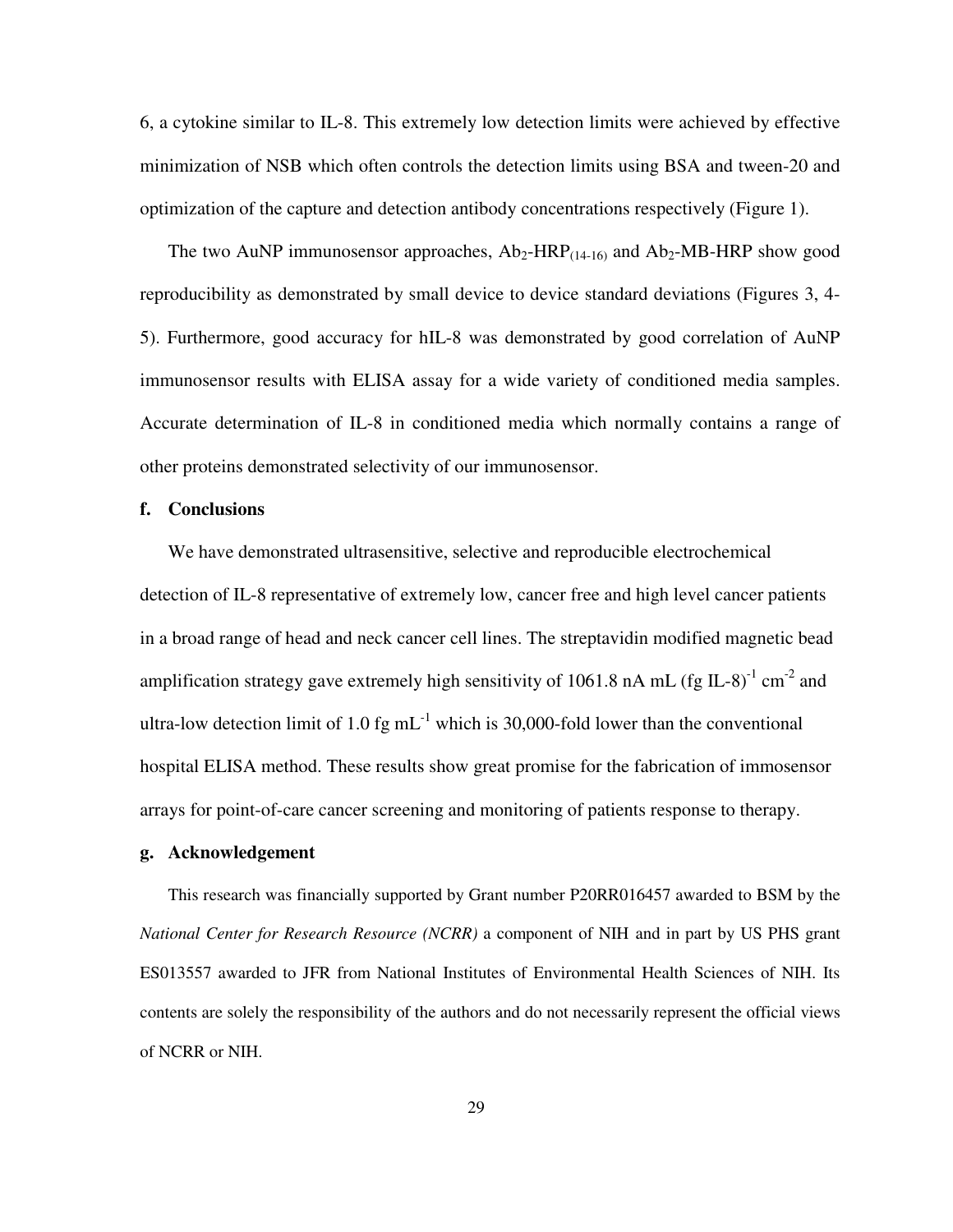6, a cytokine similar to IL-8. This extremely low detection limits were achieved by effective minimization of NSB which often controls the detection limits using BSA and tween-20 and optimization of the capture and detection antibody concentrations respectively (Figure 1).

The two AuNP immunosensor approaches,  $Ab_2-HRP_{(14-16)}$  and  $Ab_2-MB-HRP$  show good reproducibility as demonstrated by small device to device standard deviations (Figures 3, 4- 5). Furthermore, good accuracy for hIL-8 was demonstrated by good correlation of AuNP immunosensor results with ELISA assay for a wide variety of conditioned media samples. Accurate determination of IL-8 in conditioned media which normally contains a range of other proteins demonstrated selectivity of our immunosensor.

#### **f. Conclusions**

We have demonstrated ultrasensitive, selective and reproducible electrochemical detection of IL-8 representative of extremely low, cancer free and high level cancer patients in a broad range of head and neck cancer cell lines. The streptavidin modified magnetic bead amplification strategy gave extremely high sensitivity of 1061.8 nA mL (fg IL-8)<sup>-1</sup> cm<sup>-2</sup> and ultra-low detection limit of 1.0 fg  $mL^{-1}$  which is 30,000-fold lower than the conventional hospital ELISA method. These results show great promise for the fabrication of immosensor arrays for point-of-care cancer screening and monitoring of patients response to therapy.

#### **g. Acknowledgement**

This research was financially supported by Grant number P20RR016457 awarded to BSM by the *National Center for Research Resource (NCRR)* a component of NIH and in part by US PHS grant ES013557 awarded to JFR from National Institutes of Environmental Health Sciences of NIH. Its contents are solely the responsibility of the authors and do not necessarily represent the official views of NCRR or NIH.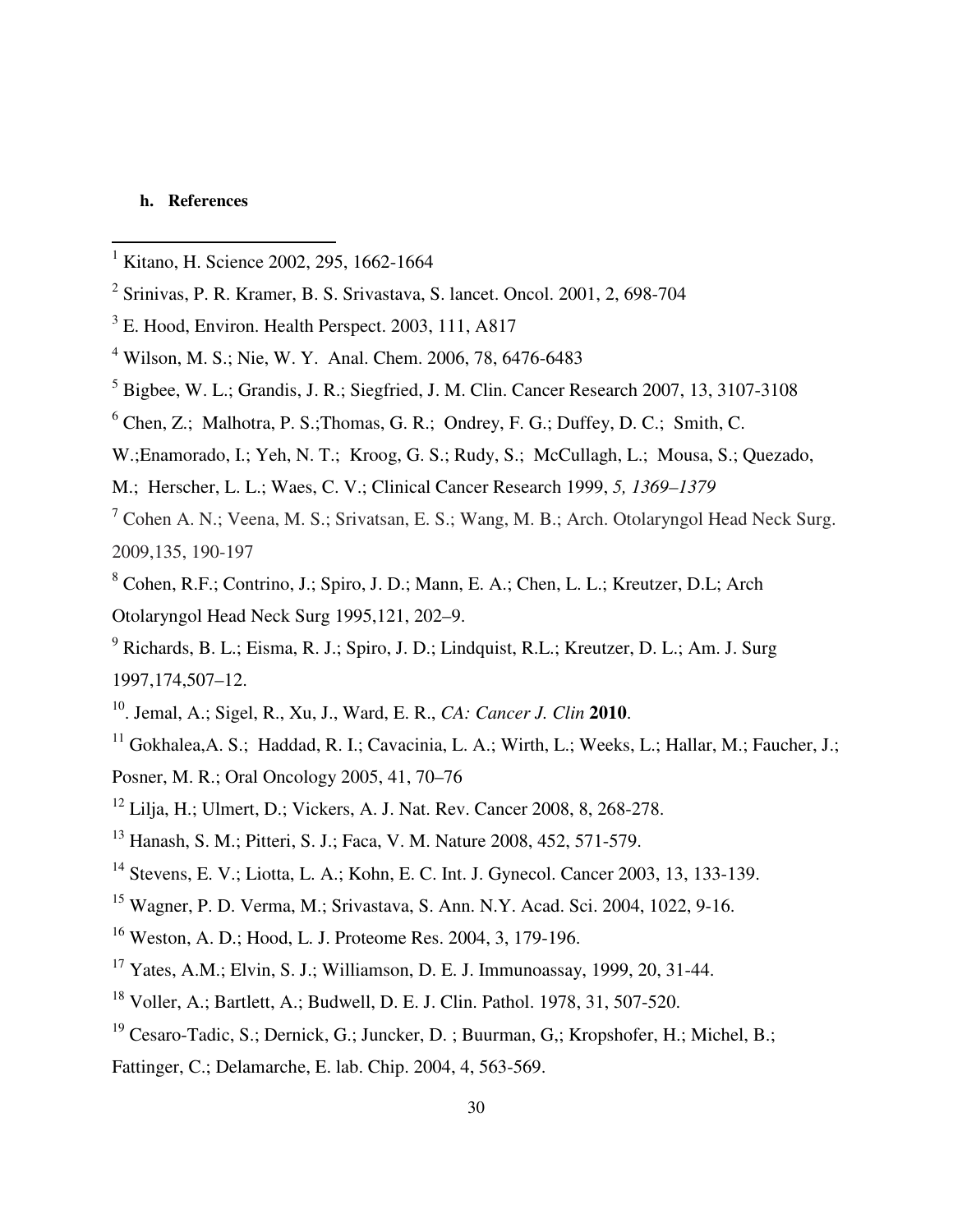#### **h. References**

 $\overline{a}$ 

- <sup>1</sup> Kitano, H. Science 2002, 295, 1662-1664
- <sup>2</sup> Srinivas, P. R. Kramer, B. S. Srivastava, S. lancet. Oncol. 2001, 2, 698-704
- <sup>3</sup> E. Hood, Environ. Health Perspect. 2003, 111, A817
- 4 Wilson, M. S.; Nie, W. Y. Anal. Chem. 2006, 78, 6476-6483
- <sup>5</sup> Bigbee, W. L.; Grandis, J. R.; Siegfried, J. M. Clin. Cancer Research 2007, 13, 3107-3108
- $6$  Chen, Z.; Malhotra, P. S.; Thomas, G. R.; Ondrey, F. G.; Duffey, D. C.; Smith, C.
- W.;Enamorado, I.; Yeh, N. T.; Kroog, G. S.; Rudy, S.; McCullagh, L.; Mousa, S.; Quezado,
- M.; Herscher, L. L.; Waes, C. V.; Clinical Cancer Research 1999, *5, 1369–1379*
- <sup>7</sup> Cohen A. N.; Veena, M. S.; Srivatsan, E. S.; Wang, M. B.; Arch. Otolaryngol Head Neck Surg. 2009,135, 190-197
- <sup>8</sup> Cohen, R.F.; Contrino, J.; Spiro, J. D.; Mann, E. A.; Chen, L. L.; Kreutzer, D.L; Arch Otolaryngol Head Neck Surg 1995,121, 202–9.
- <sup>9</sup> Richards, B. L.; Eisma, R. J.; Spiro, J. D.; Lindquist, R.L.; Kreutzer, D. L.; Am. J. Surg 1997,174,507–12.
- <sup>10</sup>. Jemal, A.; Sigel, R., Xu, J., Ward, E. R., *CA: Cancer J. Clin* **2010**.
- <sup>11</sup> Gokhalea,A. S.; Haddad, R. I.; Cavacinia, L. A.; Wirth, L.; Weeks, L.; Hallar, M.; Faucher, J.;
- Posner, M. R.; Oral Oncology 2005, 41, 70–76
- <sup>12</sup> Lilja, H.; Ulmert, D.; Vickers, A. J. Nat. Rev. Cancer 2008, 8, 268-278.
- <sup>13</sup> Hanash, S. M.; Pitteri, S. J.; Faca, V. M. Nature 2008, 452, 571-579.
- <sup>14</sup> Stevens, E. V.; Liotta, L. A.; Kohn, E. C. Int. J. Gynecol. Cancer 2003, 13, 133-139.
- <sup>15</sup> Wagner, P. D. Verma, M.; Srivastava, S. Ann. N.Y. Acad. Sci. 2004, 1022, 9-16.
- <sup>16</sup> Weston, A. D.; Hood, L. J. Proteome Res. 2004, 3, 179-196.
- $17$  Yates, A.M.; Elvin, S. J.; Williamson, D. E. J. Immunoassay, 1999, 20, 31-44.
- <sup>18</sup> Voller, A.; Bartlett, A.; Budwell, D. E. J. Clin. Pathol. 1978, 31, 507-520.
- <sup>19</sup> Cesaro-Tadic, S.; Dernick, G.; Juncker, D.; Buurman, G.; Kropshofer, H.; Michel, B.;
- Fattinger, C.; Delamarche, E. lab. Chip. 2004, 4, 563-569.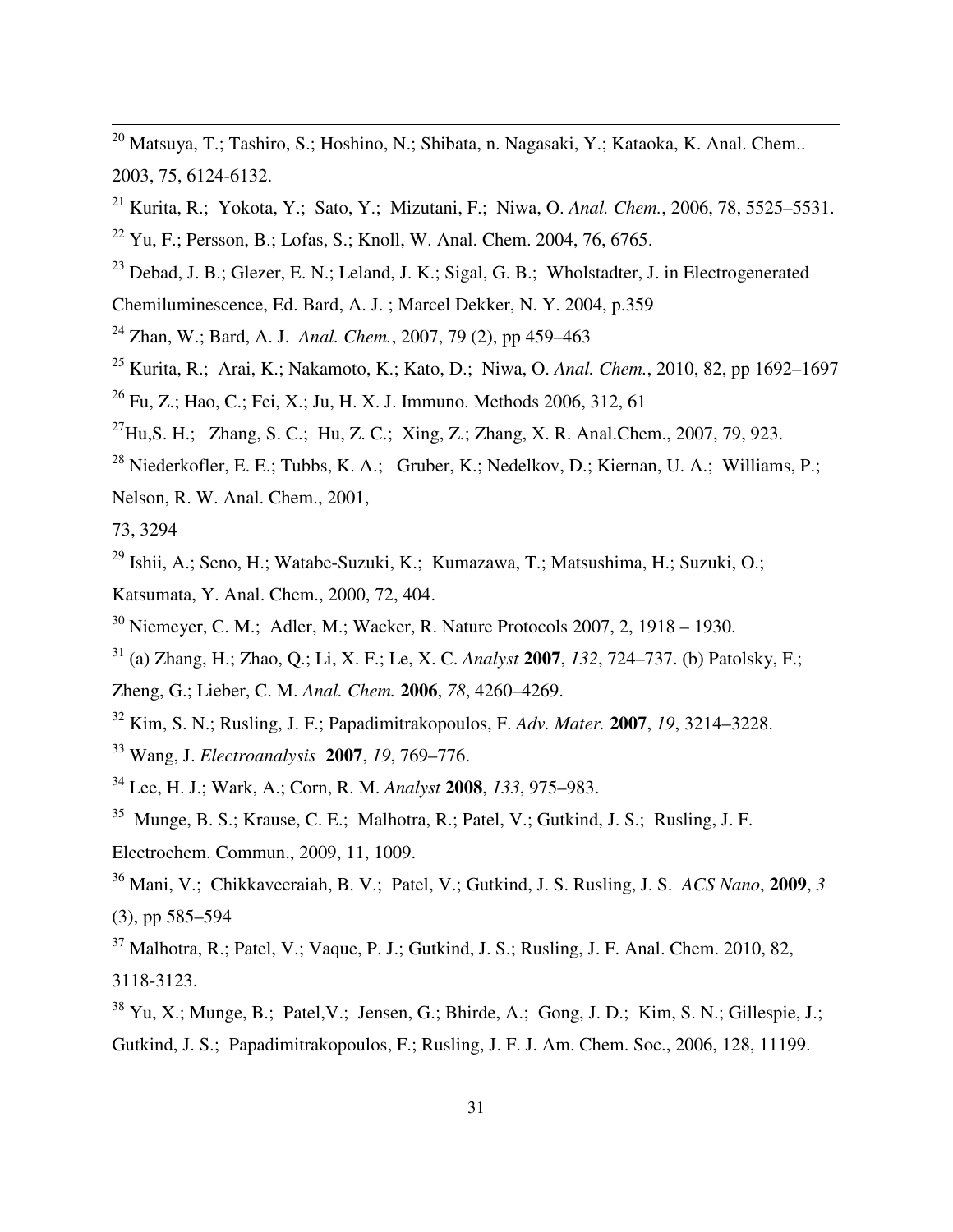<sup>20</sup> Matsuya, T.; Tashiro, S.; Hoshino, N.; Shibata, n. Nagasaki, Y.; Kataoka, K. Anal. Chem.. 2003, 75, 6124-6132.

- <sup>21</sup> Kurita, R.; Yokota, Y.; Sato, Y.; Mizutani, F.; Niwa, O. *Anal. Chem.*, 2006, 78, 5525–5531.
- <sup>22</sup> Yu, F.; Persson, B.; Lofas, S.; Knoll, W. Anal. Chem. 2004, 76, 6765.
- <sup>23</sup> Debad, J. B.; Glezer, E. N.; Leland, J. K.; Sigal, G. B.; Wholstadter, J. in Electrogenerated
- Chemiluminescence, Ed. Bard, A. J. ; Marcel Dekker, N. Y. 2004, p.359
- <sup>24</sup> Zhan, W.; Bard, A. J. *Anal. Chem.*, 2007, 79 (2), pp 459–463
- <sup>25</sup> Kurita, R.; Arai, K.; Nakamoto, K.; Kato, D.; Niwa, O. *Anal. Chem.*, 2010, 82, pp 1692–1697
- <sup>26</sup> Fu, Z.; Hao, C.; Fei, X.; Ju, H. X. J. Immuno. Methods 2006, 312, 61
- <sup>27</sup>Hu,S. H.; Zhang, S. C.; Hu, Z. C.; Xing, Z.; Zhang, X. R. Anal.Chem., 2007, 79, 923.
- <sup>28</sup> Niederkofler, E. E.; Tubbs, K. A.; Gruber, K.; Nedelkov, D.; Kiernan, U. A.; Williams, P.;
- Nelson, R. W. Anal. Chem., 2001,
- 73, 3294

 $\overline{a}$ 

- <sup>29</sup> Ishii, A.; Seno, H.; Watabe-Suzuki, K.; Kumazawa, T.; Matsushima, H.; Suzuki, O.;
- Katsumata, Y. Anal. Chem., 2000, 72, 404.
- $30$  Niemeyer, C. M.; Adler, M.; Wacker, R. Nature Protocols 2007, 2, 1918 1930.
- <sup>31</sup> (a) Zhang, H.; Zhao, Q.; Li, X. F.; Le, X. C. *Analyst* **2007**, *132*, 724–737. (b) Patolsky, F.;
- Zheng, G.; Lieber, C. M. *Anal. Chem.* **2006**, *78*, 4260–4269.
- <sup>32</sup> Kim, S. N.; Rusling, J. F.; Papadimitrakopoulos, F. *Adv. Mater.* **2007**, *19*, 3214–3228.
- <sup>33</sup> Wang, J. *Electroanalysis* **2007**, *19*, 769–776.
- <sup>34</sup> Lee, H. J.; Wark, A.; Corn, R. M. *Analyst* **2008**, *133*, 975–983.
- <sup>35</sup> Munge, B. S.; Krause, C. E.; Malhotra, R.; Patel, V.; Gutkind, J. S.; Rusling, J. F.
- Electrochem. Commun., 2009, 11, 1009.
- <sup>36</sup> Mani, V.; Chikkaveeraiah, B. V.; Patel, V.; Gutkind, J. S. Rusling, J. S. *ACS Nano*, **2009**, *3* (3), pp 585–594
- $37$  Malhotra, R.; Patel, V.; Vaque, P. J.; Gutkind, J. S.; Rusling, J. F. Anal. Chem. 2010, 82, 3118-3123.
- <sup>38</sup> Yu, X.; Munge, B.; Patel,V.; Jensen, G.; Bhirde, A.; Gong, J. D.; Kim, S. N.; Gillespie, J.; Gutkind, J. S.; Papadimitrakopoulos, F.; Rusling, J. F. J. Am. Chem. Soc., 2006, 128, 11199.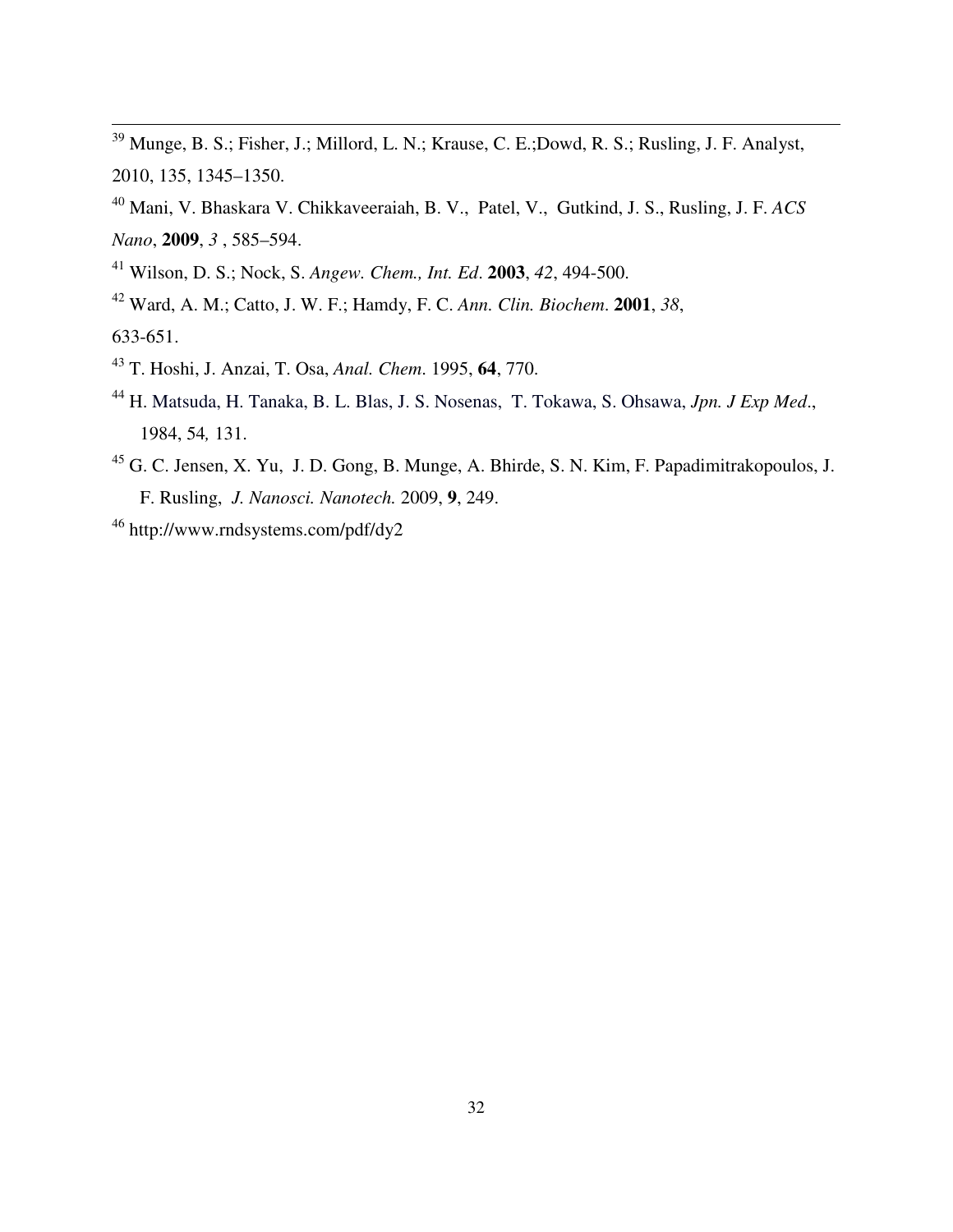<sup>39</sup> Munge, B. S.; Fisher, J.; Millord, L. N.; Krause, C. E.;Dowd, R. S.; Rusling, J. F. Analyst, 2010, 135, 1345–1350.

<sup>40</sup> Mani, V. Bhaskara V. Chikkaveeraiah, B. V., Patel, V., Gutkind, J. S., Rusling, J. F. *ACS Nano*, **2009**, *3* , 585–594.

<sup>41</sup> Wilson, D. S.; Nock, S. *Angew. Chem., Int. Ed*. **2003**, *42*, 494-500.

<sup>42</sup> Ward, A. M.; Catto, J. W. F.; Hamdy, F. C. *Ann. Clin. Biochem*. **2001**, *38*,

633-651.

 $\overline{a}$ 

<sup>43</sup> T. Hoshi, J. Anzai, T. Osa, *Anal. Chem*. 1995, **64**, 770.

- <sup>44</sup> H. Matsuda, H. Tanaka, B. L. Blas, J. S. Nosenas, T. Tokawa, S. Ohsawa, *Jpn. J Exp Med*., 1984, 54*,* 131.
- <sup>45</sup> G. C. Jensen, X. Yu, J. D. Gong, B. Munge, A. Bhirde, S. N. Kim, F. Papadimitrakopoulos, J. F. Rusling, *J. Nanosci. Nanotech.* 2009, **9**, 249.

<sup>46</sup> http://www.rndsystems.com/pdf/dy2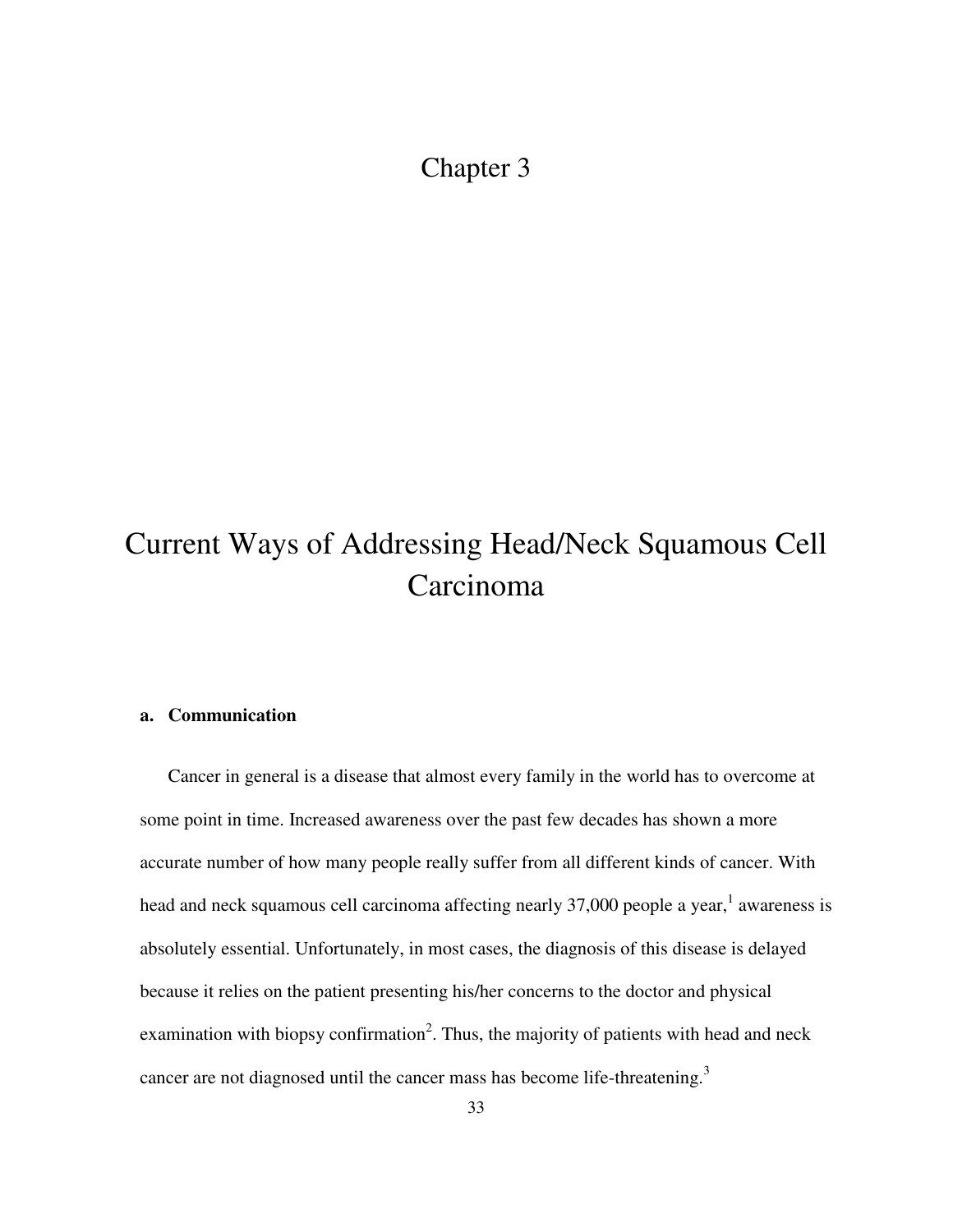Chapter 3

## Current Ways of Addressing Head/Neck Squamous Cell Carcinoma

#### **a. Communication**

Cancer in general is a disease that almost every family in the world has to overcome at some point in time. Increased awareness over the past few decades has shown a more accurate number of how many people really suffer from all different kinds of cancer. With head and neck squamous cell carcinoma affecting nearly 37,000 people a year,<sup>1</sup> awareness is absolutely essential. Unfortunately, in most cases, the diagnosis of this disease is delayed because it relies on the patient presenting his/her concerns to the doctor and physical examination with biopsy confirmation<sup>2</sup>. Thus, the majority of patients with head and neck cancer are not diagnosed until the cancer mass has become life-threatening.<sup>3</sup>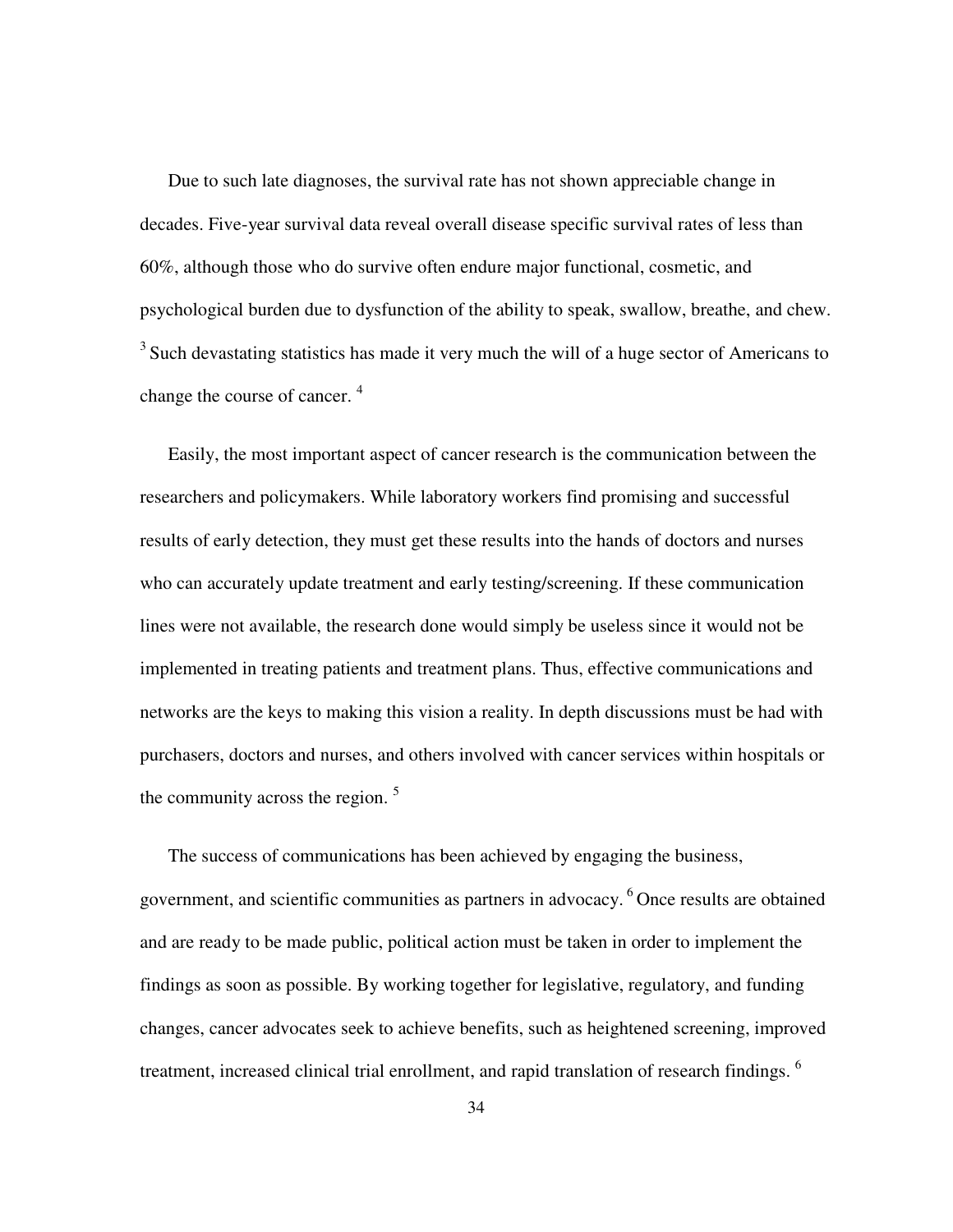Due to such late diagnoses, the survival rate has not shown appreciable change in decades. Five-year survival data reveal overall disease specific survival rates of less than 60%, although those who do survive often endure major functional, cosmetic, and psychological burden due to dysfunction of the ability to speak, swallow, breathe, and chew.  $3$  Such devastating statistics has made it very much the will of a huge sector of Americans to change the course of cancer.<sup>4</sup>

Easily, the most important aspect of cancer research is the communication between the researchers and policymakers. While laboratory workers find promising and successful results of early detection, they must get these results into the hands of doctors and nurses who can accurately update treatment and early testing/screening. If these communication lines were not available, the research done would simply be useless since it would not be implemented in treating patients and treatment plans. Thus, effective communications and networks are the keys to making this vision a reality. In depth discussions must be had with purchasers, doctors and nurses, and others involved with cancer services within hospitals or the community across the region. <sup>5</sup>

The success of communications has been achieved by engaging the business, government, and scientific communities as partners in advocacy.<sup>6</sup> Once results are obtained and are ready to be made public, political action must be taken in order to implement the findings as soon as possible. By working together for legislative, regulatory, and funding changes, cancer advocates seek to achieve benefits, such as heightened screening, improved treatment, increased clinical trial enrollment, and rapid translation of research findings.  $^6$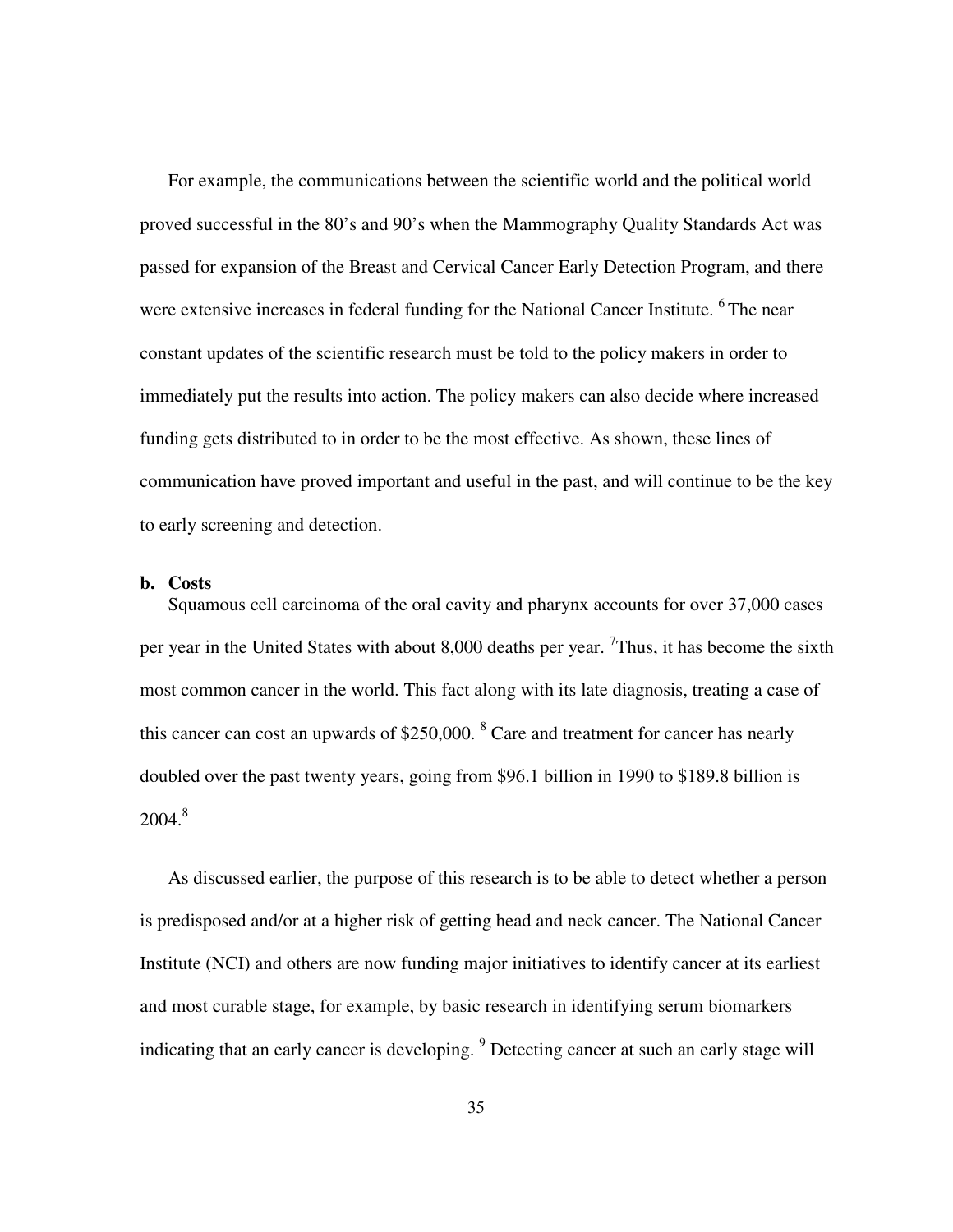For example, the communications between the scientific world and the political world proved successful in the 80's and 90's when the Mammography Quality Standards Act was passed for expansion of the Breast and Cervical Cancer Early Detection Program, and there were extensive increases in federal funding for the National Cancer Institute.  $6\text{ The near}$ constant updates of the scientific research must be told to the policy makers in order to immediately put the results into action. The policy makers can also decide where increased funding gets distributed to in order to be the most effective. As shown, these lines of communication have proved important and useful in the past, and will continue to be the key to early screening and detection.

#### **b. Costs**

Squamous cell carcinoma of the oral cavity and pharynx accounts for over 37,000 cases per year in the United States with about 8,000 deaths per year. <sup>7</sup>Thus, it has become the sixth most common cancer in the world. This fact along with its late diagnosis, treating a case of this cancer can cost an upwards of \$250,000.  $8$  Care and treatment for cancer has nearly doubled over the past twenty years, going from \$96.1 billion in 1990 to \$189.8 billion is  $2004.<sup>8</sup>$ 

As discussed earlier, the purpose of this research is to be able to detect whether a person is predisposed and/or at a higher risk of getting head and neck cancer. The National Cancer Institute (NCI) and others are now funding major initiatives to identify cancer at its earliest and most curable stage, for example, by basic research in identifying serum biomarkers indicating that an early cancer is developing. <sup>9</sup> Detecting cancer at such an early stage will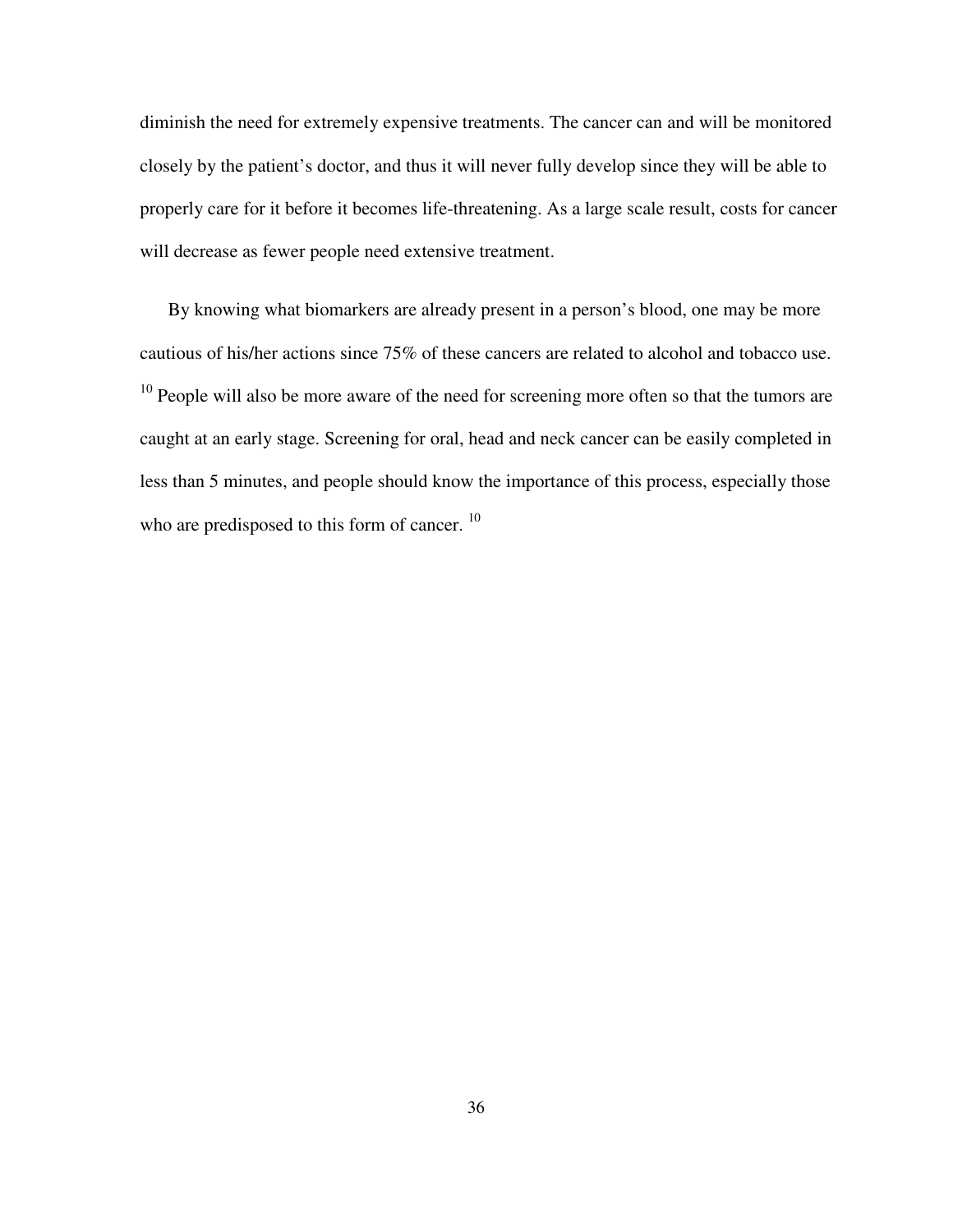diminish the need for extremely expensive treatments. The cancer can and will be monitored closely by the patient's doctor, and thus it will never fully develop since they will be able to properly care for it before it becomes life-threatening. As a large scale result, costs for cancer will decrease as fewer people need extensive treatment.

By knowing what biomarkers are already present in a person's blood, one may be more cautious of his/her actions since 75% of these cancers are related to alcohol and tobacco use.  $10$  People will also be more aware of the need for screening more often so that the tumors are caught at an early stage. Screening for oral, head and neck cancer can be easily completed in less than 5 minutes, and people should know the importance of this process, especially those who are predisposed to this form of cancer. <sup>10</sup>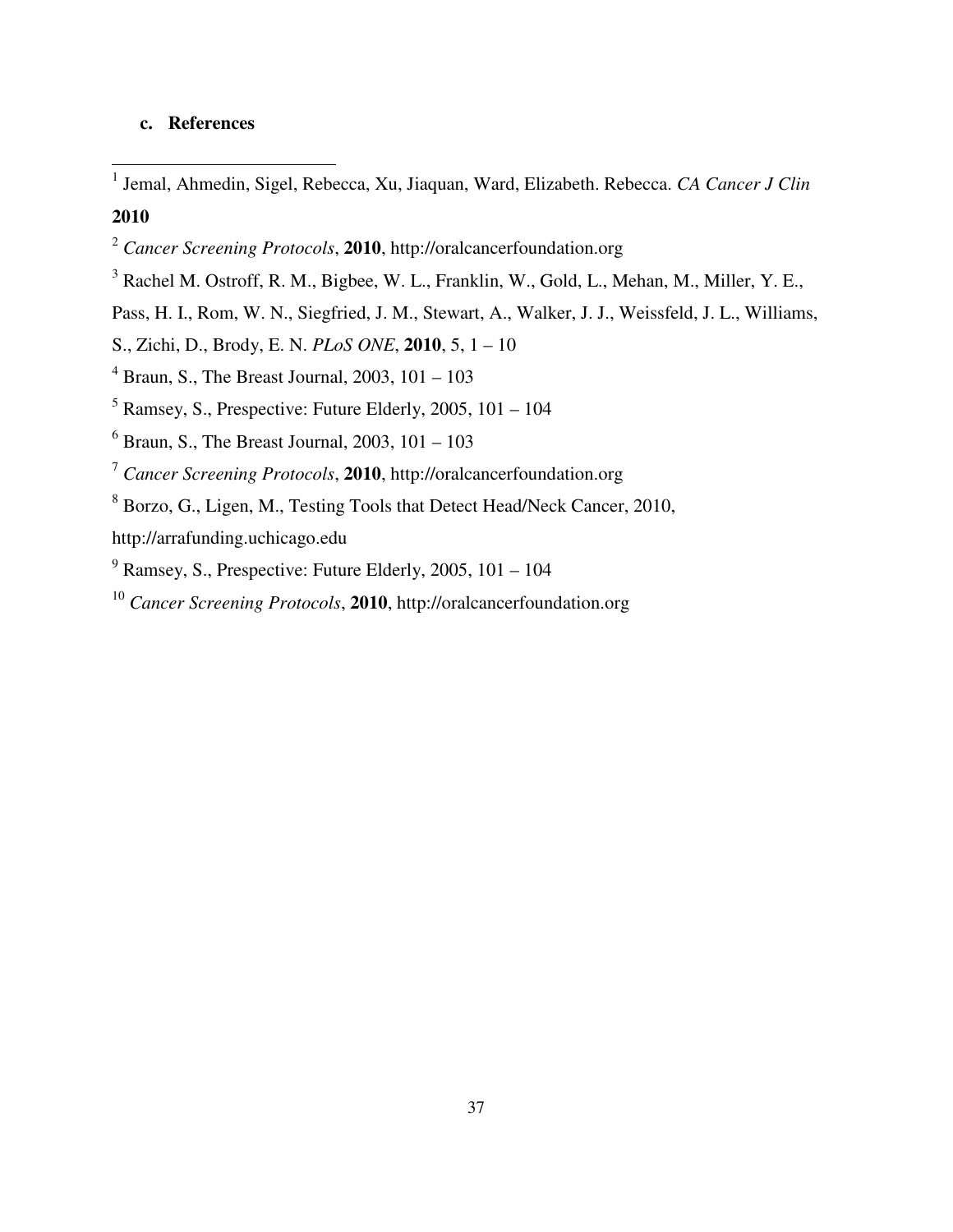#### **c. References**

 $\overline{a}$ 

1 Jemal, Ahmedin, Sigel, Rebecca, Xu, Jiaquan, Ward, Elizabeth. Rebecca. *CA Cancer J Clin* **2010** 

<sup>2</sup> *Cancer Screening Protocols*, **2010**, http://oralcancerfoundation.org

- $3$  Rachel M. Ostroff, R. M., Bigbee, W. L., Franklin, W., Gold, L., Mehan, M., Miller, Y. E.,
- Pass, H. I., Rom, W. N., Siegfried, J. M., Stewart, A., Walker, J. J., Weissfeld, J. L., Williams,
- S., Zichi, D., Brody, E. N. *PLoS ONE*, **2010**, 5, 1 10
- $4$  Braun, S., The Breast Journal, 2003, 101 103
- $<sup>5</sup>$  Ramsey, S., Prespective: Future Elderly, 2005, 101 104</sup>
- $6$  Braun, S., The Breast Journal, 2003, 101 103
- <sup>7</sup> *Cancer Screening Protocols*, **2010**, http://oralcancerfoundation.org
- <sup>8</sup> Borzo, G., Ligen, M., Testing Tools that Detect Head/Neck Cancer, 2010,

http://arrafunding.uchicago.edu

- $9^9$  Ramsey, S., Prespective: Future Elderly, 2005, 101 104
- <sup>10</sup> *Cancer Screening Protocols*, **2010**, http://oralcancerfoundation.org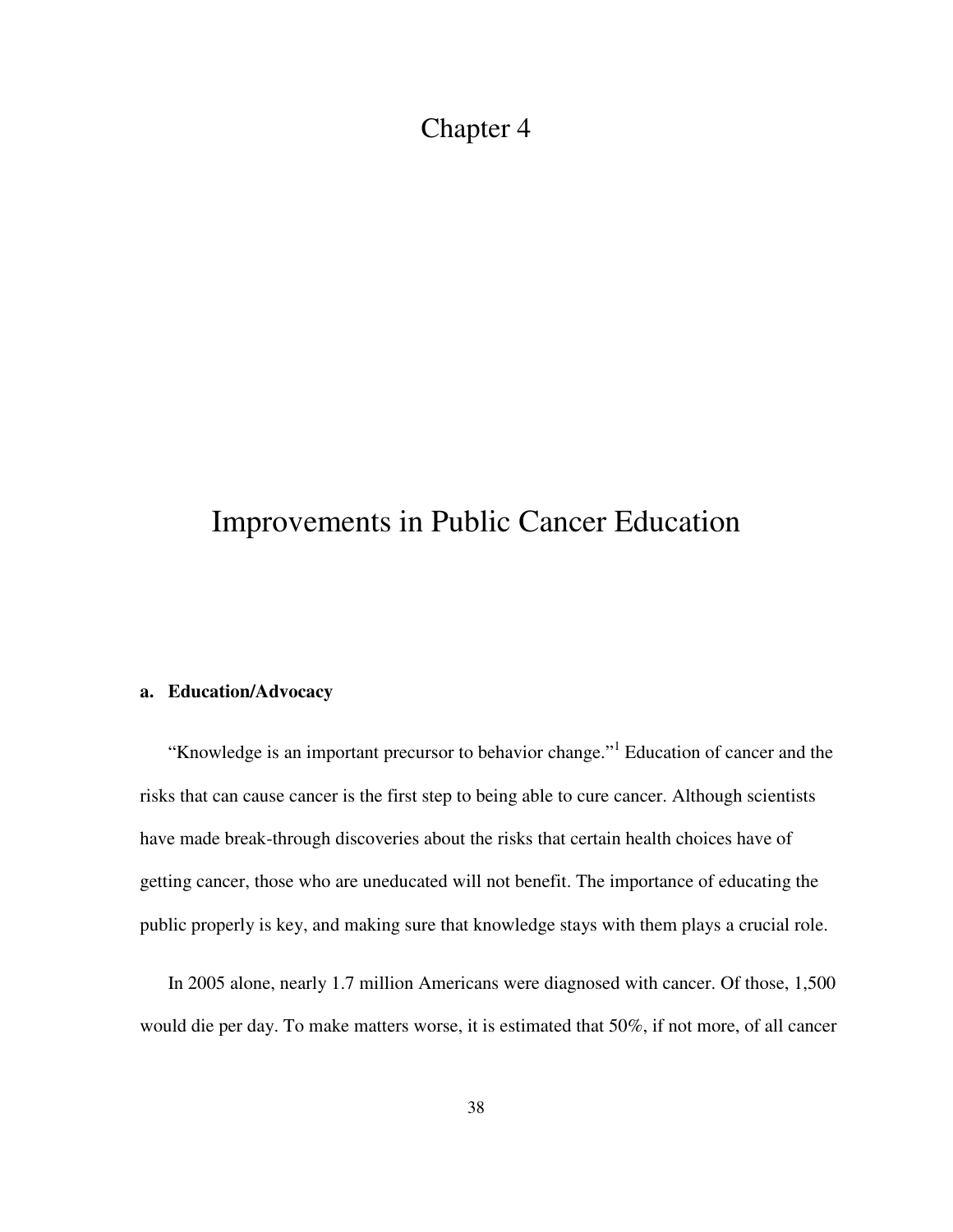### Chapter 4

## Improvements in Public Cancer Education

#### **a. Education/Advocacy**

"Knowledge is an important precursor to behavior change."<sup>1</sup> Education of cancer and the risks that can cause cancer is the first step to being able to cure cancer. Although scientists have made break-through discoveries about the risks that certain health choices have of getting cancer, those who are uneducated will not benefit. The importance of educating the public properly is key, and making sure that knowledge stays with them plays a crucial role.

In 2005 alone, nearly 1.7 million Americans were diagnosed with cancer. Of those, 1,500 would die per day. To make matters worse, it is estimated that 50%, if not more, of all cancer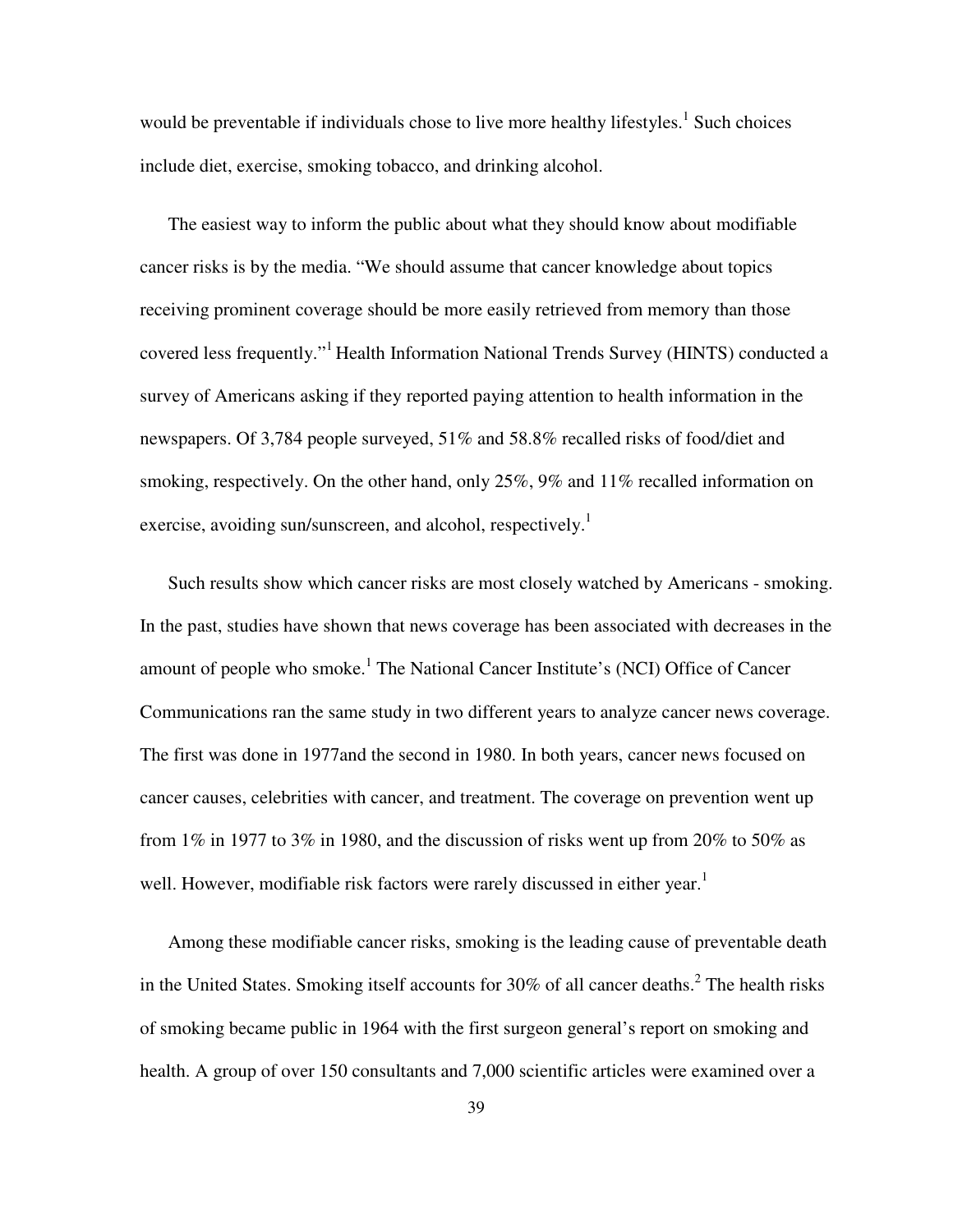would be preventable if individuals chose to live more healthy lifestyles.<sup>1</sup> Such choices include diet, exercise, smoking tobacco, and drinking alcohol.

The easiest way to inform the public about what they should know about modifiable cancer risks is by the media. "We should assume that cancer knowledge about topics receiving prominent coverage should be more easily retrieved from memory than those covered less frequently."<sup>1</sup> Health Information National Trends Survey (HINTS) conducted a survey of Americans asking if they reported paying attention to health information in the newspapers. Of 3,784 people surveyed, 51% and 58.8% recalled risks of food/diet and smoking, respectively. On the other hand, only 25%, 9% and 11% recalled information on exercise, avoiding sun/sunscreen, and alcohol, respectively.<sup>1</sup>

Such results show which cancer risks are most closely watched by Americans - smoking. In the past, studies have shown that news coverage has been associated with decreases in the amount of people who smoke.<sup>1</sup> The National Cancer Institute's (NCI) Office of Cancer Communications ran the same study in two different years to analyze cancer news coverage. The first was done in 1977and the second in 1980. In both years, cancer news focused on cancer causes, celebrities with cancer, and treatment. The coverage on prevention went up from  $1\%$  in 1977 to  $3\%$  in 1980, and the discussion of risks went up from  $20\%$  to  $50\%$  as well. However, modifiable risk factors were rarely discussed in either year.<sup>1</sup>

Among these modifiable cancer risks, smoking is the leading cause of preventable death in the United States. Smoking itself accounts for  $30\%$  of all cancer deaths.<sup>2</sup> The health risks of smoking became public in 1964 with the first surgeon general's report on smoking and health. A group of over 150 consultants and 7,000 scientific articles were examined over a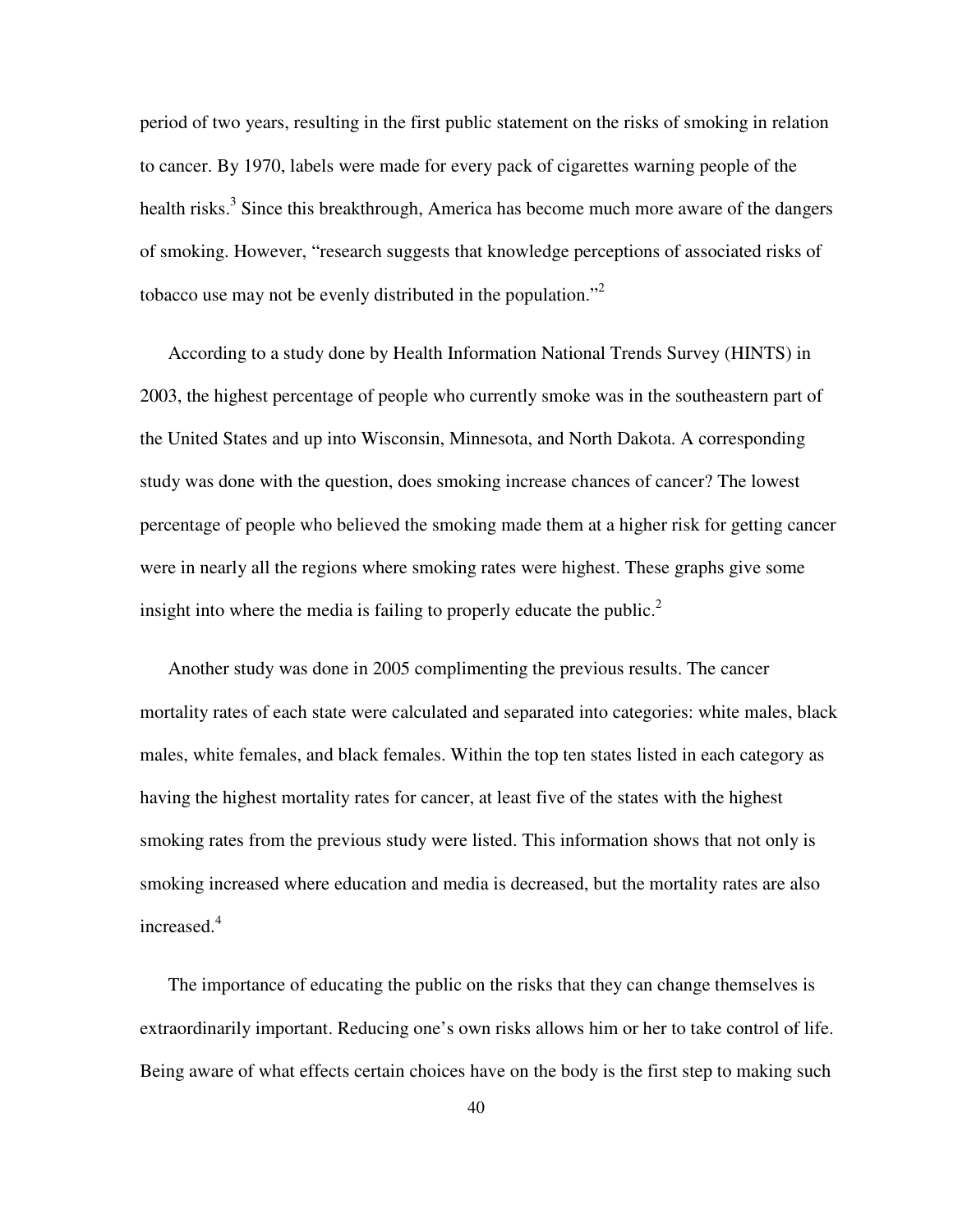period of two years, resulting in the first public statement on the risks of smoking in relation to cancer. By 1970, labels were made for every pack of cigarettes warning people of the health risks.<sup>3</sup> Since this breakthrough, America has become much more aware of the dangers of smoking. However, "research suggests that knowledge perceptions of associated risks of tobacco use may not be evenly distributed in the population."<sup>2</sup>

According to a study done by Health Information National Trends Survey (HINTS) in 2003, the highest percentage of people who currently smoke was in the southeastern part of the United States and up into Wisconsin, Minnesota, and North Dakota. A corresponding study was done with the question, does smoking increase chances of cancer? The lowest percentage of people who believed the smoking made them at a higher risk for getting cancer were in nearly all the regions where smoking rates were highest. These graphs give some insight into where the media is failing to properly educate the public.<sup>2</sup>

Another study was done in 2005 complimenting the previous results. The cancer mortality rates of each state were calculated and separated into categories: white males, black males, white females, and black females. Within the top ten states listed in each category as having the highest mortality rates for cancer, at least five of the states with the highest smoking rates from the previous study were listed. This information shows that not only is smoking increased where education and media is decreased, but the mortality rates are also increased.<sup>4</sup>

The importance of educating the public on the risks that they can change themselves is extraordinarily important. Reducing one's own risks allows him or her to take control of life. Being aware of what effects certain choices have on the body is the first step to making such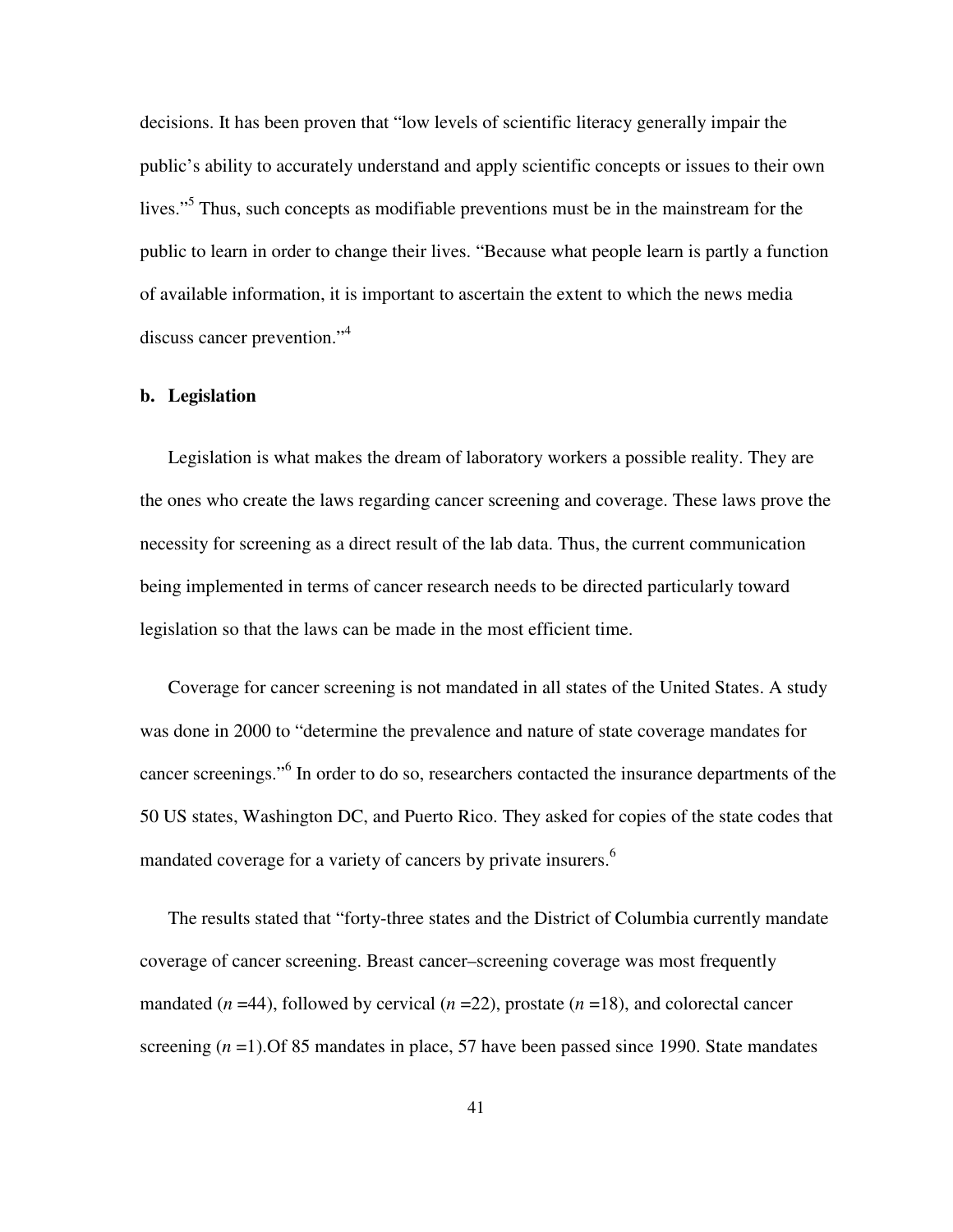decisions. It has been proven that "low levels of scientific literacy generally impair the public's ability to accurately understand and apply scientific concepts or issues to their own lives."<sup>5</sup> Thus, such concepts as modifiable preventions must be in the mainstream for the public to learn in order to change their lives. "Because what people learn is partly a function of available information, it is important to ascertain the extent to which the news media discuss cancer prevention."<sup>4</sup>

#### **b. Legislation**

Legislation is what makes the dream of laboratory workers a possible reality. They are the ones who create the laws regarding cancer screening and coverage. These laws prove the necessity for screening as a direct result of the lab data. Thus, the current communication being implemented in terms of cancer research needs to be directed particularly toward legislation so that the laws can be made in the most efficient time.

Coverage for cancer screening is not mandated in all states of the United States. A study was done in 2000 to "determine the prevalence and nature of state coverage mandates for cancer screenings."<sup>6</sup> In order to do so, researchers contacted the insurance departments of the 50 US states, Washington DC, and Puerto Rico. They asked for copies of the state codes that mandated coverage for a variety of cancers by private insurers.<sup>6</sup>

The results stated that "forty-three states and the District of Columbia currently mandate coverage of cancer screening. Breast cancer–screening coverage was most frequently mandated  $(n = 44)$ , followed by cervical  $(n = 22)$ , prostate  $(n = 18)$ , and colorectal cancer screening  $(n = 1)$ . Of 85 mandates in place, 57 have been passed since 1990. State mandates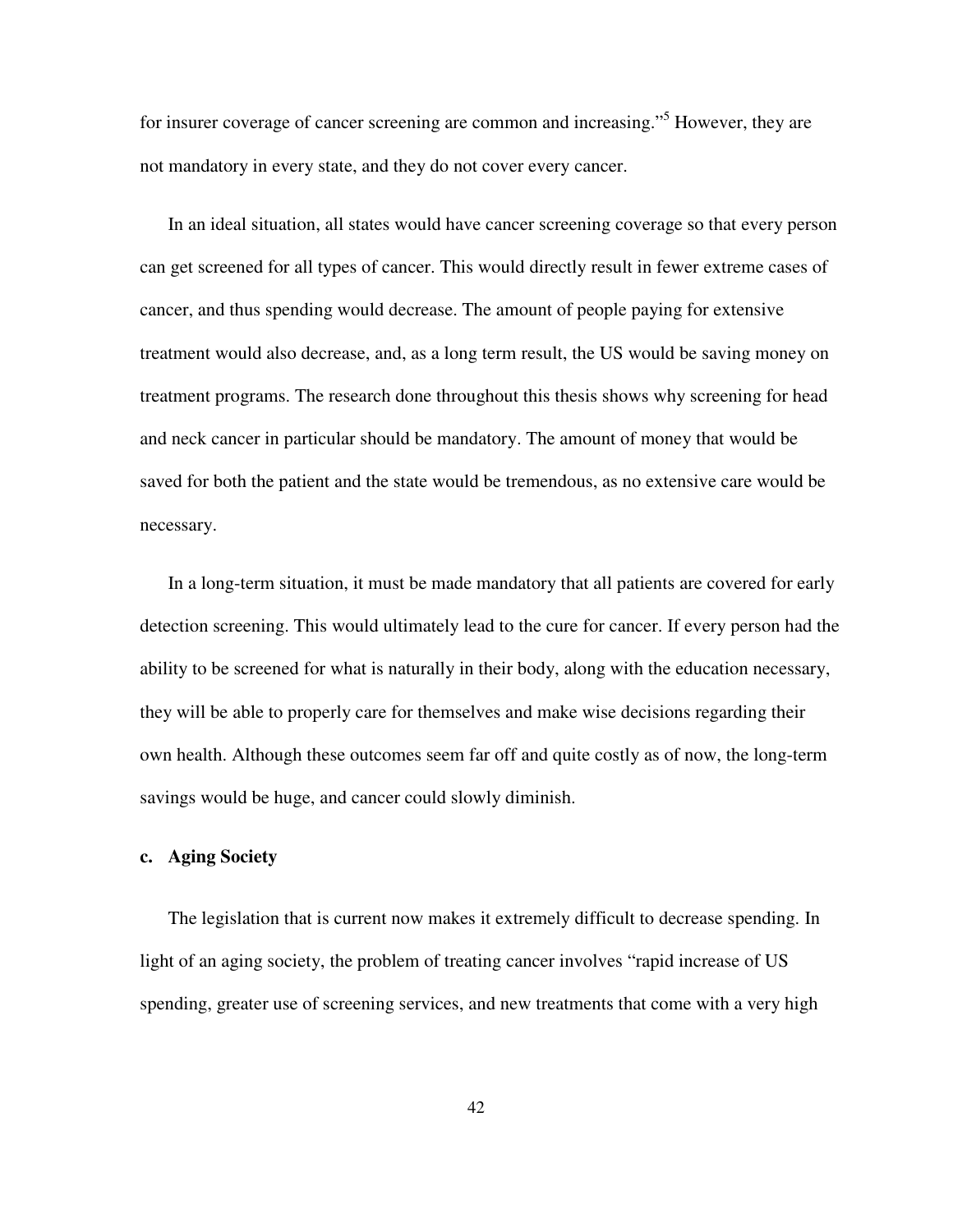for insurer coverage of cancer screening are common and increasing."<sup>5</sup> However, they are not mandatory in every state, and they do not cover every cancer.

In an ideal situation, all states would have cancer screening coverage so that every person can get screened for all types of cancer. This would directly result in fewer extreme cases of cancer, and thus spending would decrease. The amount of people paying for extensive treatment would also decrease, and, as a long term result, the US would be saving money on treatment programs. The research done throughout this thesis shows why screening for head and neck cancer in particular should be mandatory. The amount of money that would be saved for both the patient and the state would be tremendous, as no extensive care would be necessary.

In a long-term situation, it must be made mandatory that all patients are covered for early detection screening. This would ultimately lead to the cure for cancer. If every person had the ability to be screened for what is naturally in their body, along with the education necessary, they will be able to properly care for themselves and make wise decisions regarding their own health. Although these outcomes seem far off and quite costly as of now, the long-term savings would be huge, and cancer could slowly diminish.

#### **c. Aging Society**

The legislation that is current now makes it extremely difficult to decrease spending. In light of an aging society, the problem of treating cancer involves "rapid increase of US spending, greater use of screening services, and new treatments that come with a very high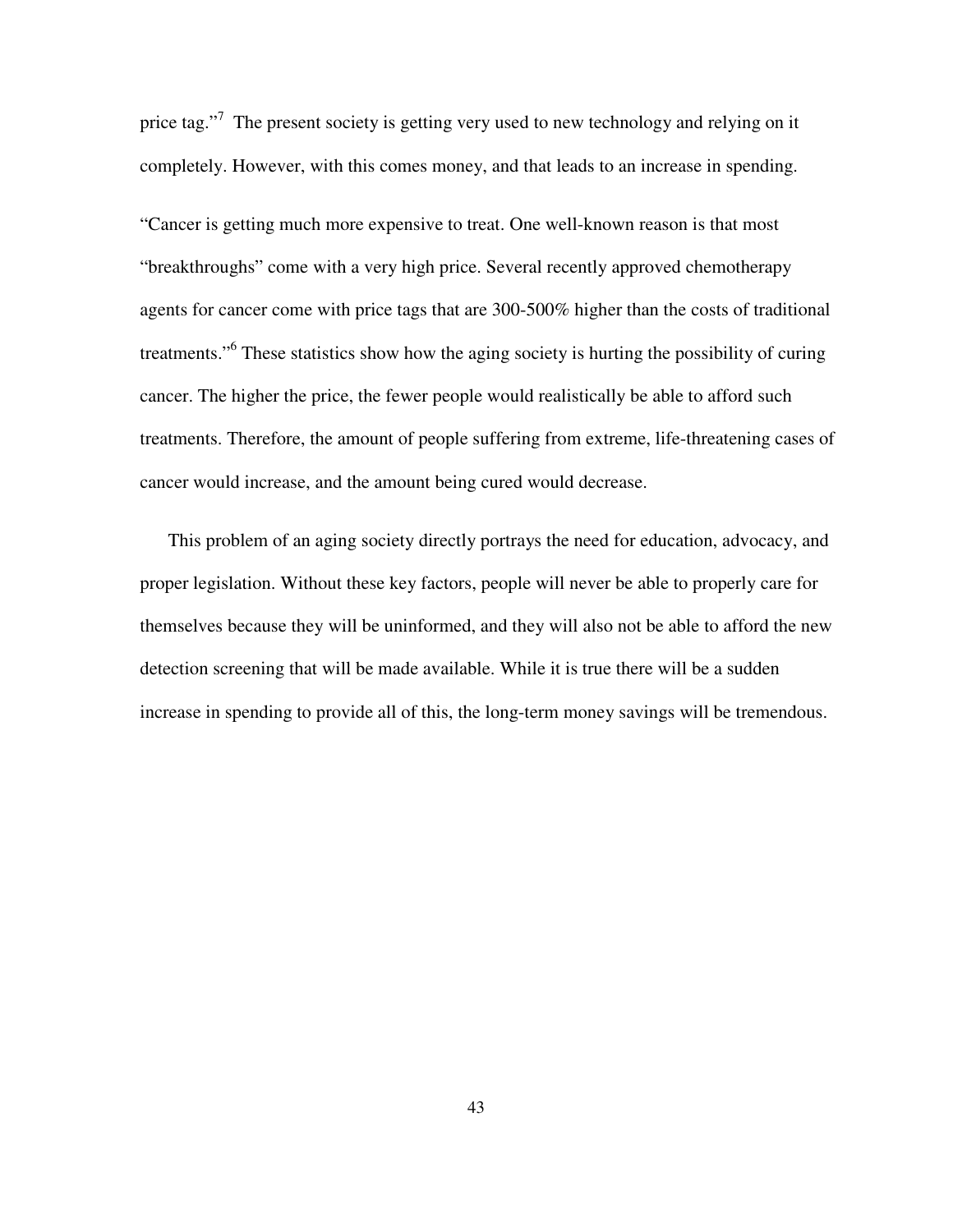price tag."<sup>7</sup> The present society is getting very used to new technology and relying on it completely. However, with this comes money, and that leads to an increase in spending.

"Cancer is getting much more expensive to treat. One well-known reason is that most "breakthroughs" come with a very high price. Several recently approved chemotherapy agents for cancer come with price tags that are 300-500% higher than the costs of traditional treatments."<sup>6</sup> These statistics show how the aging society is hurting the possibility of curing cancer. The higher the price, the fewer people would realistically be able to afford such treatments. Therefore, the amount of people suffering from extreme, life-threatening cases of cancer would increase, and the amount being cured would decrease.

This problem of an aging society directly portrays the need for education, advocacy, and proper legislation. Without these key factors, people will never be able to properly care for themselves because they will be uninformed, and they will also not be able to afford the new detection screening that will be made available. While it is true there will be a sudden increase in spending to provide all of this, the long-term money savings will be tremendous.